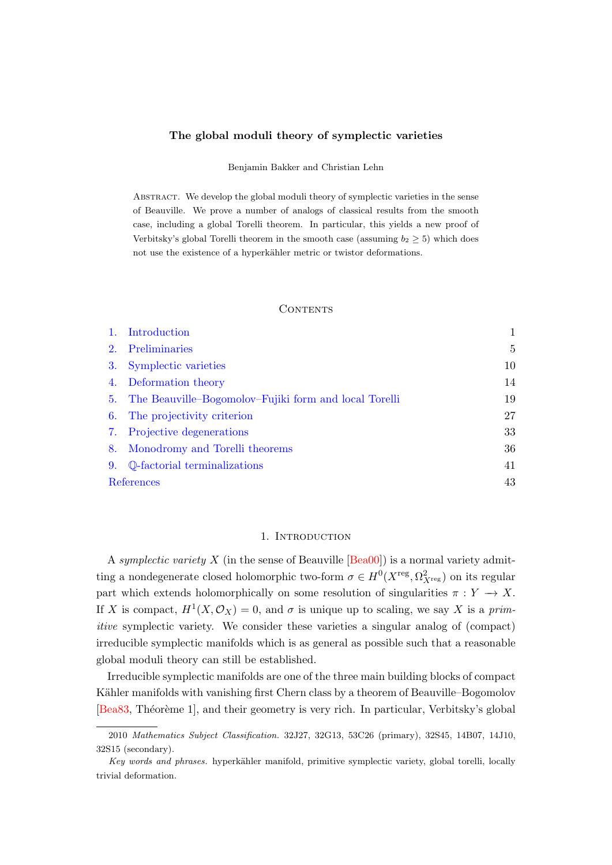## <span id="page-0-1"></span>The global moduli theory of symplectic varieties

Benjamin Bakker and Christian Lehn

ABSTRACT. We develop the global moduli theory of symplectic varieties in the sense of Beauville. We prove a number of analogs of classical results from the smooth case, including a global Torelli theorem. In particular, this yields a new proof of Verbitsky's global Torelli theorem in the smooth case (assuming  $b_2 \geq 5$ ) which does not use the existence of a hyperkähler metric or twistor deformations.

## **CONTENTS**

|    | 1. Introduction                                          |    |
|----|----------------------------------------------------------|----|
| 2. | Preliminaries                                            | 5  |
| 3. | Symplectic varieties                                     | 10 |
|    | 4. Deformation theory                                    | 14 |
|    | 5. The Beauville–Bogomolov–Fujiki form and local Torelli | 19 |
|    | 6. The projectivity criterion                            | 27 |
| 7. | Projective degenerations                                 | 33 |
|    | 8. Monodromy and Torelli theorems                        | 36 |
| 9. | Q-factorial terminalizations                             | 41 |
|    | References                                               | 43 |

## 1. Introduction

<span id="page-0-0"></span>A symplectic variety X (in the sense of Beauville  $[Bea00]$ ) is a normal variety admitting a nondegenerate closed holomorphic two-form  $\sigma \in H^0(X^{reg}, \Omega^2_{X^{reg}})$  on its regular part which extends holomorphically on some resolution of singularities  $\pi : Y \to X$ . If X is compact,  $H^1(X, \mathcal{O}_X) = 0$ , and  $\sigma$  is unique up to scaling, we say X is a primitive symplectic variety. We consider these varieties a singular analog of (compact) irreducible symplectic manifolds which is as general as possible such that a reasonable global moduli theory can still be established.

Irreducible symplectic manifolds are one of the three main building blocks of compact Kähler manifolds with vanishing first Chern class by a theorem of Beauville–Bogomolov [\[Bea83,](#page-42-2) Théorème 1], and their geometry is very rich. In particular, Verbitsky's global

<sup>2010</sup> Mathematics Subject Classification. 32J27, 32G13, 53C26 (primary), 32S45, 14B07, 14J10, 32S15 (secondary).

Key words and phrases. hyperkähler manifold, primitive symplectic variety, global torelli, locally trivial deformation.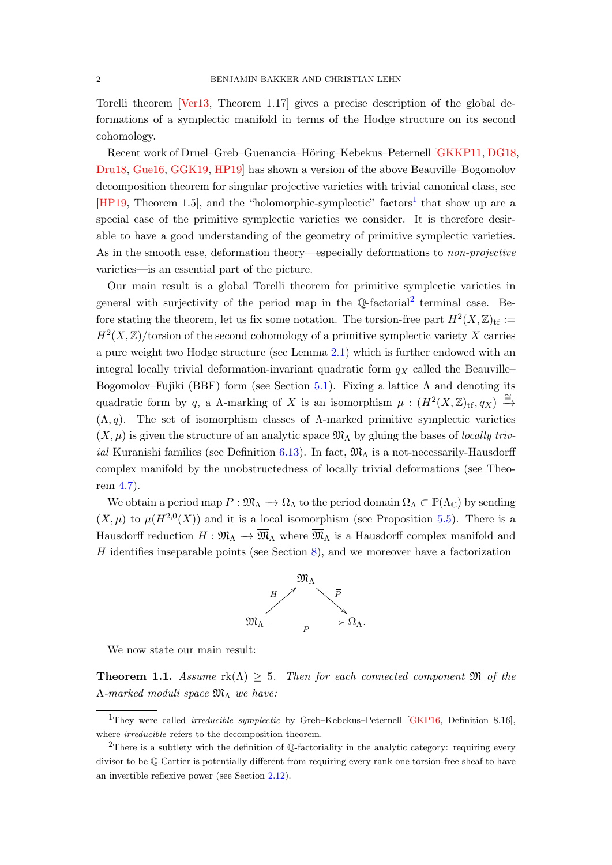<span id="page-1-3"></span>Torelli theorem [\[Ver13,](#page-46-0) Theorem 1.17] gives a precise description of the global deformations of a symplectic manifold in terms of the Hodge structure on its second cohomology.

Recent work of Druel–Greb–Guenancia–Höring–Kebekus–Peternell [\[GKKP11,](#page-43-0) [DG18,](#page-43-1) [Dru18,](#page-43-2) [Gue16,](#page-44-0) [GGK19,](#page-43-3) [HP19\]](#page-44-1) has shown a version of the above Beauville–Bogomolov decomposition theorem for singular projective varieties with trivial canonical class, see  $[HP19, Theorem 1.5]$  $[HP19, Theorem 1.5]$  $[HP19, Theorem 1.5]$  $[HP19, Theorem 1.5]$ , and the "holomorphic-symplectic" factors<sup>1</sup> that show up are a special case of the primitive symplectic varieties we consider. It is therefore desirable to have a good understanding of the geometry of primitive symplectic varieties. As in the smooth case, deformation theory—especially deformations to *non-projective* varieties—is an essential part of the picture.

Our main result is a global Torelli theorem for primitive symplectic varieties in general with surjectivity of the period map in the  $\mathbb Q$ -factorial<sup>[2](#page-1-1)</sup> terminal case. Before stating the theorem, let us fix some notation. The torsion-free part  $H^2(X,\mathbb{Z})_{\text{tf}} :=$  $H^2(X,\mathbb{Z})$ /torsion of the second cohomology of a primitive symplectic variety X carries a pure weight two Hodge structure (see Lemma [2.1\)](#page-5-0) which is further endowed with an integral locally trivial deformation-invariant quadratic form  $q_X$  called the Beauville– Bogomolov–Fujiki (BBF) form (see Section [5.1\)](#page-19-0). Fixing a lattice  $\Lambda$  and denoting its quadratic form by q, a  $\Lambda$ -marking of X is an isomorphism  $\mu : (H^2(X, \mathbb{Z})_{\text{tf}}, q_X) \xrightarrow{\cong}$  $(\Lambda, q)$ . The set of isomorphism classes of  $\Lambda$ -marked primitive symplectic varieties  $(X, \mu)$  is given the structure of an analytic space  $\mathfrak{M}_{\Lambda}$  by gluing the bases of *locally triv-*ial Kuranishi families (see Definition [6.13\)](#page-31-0). In fact,  $\mathfrak{M}_{\Lambda}$  is a not-necessarily-Hausdorff complex manifold by the unobstructedness of locally trivial deformations (see Theorem [4.7\)](#page-15-0).

We obtain a period map  $P: \mathfrak{M}_{\Lambda} \to \Omega_{\Lambda}$  to the period domain  $\Omega_{\Lambda} \subset \mathbb{P}(\Lambda_{\mathbb{C}})$  by sending  $(X,\mu)$  to  $\mu(H^{2,0}(X))$  and it is a local isomorphism (see Proposition [5.5\)](#page-20-0). There is a Hausdorff reduction  $H : \mathfrak{M}_{\Lambda} \to \overline{\mathfrak{M}}_{\Lambda}$  where  $\overline{\mathfrak{M}}_{\Lambda}$  is a Hausdorff complex manifold and  $H$  identifies inseparable points (see Section [8\)](#page-35-0), and we moreover have a factorization



We now state our main result:

<span id="page-1-2"></span>**Theorem 1.1.** Assume  $rk(\Lambda) \geq 5$ . Then for each connected component  $\mathfrak{M}$  of the  $\Lambda$ -marked moduli space  $\mathfrak{M}_{\Lambda}$  we have:

<span id="page-1-0"></span><sup>&</sup>lt;sup>1</sup>They were called *irreducible symplectic* by Greb-Kebekus-Peternell [\[GKP16,](#page-44-2) Definition 8.16], where *irreducible* refers to the decomposition theorem.

<span id="page-1-1"></span><sup>&</sup>lt;sup>2</sup>There is a subtlety with the definition of Q-factoriality in the analytic category: requiring every divisor to be Q-Cartier is potentially different from requiring every rank one torsion-free sheaf to have an invertible reflexive power (see Section [2.12\)](#page-8-0).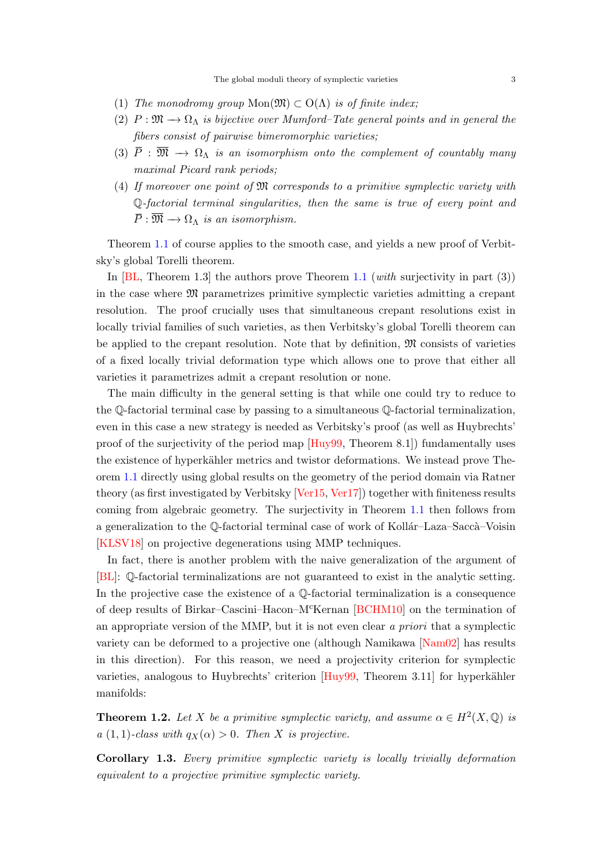- <span id="page-2-1"></span>(1) The monodromy group  $Mon(\mathfrak{M}) \subset O(\Lambda)$  is of finite index;
- (2)  $P: \mathfrak{M} \longrightarrow \Omega_{\Lambda}$  is bijective over Mumford–Tate general points and in general the fibers consist of pairwise bimeromorphic varieties;
- (3)  $\overline{P}$  :  $\overline{\mathfrak{M}} \longrightarrow \Omega_{\Lambda}$  is an isomorphism onto the complement of countably many maximal Picard rank periods;
- (4) If moreover one point of M corresponds to a primitive symplectic variety with Q-factorial terminal singularities, then the same is true of every point and  $\overline{P}: \overline{\mathfrak{M}} \longrightarrow \Omega_{\Lambda}$  is an isomorphism.

Theorem [1.1](#page-1-2) of course applies to the smooth case, and yields a new proof of Verbitsky's global Torelli theorem.

In  $|BL$ , Theorem 1.3 the authors prove Theorem [1.1](#page-1-2) (with surjectivity in part (3)) in the case where M parametrizes primitive symplectic varieties admitting a crepant resolution. The proof crucially uses that simultaneous crepant resolutions exist in locally trivial families of such varieties, as then Verbitsky's global Torelli theorem can be applied to the crepant resolution. Note that by definition,  $\mathfrak{M}$  consists of varieties of a fixed locally trivial deformation type which allows one to prove that either all varieties it parametrizes admit a crepant resolution or none.

The main difficulty in the general setting is that while one could try to reduce to the Q-factorial terminal case by passing to a simultaneous Q-factorial terminalization, even in this case a new strategy is needed as Verbitsky's proof (as well as Huybrechts' proof of the surjectivity of the period map [\[Huy99,](#page-44-3) Theorem 8.1]) fundamentally uses the existence of hyperkähler metrics and twistor deformations. We instead prove Theorem [1.1](#page-1-2) directly using global results on the geometry of the period domain via Ratner theory (as first investigated by Verbitsky [\[Ver15,](#page-46-1) [Ver17\]](#page-46-2)) together with finiteness results coming from algebraic geometry. The surjectivity in Theorem [1.1](#page-1-2) then follows from a generalization to the Q-factorial terminal case of work of Kollár–Laza–Saccà–Voisin [\[KLSV18\]](#page-45-0) on projective degenerations using MMP techniques.

In fact, there is another problem with the naive generalization of the argument of [\[BL\]](#page-42-3): Q-factorial terminalizations are not guaranteed to exist in the analytic setting. In the projective case the existence of a Q-factorial terminalization is a consequence of deep results of Birkar–Cascini–Hacon–McKernan [\[BCHM10\]](#page-42-4) on the termination of an appropriate version of the MMP, but it is not even clear a priori that a symplectic variety can be deformed to a projective one (although Namikawa [\[Nam02\]](#page-45-1) has results in this direction). For this reason, we need a projectivity criterion for symplectic varieties, analogous to Huybrechts' criterion  $[Huy99,$  Theorem 3.11 for hyperkähler manifolds:

<span id="page-2-0"></span>**Theorem 1.2.** Let X be a primitive symplectic variety, and assume  $\alpha \in H^2(X, \mathbb{Q})$  is a (1, 1)-class with  $q_X(\alpha) > 0$ . Then X is projective.

Corollary 1.3. Every primitive symplectic variety is locally trivially deformation equivalent to a projective primitive symplectic variety.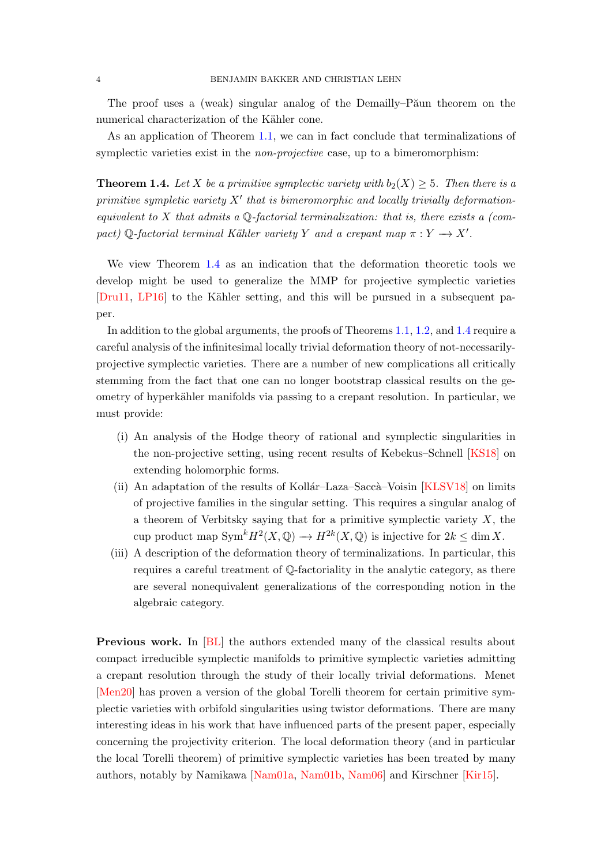<span id="page-3-1"></span>The proof uses a (weak) singular analog of the Demailly–P $\tilde{a}$ un theorem on the numerical characterization of the Kähler cone.

As an application of Theorem [1.1,](#page-1-2) we can in fact conclude that terminalizations of symplectic varieties exist in the *non-projective* case, up to a bimeromorphism:

<span id="page-3-0"></span>**Theorem 1.4.** Let X be a primitive symplectic variety with  $b_2(X) \geq 5$ . Then there is a primitive sympletic variety  $X'$  that is bimeromorphic and locally trivially deformationequivalent to  $X$  that admits a Q-factorial terminalization: that is, there exists a (compact) Q-factorial terminal Kähler variety Y and a crepant map  $\pi: Y \to X'$ .

We view Theorem [1.4](#page-3-0) as an indication that the deformation theoretic tools we develop might be used to generalize the MMP for projective symplectic varieties [\[Dru11,](#page-43-4) [LP16\]](#page-45-2) to the Kähler setting, and this will be pursued in a subsequent paper.

In addition to the global arguments, the proofs of Theorems [1.1,](#page-1-2) [1.2,](#page-2-0) and [1.4](#page-3-0) require a careful analysis of the infinitesimal locally trivial deformation theory of not-necessarilyprojective symplectic varieties. There are a number of new complications all critically stemming from the fact that one can no longer bootstrap classical results on the geometry of hyperkähler manifolds via passing to a crepant resolution. In particular, we must provide:

- (i) An analysis of the Hodge theory of rational and symplectic singularities in the non-projective setting, using recent results of Kebekus–Schnell [\[KS18\]](#page-45-3) on extending holomorphic forms.
- (ii) An adaptation of the results of Kollár–Laza–Saccà–Voisin  $[KLSV18]$  on limits of projective families in the singular setting. This requires a singular analog of a theorem of Verbitsky saying that for a primitive symplectic variety  $X$ , the cup product map  $Sym^k H^2(X, \mathbb{Q}) \to H^{2k}(X, \mathbb{Q})$  is injective for  $2k \leq \dim X$ .
- (iii) A description of the deformation theory of terminalizations. In particular, this requires a careful treatment of Q-factoriality in the analytic category, as there are several nonequivalent generalizations of the corresponding notion in the algebraic category.

Previous work. In [\[BL\]](#page-42-3) the authors extended many of the classical results about compact irreducible symplectic manifolds to primitive symplectic varieties admitting a crepant resolution through the study of their locally trivial deformations. Menet [\[Men20\]](#page-45-4) has proven a version of the global Torelli theorem for certain primitive symplectic varieties with orbifold singularities using twistor deformations. There are many interesting ideas in his work that have influenced parts of the present paper, especially concerning the projectivity criterion. The local deformation theory (and in particular the local Torelli theorem) of primitive symplectic varieties has been treated by many authors, notably by Namikawa [\[Nam01a,](#page-45-5) [Nam01b,](#page-45-6) [Nam06\]](#page-45-7) and Kirschner [\[Kir15\]](#page-44-4).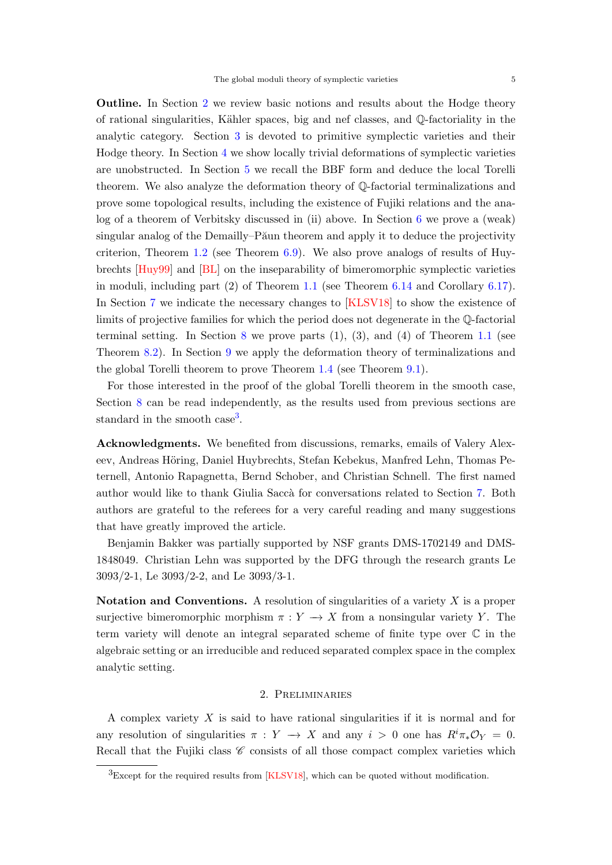<span id="page-4-2"></span>Outline. In Section [2](#page-4-0) we review basic notions and results about the Hodge theory of rational singularities, Kähler spaces, big and nef classes, and  $\mathbb{Q}$ -factoriality in the analytic category. Section [3](#page-9-0) is devoted to primitive symplectic varieties and their Hodge theory. In Section [4](#page-13-0) we show locally trivial deformations of symplectic varieties are unobstructed. In Section [5](#page-18-0) we recall the BBF form and deduce the local Torelli theorem. We also analyze the deformation theory of Q-factorial terminalizations and prove some topological results, including the existence of Fujiki relations and the analog of a theorem of Verbitsky discussed in (ii) above. In Section [6](#page-26-0) we prove a (weak) singular analog of the Demailly–P $\tilde{a}$ un theorem and apply it to deduce the projectivity criterion, Theorem [1.2](#page-2-0) (see Theorem [6.9\)](#page-29-0). We also prove analogs of results of Huybrechts [\[Huy99\]](#page-44-3) and [\[BL\]](#page-42-3) on the inseparability of bimeromorphic symplectic varieties in moduli, including part (2) of Theorem [1.1](#page-1-2) (see Theorem [6.14](#page-31-1) and Corollary [6.17\)](#page-32-1). In Section [7](#page-32-0) we indicate the necessary changes to [\[KLSV18\]](#page-45-0) to show the existence of limits of projective families for which the period does not degenerate in the Q-factorial terminal setting. In Section [8](#page-35-0) we prove parts  $(1)$ ,  $(3)$ , and  $(4)$  of Theorem [1.1](#page-1-2) (see Theorem [8.2\)](#page-35-1). In Section [9](#page-40-0) we apply the deformation theory of terminalizations and the global Torelli theorem to prove Theorem [1.4](#page-3-0) (see Theorem [9.1\)](#page-40-1).

For those interested in the proof of the global Torelli theorem in the smooth case, Section [8](#page-35-0) can be read independently, as the results used from previous sections are standard in the smooth case<sup>[3](#page-4-1)</sup>.

Acknowledgments. We benefited from discussions, remarks, emails of Valery Alexeev, Andreas Höring, Daniel Huybrechts, Stefan Kebekus, Manfred Lehn, Thomas Peternell, Antonio Rapagnetta, Bernd Schober, and Christian Schnell. The first named author would like to thank Giulia Saccà for conversations related to Section [7.](#page-32-0) Both authors are grateful to the referees for a very careful reading and many suggestions that have greatly improved the article.

Benjamin Bakker was partially supported by NSF grants DMS-1702149 and DMS-1848049. Christian Lehn was supported by the DFG through the research grants Le 3093/2-1, Le 3093/2-2, and Le 3093/3-1.

Notation and Conventions. A resolution of singularities of a variety  $X$  is a proper surjective bimeromorphic morphism  $\pi : Y \to X$  from a nonsingular variety Y. The term variety will denote an integral separated scheme of finite type over C in the algebraic setting or an irreducible and reduced separated complex space in the complex analytic setting.

# 2. Preliminaries

<span id="page-4-0"></span>A complex variety  $X$  is said to have rational singularities if it is normal and for any resolution of singularities  $\pi : Y \to X$  and any  $i > 0$  one has  $R^i \pi_* \mathcal{O}_Y = 0$ . Recall that the Fujiki class  $\mathscr C$  consists of all those compact complex varieties which

<span id="page-4-1"></span> ${}^{3}$ Except for the required results from [\[KLSV18\]](#page-45-0), which can be quoted without modification.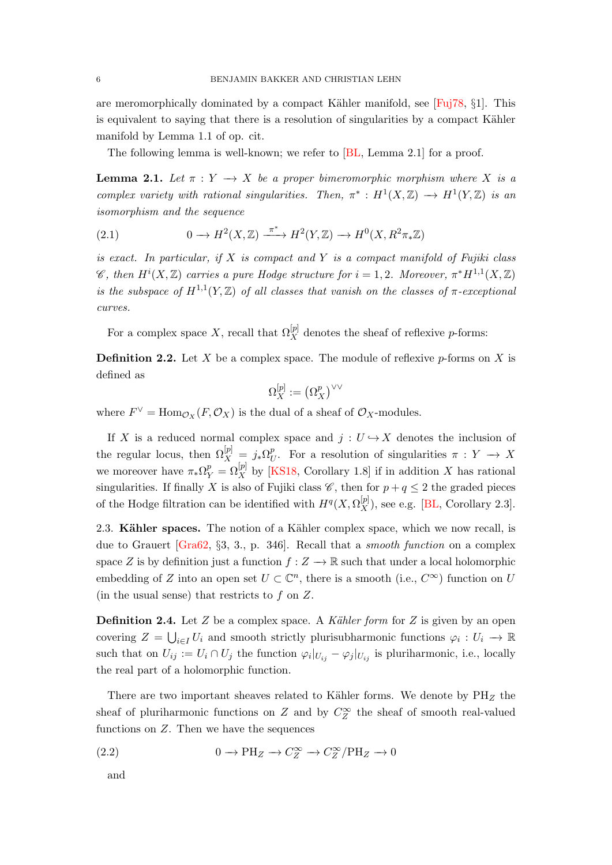<span id="page-5-2"></span>are meromorphically dominated by a compact Kähler manifold, see [\[Fuj78,](#page-43-5)  $\S1$ ]. This is equivalent to saying that there is a resolution of singularities by a compact Kähler manifold by Lemma 1.1 of op. cit.

The following lemma is well-known; we refer to [\[BL,](#page-42-3) Lemma 2.1] for a proof.

<span id="page-5-0"></span>**Lemma 2.1.** Let  $\pi : Y \to X$  be a proper bimeromorphic morphism where X is a complex variety with rational singularities. Then,  $\pi^*: H^1(X,\mathbb{Z}) \longrightarrow H^1(Y,\mathbb{Z})$  is an isomorphism and the sequence

(2.1) 
$$
0 \longrightarrow H^2(X,\mathbb{Z}) \xrightarrow{\pi^*} H^2(Y,\mathbb{Z}) \longrightarrow H^0(X,R^2\pi_*\mathbb{Z})
$$

is exact. In particular, if  $X$  is compact and  $Y$  is a compact manifold of Fujiki class *C*, then  $H^{i}(X, \mathbb{Z})$  carries a pure Hodge structure for  $i = 1, 2$ . Moreover,  $\pi^{*}H^{1,1}(X, \mathbb{Z})$ is the subspace of  $H^{1,1}(Y,\mathbb{Z})$  of all classes that vanish on the classes of  $\pi$ -exceptional curves.

For a complex space X, recall that  $\Omega_X^{[p]}$  denotes the sheaf of reflexive p-forms:

**Definition 2.2.** Let X be a complex space. The module of reflexive  $p$ -forms on X is defined as

$$
\Omega^{[p]}_X:=\left(\Omega^p_X\right)^{\vee\vee}
$$

where  $F^{\vee} = \text{Hom}_{\mathcal{O}_X}(F, \mathcal{O}_X)$  is the dual of a sheaf of  $\mathcal{O}_X$ -modules.

If X is a reduced normal complex space and  $j : U \hookrightarrow X$  denotes the inclusion of the regular locus, then  $\Omega_X^{[p]} = j_* \Omega_U^p$  $<sup>p</sup>$ . For a resolution of singularities π :  $Y$  → X</sup> we moreover have  $\pi_*\Omega_Y^p = \Omega_X^{[p]}$  by [\[KS18,](#page-45-3) Corollary 1.8] if in addition X has rational singularities. If finally X is also of Fujiki class  $\mathscr{C}$ , then for  $p + q \leq 2$  the graded pieces of the Hodge filtration can be identified with  $H^q(X, \Omega_X^{[p]}),$  see e.g. [\[BL,](#page-42-3) Corollary 2.3].

2.3. Kähler spaces. The notion of a Kähler complex space, which we now recall, is due to Grauert [\[Gra62,](#page-44-5) §3, 3., p. 346]. Recall that a smooth function on a complex space Z is by definition just a function  $f: Z \to \mathbb{R}$  such that under a local holomorphic embedding of Z into an open set  $U \subset \mathbb{C}^n$ , there is a smooth (i.e.,  $C^{\infty}$ ) function on U (in the usual sense) that restricts to  $f$  on  $Z$ .

**Definition 2.4.** Let  $Z$  be a complex space. A Kähler form for  $Z$  is given by an open covering  $Z = \bigcup_{i \in I} U_i$  and smooth strictly plurisubharmonic functions  $\varphi_i : U_i \to \mathbb{R}$ such that on  $U_{ij} := U_i \cap U_j$  the function  $\varphi_i|_{U_{ij}} - \varphi_j|_{U_{ij}}$  is pluriharmonic, i.e., locally the real part of a holomorphic function.

There are two important sheaves related to Kähler forms. We denote by  $PH_Z$  the sheaf of pluriharmonic functions on  $Z$  and by  $C_Z^{\infty}$  the sheaf of smooth real-valued functions on  $Z$ . Then we have the sequences

(2.2) 
$$
0 \to \text{PH}_Z \to C_Z^{\infty} \to C_Z^{\infty}/\text{PH}_Z \to 0
$$

<span id="page-5-1"></span>and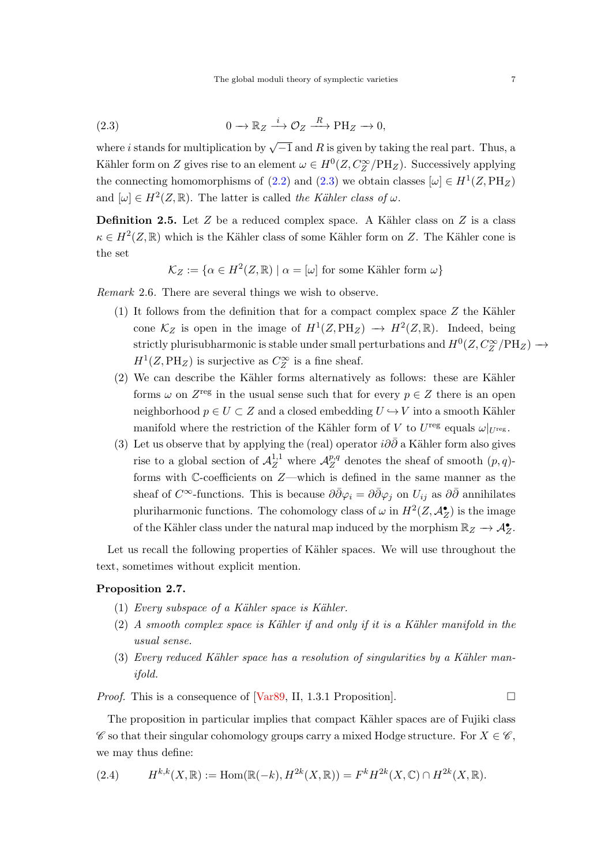<span id="page-6-4"></span><span id="page-6-0"></span>(2.3) 
$$
0 \to \mathbb{R}_Z \xrightarrow{i} \mathcal{O}_Z \xrightarrow{R} \mathrm{PH}_Z \to 0,
$$

where *i* stands for multiplication by  $\sqrt{-1}$  and R is given by taking the real part. Thus, a Kähler form on Z gives rise to an element  $\omega \in H^0(Z, C_Z^{\infty}/\text{PH}_Z)$ . Successively applying the connecting homomorphisms of [\(2.2\)](#page-5-1) and [\(2.3\)](#page-6-0) we obtain classes  $[\omega] \in H^1(Z, \text{PH}_Z)$ and  $[\omega] \in H^2(Z,\mathbb{R})$ . The latter is called the Kähler class of  $\omega$ .

**Definition 2.5.** Let  $Z$  be a reduced complex space. A Kähler class on  $Z$  is a class  $\kappa \in H^2(Z, \mathbb{R})$  which is the Kähler class of some Kähler form on Z. The Kähler cone is the set

$$
\mathcal{K}_Z := \{ \alpha \in H^2(Z, \mathbb{R}) \mid \alpha = [\omega] \text{ for some Kähler form } \omega \}
$$

<span id="page-6-1"></span>Remark 2.6. There are several things we wish to observe.

- (1) It follows from the definition that for a compact complex space  $Z$  the Kähler cone  $\mathcal{K}_Z$  is open in the image of  $H^1(Z, \text{PH}_Z) \to H^2(Z, \mathbb{R})$ . Indeed, being strictly plurisubharmonic is stable under small perturbations and  $H^0(Z, C_Z^{\infty}/\text{PH}_Z) \longrightarrow$  $H<sup>1</sup>(Z, PH<sub>Z</sub>)$  is surjective as  $C<sub>Z</sub><sup>\infty</sup>$  is a fine sheaf.
- $(2)$  We can describe the Kähler forms alternatively as follows: these are Kähler forms  $\omega$  on  $Z^{\text{reg}}$  in the usual sense such that for every  $p \in Z$  there is an open neighborhood  $p \in U \subset Z$  and a closed embedding  $U \hookrightarrow V$  into a smooth Kähler manifold where the restriction of the Kähler form of V to  $U^{\text{reg}}$  equals  $\omega|_{U^{\text{reg}}}$ .
- (3) Let us observe that by applying the (real) operator  $i\partial\bar{\partial}$  a Kähler form also gives rise to a global section of  $\mathcal{A}_Z^{1,1}$  where  $\mathcal{A}_Z^{p,q}$  $Z^{p,q}$  denotes the sheaf of smooth  $(p,q)$ forms with C-coefficients on Z—which is defined in the same manner as the sheaf of C<sup>∞</sup>-functions. This is because  $\partial \bar{\partial} \varphi_i = \partial \bar{\partial} \varphi_j$  on  $U_{ij}$  as  $\partial \bar{\partial}$  annihilates pluriharmonic functions. The cohomology class of  $\omega$  in  $H^2(Z, \mathcal{A}_{Z}^{\bullet})$  is the image of the Kähler class under the natural map induced by the morphism  $\mathbb{R}_Z \to \mathcal{A}^{\bullet}_Z$ .

Let us recall the following properties of Kähler spaces. We will use throughout the text, sometimes without explicit mention.

## <span id="page-6-3"></span>Proposition 2.7.

- $(1)$  Every subspace of a Kähler space is Kähler.
- $(2)$  A smooth complex space is Kähler if and only if it is a Kähler manifold in the usual sense.
- (3) Every reduced Kähler space has a resolution of singularities by a Kähler manifold.

*Proof.* This is a consequence of [\[Var89,](#page-46-3) II, 1.3.1 Proposition].  $\Box$ 

The proposition in particular implies that compact Kähler spaces are of Fujiki class  $\mathscr C$  so that their singular cohomology groups carry a mixed Hodge structure. For  $X \in \mathscr C$ , we may thus define:

<span id="page-6-2"></span>(2.4) 
$$
H^{k,k}(X,\mathbb{R}) := \text{Hom}(\mathbb{R}(-k),H^{2k}(X,\mathbb{R})) = F^k H^{2k}(X,\mathbb{C}) \cap H^{2k}(X,\mathbb{R}).
$$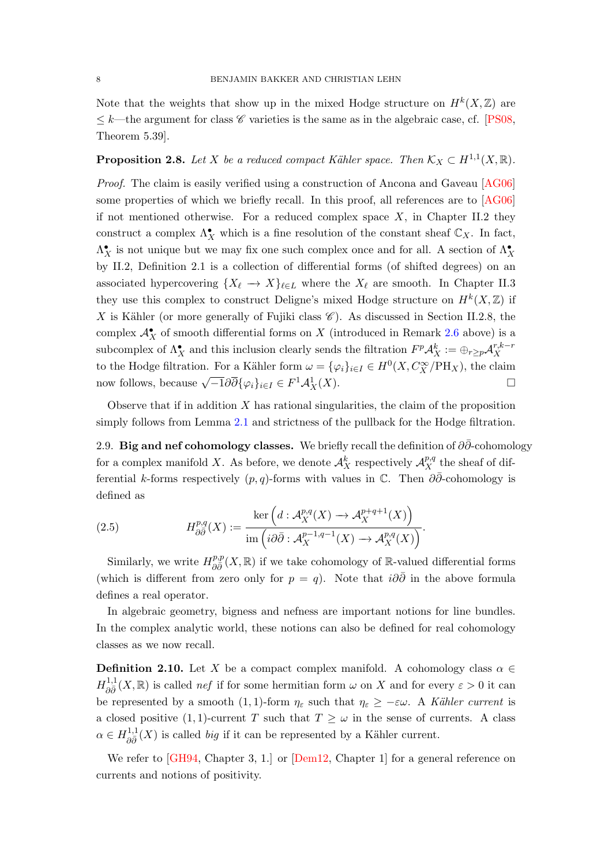<span id="page-7-1"></span>Note that the weights that show up in the mixed Hodge structure on  $H^k(X,\mathbb{Z})$  are  $\leq k$ —the argument for class  $\mathscr C$  varieties is the same as in the algebraic case, cf. [\[PS08,](#page-46-4) Theorem 5.39].

# <span id="page-7-0"></span>**Proposition 2.8.** Let X be a reduced compact Kähler space. Then  $\mathcal{K}_X \subset H^{1,1}(X,\mathbb{R})$ .

Proof. The claim is easily verified using a construction of Ancona and Gaveau [\[AG06\]](#page-42-5) some properties of which we briefly recall. In this proof, all references are to [\[AG06\]](#page-42-5) if not mentioned otherwise. For a reduced complex space  $X$ , in Chapter II.2 they construct a complex  $\Lambda_X^{\bullet}$  which is a fine resolution of the constant sheaf  $\mathbb{C}_X$ . In fact,  $\Lambda_X^{\bullet}$  is not unique but we may fix one such complex once and for all. A section of  $\Lambda_X^{\bullet}$ by II.2, Definition 2.1 is a collection of differential forms (of shifted degrees) on an associated hypercovering  $\{X_\ell \to X\}_{\ell \in L}$  where the  $X_\ell$  are smooth. In Chapter II.3 they use this complex to construct Deligne's mixed Hodge structure on  $H^k(X,\mathbb{Z})$  if X is Kähler (or more generally of Fujiki class  $\mathscr{C}$ ). As discussed in Section II.2.8, the complex  $\mathcal{A}_X^{\bullet}$  of smooth differential forms on X (introduced in Remark [2.6](#page-6-1) above) is a subcomplex of  $\Lambda_X^{\bullet}$  and this inclusion clearly sends the filtration  $F^p \mathcal{A}_X^k := \bigoplus_{r \geq p} \mathcal{A}_X^{r,k-r}$ X to the Hodge filtration. For a Kähler form  $\omega = {\{\varphi_i\}}_{i \in I} \in H^0(X, C^{\infty}_X/\mathrm{PH}_X)$ , the claim now follows, because  $\sqrt{-1}\partial\overline{\partial}\{\varphi_i\}_{i\in I} \in F^1\mathcal{A}^1_X(X)$ .

Observe that if in addition  $X$  has rational singularities, the claim of the proposition simply follows from Lemma [2.1](#page-5-0) and strictness of the pullback for the Hodge filtration.

2.9. Big and nef cohomology classes. We briefly recall the definition of  $\partial \bar{\partial}$ -cohomology for a complex manifold X. As before, we denote  $\mathcal{A}_X^k$  respectively  $\mathcal{A}_X^{p,q}$  the sheaf of differential k-forms respectively  $(p, q)$ -forms with values in  $\mathbb C$ . Then  $\partial \bar{\partial}$ -cohomology is defined as

(2.5) 
$$
H^{p,q}_{\partial \bar{\partial}}(X) := \frac{\ker\left(d : \mathcal{A}^{p,q}_X(X) \to \mathcal{A}^{p+q+1}_X(X)\right)}{\operatorname{im}\left(i\partial \bar{\partial} : \mathcal{A}^{p-1,q-1}_X(X) \to \mathcal{A}^{p,q}_X(X)\right)}.
$$

Similarly, we write  $H^{p,p}_{\partial \bar{\partial}}(X,\mathbb{R})$  if we take cohomology of R-valued differential forms (which is different from zero only for  $p = q$ ). Note that  $i\partial\overline{\partial}$  in the above formula defines a real operator.

In algebraic geometry, bigness and nefness are important notions for line bundles. In the complex analytic world, these notions can also be defined for real cohomology classes as we now recall.

**Definition 2.10.** Let X be a compact complex manifold. A cohomology class  $\alpha \in$  $H_{\partial \bar{\partial}}^{1,1}(X,\mathbb{R})$  is called *nef* if for some hermitian form  $\omega$  on X and for every  $\varepsilon > 0$  it can be represented by a smooth (1, 1)-form  $\eta_{\varepsilon}$  such that  $\eta_{\varepsilon} \geq -\varepsilon \omega$ . A Kähler current is a closed positive (1, 1)-current T such that  $T \geq \omega$  in the sense of currents. A class  $\alpha \in H_{\partial \bar{\partial}}^{1,1}(X)$  is called *big* if it can be represented by a Kähler current.

We refer to [\[GH94,](#page-43-6) Chapter 3, 1.] or [\[Dem12,](#page-43-7) Chapter 1] for a general reference on currents and notions of positivity.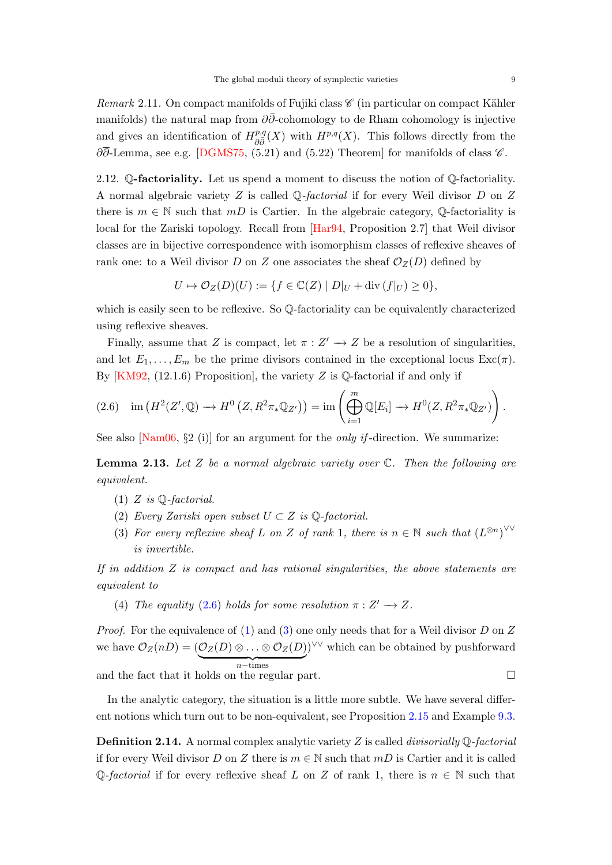<span id="page-8-5"></span>Remark 2.11. On compact manifolds of Fujiki class  $\mathscr C$  (in particular on compact Kähler manifolds) the natural map from  $\partial \bar{\partial}$ -cohomology to de Rham cohomology is injective and gives an identification of  $H^{p,q}_{\partial \bar{\partial}}(X)$  with  $H^{p,q}(X)$ . This follows directly from the  $\partial\overline{\partial}$ -Lemma, see e.g. [\[DGMS75,](#page-43-8) (5.21) and (5.22) Theorem] for manifolds of class  $\mathscr{C}$ .

<span id="page-8-0"></span>2.12. Q-factoriality. Let us spend a moment to discuss the notion of Q-factoriality. A normal algebraic variety Z is called Q-factorial if for every Weil divisor D on Z there is  $m \in \mathbb{N}$  such that  $mD$  is Cartier. In the algebraic category, Q-factoriality is local for the Zariski topology. Recall from [\[Har94,](#page-44-6) Proposition 2.7] that Weil divisor classes are in bijective correspondence with isomorphism classes of reflexive sheaves of rank one: to a Weil divisor D on Z one associates the sheaf  $\mathcal{O}_Z(D)$  defined by

$$
U \mapsto \mathcal{O}_Z(D)(U) := \{ f \in \mathbb{C}(Z) \mid D|_U + \text{div}(f|_U) \ge 0 \},
$$

which is easily seen to be reflexive. So  $\mathbb{Q}$ -factoriality can be equivalently characterized using reflexive sheaves.

Finally, assume that Z is compact, let  $\pi : Z' \to Z$  be a resolution of singularities, and let  $E_1, \ldots, E_m$  be the prime divisors contained in the exceptional locus  $\text{Exc}(\pi)$ . By  $[KM92, (12.1.6)$  Proposition, the variety Z is Q-factorial if and only if

<span id="page-8-1"></span>
$$
(2.6) \quad \text{im}\left(H^2(Z',\mathbb{Q})\to H^0\left(Z,R^2\pi_*\mathbb{Q}_{Z'}\right)\right)=\text{im}\left(\bigoplus_{i=1}^m\mathbb{Q}[E_i]\to H^0(Z,R^2\pi_*\mathbb{Q}_{Z'})\right).
$$

See also [\[Nam06,](#page-45-7)  $\S2$  (i)] for an argument for the *only if*-direction. We summarize:

**Lemma 2.13.** Let Z be a normal algebraic variety over  $\mathbb{C}$ . Then the following are equivalent.

- <span id="page-8-2"></span>(1) Z is  $\mathbb{Q}$ -factorial.
- (2) Every Zariski open subset  $U \subset Z$  is  $\mathbb{Q}$ -factorial.
- <span id="page-8-3"></span>(3) For every reflexive sheaf L on Z of rank 1, there is  $n \in \mathbb{N}$  such that  $(L^{\otimes n})^{\vee\vee}$ is invertible.

If in addition  $Z$  is compact and has rational singularities, the above statements are equivalent to

(4) The equality [\(2.6\)](#page-8-1) holds for some resolution  $\pi : Z' \longrightarrow Z$ .

*Proof.* For the equivalence of [\(1\)](#page-8-2) and [\(3\)](#page-8-3) one only needs that for a Weil divisor D on Z we have  $\mathcal{O}_Z(nD) = (\mathcal{O}_Z(D) \otimes \ldots \otimes \mathcal{O}_Z(D))^{\vee \vee}$  which can be obtained by pushforward  $n$ −times and the fact that it holds on the regular part.  $\Box$ 

In the analytic category, the situation is a little more subtle. We have several different notions which turn out to be non-equivalent, see Proposition [2.15](#page-9-1) and Example [9.3.](#page-41-0)

<span id="page-8-4"></span>**Definition 2.14.** A normal complex analytic variety Z is called *divisorially*  $\mathbb{Q}$ -factorial if for every Weil divisor D on Z there is  $m \in \mathbb{N}$  such that  $mD$  is Cartier and it is called  $\mathbb{Q}$ -factorial if for every reflexive sheaf L on Z of rank 1, there is  $n \in \mathbb{N}$  such that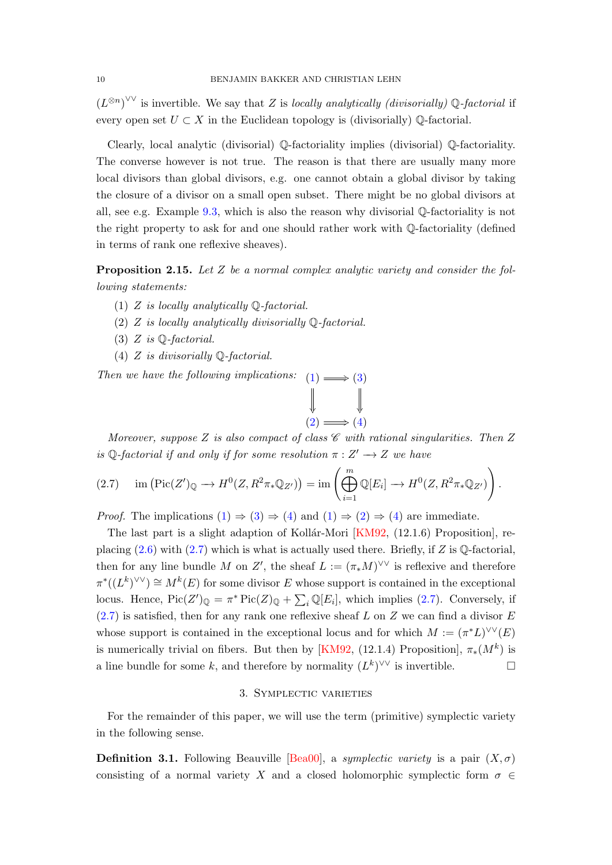<span id="page-9-7"></span> $(L^{\otimes n})^{\vee\vee}$  is invertible. We say that Z is locally analytically (divisorially) Q-factorial if every open set  $U \subset X$  in the Euclidean topology is (divisorially)  $\mathbb{O}$ -factorial.

Clearly, local analytic (divisorial) Q-factoriality implies (divisorial) Q-factoriality. The converse however is not true. The reason is that there are usually many more local divisors than global divisors, e.g. one cannot obtain a global divisor by taking the closure of a divisor on a small open subset. There might be no global divisors at all, see e.g. Example [9.3,](#page-41-0) which is also the reason why divisorial Q-factoriality is not the right property to ask for and one should rather work with Q-factoriality (defined in terms of rank one reflexive sheaves).

<span id="page-9-1"></span>**Proposition 2.15.** Let  $Z$  be a normal complex analytic variety and consider the following statements:

- <span id="page-9-2"></span>(1) Z is locally analytically  $\mathbb Q$ -factorial.
- <span id="page-9-4"></span>(2)  $Z$  is locally analytically divisorially  $\mathbb{Q}$ -factorial.
- <span id="page-9-3"></span>(3) Z is  $\mathbb{Q}$ -factorial.
- <span id="page-9-5"></span>(4) Z is divisorially Q-factorial.

Then we have the following implications:  $(1) \implies (3)$  $(1) \implies (3)$  $(1) \implies (3)$ 

$$
\downarrow \qquad \qquad \downarrow
$$
\n
$$
(2) \Longrightarrow (4)
$$

Moreover, suppose Z is also compact of class  $\mathscr C$  with rational singularities. Then Z is Q-factorial if and only if for some resolution  $\pi : Z' \longrightarrow Z$  we have

<span id="page-9-6"></span>
$$
(2.7) \quad \text{im}\left(\text{Pic}(Z')_{\mathbb{Q}}\longrightarrow H^0(Z,R^2\pi_*\mathbb{Q}_{Z'})\right)=\text{im}\left(\bigoplus_{i=1}^m\mathbb{Q}[E_i]\longrightarrow H^0(Z,R^2\pi_*\mathbb{Q}_{Z'})\right).
$$

*Proof.* The implications  $(1) \Rightarrow (3) \Rightarrow (4)$  $(1) \Rightarrow (3) \Rightarrow (4)$  $(1) \Rightarrow (3) \Rightarrow (4)$  $(1) \Rightarrow (3) \Rightarrow (4)$  and  $(1) \Rightarrow (2) \Rightarrow (4)$  $(1) \Rightarrow (2) \Rightarrow (4)$  $(1) \Rightarrow (2) \Rightarrow (4)$  are immediate.

The last part is a slight adaption of Kollár-Mori  $[KM92, (12.1.6)$  Proposition, replacing  $(2.6)$  with  $(2.7)$  which is what is actually used there. Briefly, if Z is  $\mathbb{Q}$ -factorial, then for any line bundle M on Z', the sheaf  $L := (\pi_* M)^{\vee \vee}$  is reflexive and therefore  $\pi^*((L^k)^{\vee\vee}) \cong M^k(E)$  for some divisor E whose support is contained in the exceptional locus. Hence,  $Pic(Z')_{\mathbb{Q}} = \pi^* Pic(Z)_{\mathbb{Q}} + \sum_i \mathbb{Q}[E_i]$ , which implies [\(2.7\)](#page-9-6). Conversely, if  $(2.7)$  is satisfied, then for any rank one reflexive sheaf L on Z we can find a divisor E whose support is contained in the exceptional locus and for which  $M := (\pi^*L)^{\vee\vee}(E)$ is numerically trivial on fibers. But then by [\[KM92,](#page-45-8) (12.1.4) Proposition],  $\pi_*(M^k)$  is a line bundle for some k, and therefore by normality  $(L^k)^{\vee\vee}$  is invertible.

## 3. Symplectic varieties

<span id="page-9-0"></span>For the remainder of this paper, we will use the term (primitive) symplectic variety in the following sense.

**Definition 3.1.** Following Beauville [\[Bea00\]](#page-42-1), a symplectic variety is a pair  $(X, \sigma)$ consisting of a normal variety X and a closed holomorphic symplectic form  $\sigma \in$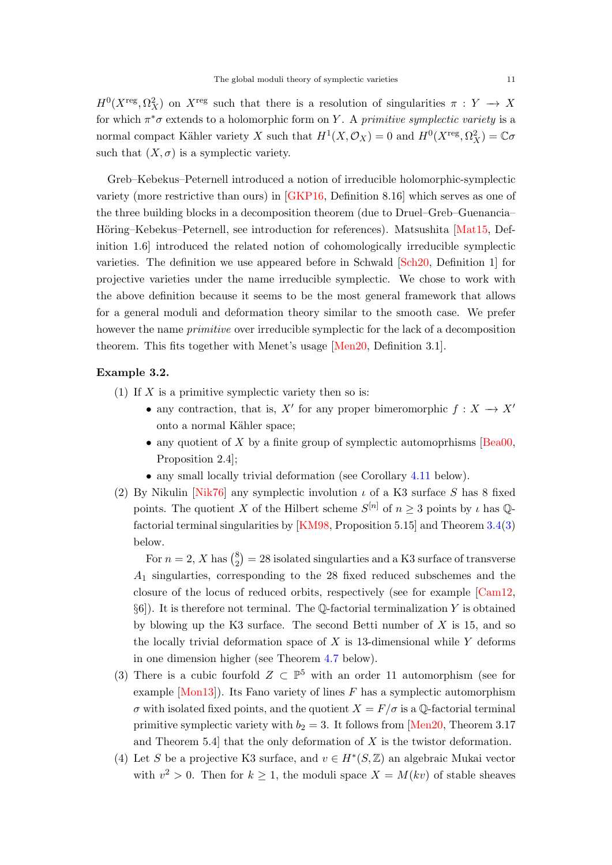<span id="page-10-0"></span> $H^0(X^{\text{reg}}, \Omega_X^2)$  on  $X^{\text{reg}}$  such that there is a resolution of singularities  $\pi: Y \to X$ for which  $\pi^*\sigma$  extends to a holomorphic form on Y. A primitive symplectic variety is a normal compact Kähler variety X such that  $H^1(X, \mathcal{O}_X) = 0$  and  $H^0(X^{reg}, \Omega_X^2) = \mathbb{C}\sigma$ such that  $(X, \sigma)$  is a symplectic variety.

Greb–Kebekus–Peternell introduced a notion of irreducible holomorphic-symplectic variety (more restrictive than ours) in [\[GKP16,](#page-44-2) Definition 8.16] which serves as one of the three building blocks in a decomposition theorem (due to Druel–Greb–Guenancia– Höring–Kebekus–Peternell, see introduction for references). Matsushita [\[Mat15,](#page-45-9) Definition 1.6] introduced the related notion of cohomologically irreducible symplectic varieties. The definition we use appeared before in Schwald [\[Sch20,](#page-46-5) Definition 1] for projective varieties under the name irreducible symplectic. We chose to work with the above definition because it seems to be the most general framework that allows for a general moduli and deformation theory similar to the smooth case. We prefer however the name *primitive* over irreducible symplectic for the lack of a decomposition theorem. This fits together with Menet's usage [\[Men20,](#page-45-4) Definition 3.1].

## Example 3.2.

- (1) If  $X$  is a primitive symplectic variety then so is:
	- any contraction, that is, X' for any proper bimeromorphic  $f : X \longrightarrow X'$ onto a normal Kähler space;
	- any quotient of X by a finite group of symplectic automoprhisms [\[Bea00,](#page-42-1) Proposition 2.4];
	- any small locally trivial deformation (see Corollary [4.11](#page-17-0) below).
- (2) By Nikulin [\[Nik76\]](#page-45-10) any symplectic involution  $\iota$  of a K3 surface S has 8 fixed points. The quotient X of the Hilbert scheme  $S^{[n]}$  of  $n \geq 3$  points by  $\iota$  has Qfactorial terminal singularities by [\[KM98,](#page-45-11) Proposition 5.15] and Theorem [3.4\(](#page-12-0)[3\)](#page-12-1) below.

For  $n=2, X$  has  $\binom{8}{2}$  $\binom{8}{2}$  = 28 isolated singularties and a K3 surface of transverse A<sup>1</sup> singularties, corresponding to the 28 fixed reduced subschemes and the closure of the locus of reduced orbits, respectively (see for example [\[Cam12,](#page-42-6)  $\S6$ ). It is therefore not terminal. The Q-factorial terminalization Y is obtained by blowing up the K3 surface. The second Betti number of  $X$  is 15, and so the locally trivial deformation space of  $X$  is 13-dimensional while  $Y$  deforms in one dimension higher (see Theorem [4.7](#page-15-0) below).

- (3) There is a cubic fourfold  $Z \subset \mathbb{P}^5$  with an order 11 automorphism (see for example  $[Mon13]$ . Its Fano variety of lines F has a symplectic automorphism  $\sigma$  with isolated fixed points, and the quotient  $X = F/\sigma$  is a Q-factorial terminal primitive symplectic variety with  $b_2 = 3$ . It follows from [\[Men20,](#page-45-4) Theorem 3.17 and Theorem 5.4 that the only deformation of  $X$  is the twistor deformation.
- (4) Let S be a projective K3 surface, and  $v \in H^*(S, \mathbb{Z})$  an algebraic Mukai vector with  $v^2 > 0$ . Then for  $k \geq 1$ , the moduli space  $X = M(kv)$  of stable sheaves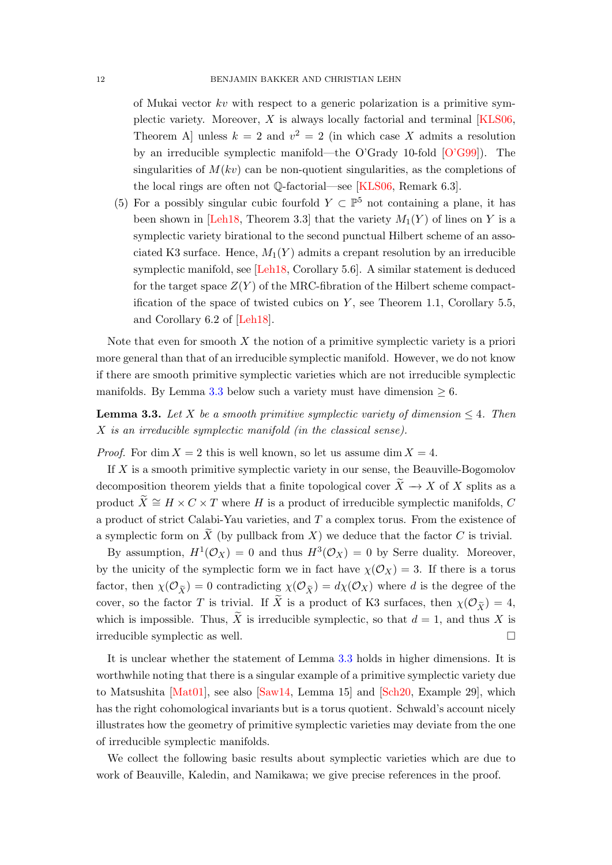<span id="page-11-1"></span>of Mukai vector  $kv$  with respect to a generic polarization is a primitive symplectic variety. Moreover,  $X$  is always locally factorial and terminal  $[KLS06,$ Theorem A unless  $k = 2$  and  $v^2 = 2$  (in which case X admits a resolution by an irreducible symplectic manifold—the O'Grady 10-fold [\[O'G99\]](#page-45-13)). The singularities of  $M(kv)$  can be non-quotient singularities, as the completions of the local rings are often not Q-factorial—see [\[KLS06,](#page-44-7) Remark 6.3].

(5) For a possibly singular cubic fourfold  $Y \subset \mathbb{P}^5$  not containing a plane, it has been shown in [\[Leh18,](#page-45-14) Theorem 3.3] that the variety  $M_1(Y)$  of lines on Y is a symplectic variety birational to the second punctual Hilbert scheme of an associated K3 surface. Hence,  $M_1(Y)$  admits a crepant resolution by an irreducible symplectic manifold, see [\[Leh18,](#page-45-14) Corollary 5.6]. A similar statement is deduced for the target space  $Z(Y)$  of the MRC-fibration of the Hilbert scheme compactification of the space of twisted cubics on  $Y$ , see Theorem 1.1, Corollary 5.5, and Corollary 6.2 of [\[Leh18\]](#page-45-14).

Note that even for smooth  $X$  the notion of a primitive symplectic variety is a priori more general than that of an irreducible symplectic manifold. However, we do not know if there are smooth primitive symplectic varieties which are not irreducible symplectic manifolds. By Lemma [3.3](#page-11-0) below such a variety must have dimension  $\geq 6$ .

<span id="page-11-0"></span>**Lemma 3.3.** Let X be a smooth primitive symplectic variety of dimension  $\leq 4$ . Then X is an irreducible symplectic manifold (in the classical sense).

*Proof.* For dim  $X = 2$  this is well known, so let us assume dim  $X = 4$ .

If  $X$  is a smooth primitive symplectic variety in our sense, the Beauville-Bogomolov decomposition theorem yields that a finite topological cover  $\widetilde{X} \to X$  of X splits as a product  $\widetilde{X} \cong H \times C \times T$  where H is a product of irreducible symplectic manifolds, C a product of strict Calabi-Yau varieties, and T a complex torus. From the existence of a symplectic form on  $\widetilde{X}$  (by pullback from X) we deduce that the factor C is trivial.

By assumption,  $H^1(\mathcal{O}_X) = 0$  and thus  $H^3(\mathcal{O}_X) = 0$  by Serre duality. Moreover, by the unicity of the symplectic form we in fact have  $\chi(\mathcal{O}_X) = 3$ . If there is a torus factor, then  $\chi(\mathcal{O}_{\widetilde{X}}) = 0$  contradicting  $\chi(\mathcal{O}_{\widetilde{X}}) = d\chi(\mathcal{O}_X)$  where d is the degree of the cover, so the factor T is trivial. If  $\widetilde{X}$  is a product of K3 surfaces, then  $\chi(\mathcal{O}_{\widetilde{Y}}) = 4$ , which is impossible. Thus,  $\widetilde{X}$  is irreducible symplectic, so that  $d = 1$ , and thus X is irreducible symplectic as well.

It is unclear whether the statement of Lemma [3.3](#page-11-0) holds in higher dimensions. It is worthwhile noting that there is a singular example of a primitive symplectic variety due to Matsushita [\[Mat01\]](#page-45-15), see also [\[Saw14,](#page-46-6) Lemma 15] and [\[Sch20,](#page-46-5) Example 29], which has the right cohomological invariants but is a torus quotient. Schwald's account nicely illustrates how the geometry of primitive symplectic varieties may deviate from the one of irreducible symplectic manifolds.

We collect the following basic results about symplectic varieties which are due to work of Beauville, Kaledin, and Namikawa; we give precise references in the proof.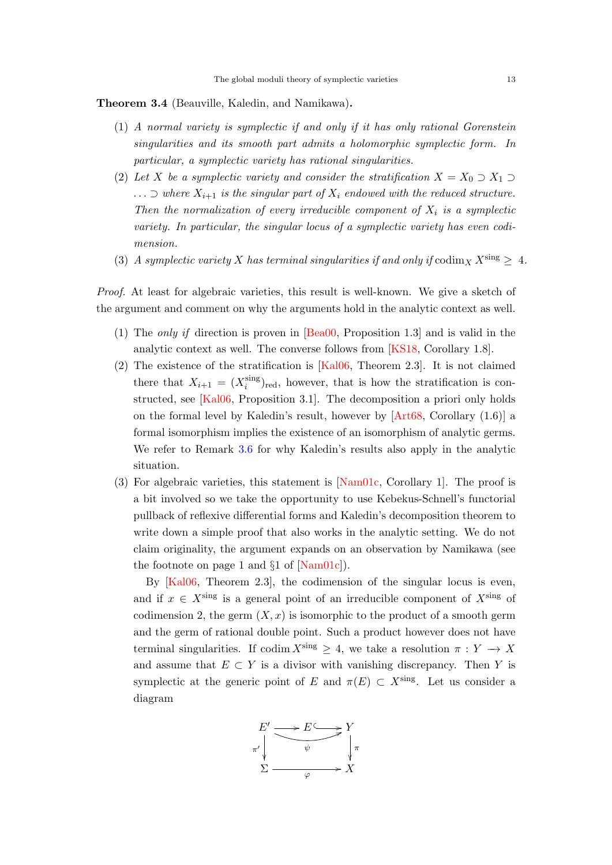<span id="page-12-2"></span><span id="page-12-0"></span>Theorem 3.4 (Beauville, Kaledin, and Namikawa).

- (1) A normal variety is symplectic if and only if it has only rational Gorenstein singularities and its smooth part admits a holomorphic symplectic form. In particular, a symplectic variety has rational singularities.
- (2) Let X be a symplectic variety and consider the stratification  $X = X_0 \supset X_1 \supset Y_2$  $\ldots$   $\supset$  where  $X_{i+1}$  is the singular part of  $X_i$  endowed with the reduced structure. Then the normalization of every irreducible component of  $X_i$  is a symplectic variety. In particular, the singular locus of a symplectic variety has even codimension.
- <span id="page-12-1"></span>(3) A symplectic variety X has terminal singularities if and only if  $\text{codim}_X X^{\text{sing}} \geq 4$ .

Proof. At least for algebraic varieties, this result is well-known. We give a sketch of the argument and comment on why the arguments hold in the analytic context as well.

- (1) The only if direction is proven in [\[Bea00,](#page-42-1) Proposition 1.3] and is valid in the analytic context as well. The converse follows from [\[KS18,](#page-45-3) Corollary 1.8].
- (2) The existence of the stratification is [\[Kal06,](#page-44-8) Theorem 2.3]. It is not claimed there that  $X_{i+1} = (X_i^{\text{sing}})$  $\binom{\text{sing}}{i}$ <sub>red</sub>, however, that is how the stratification is constructed, see [\[Kal06,](#page-44-8) Proposition 3.1]. The decomposition a priori only holds on the formal level by Kaledin's result, however by [\[Art68,](#page-42-7) Corollary (1.6)] a formal isomorphism implies the existence of an isomorphism of analytic germs. We refer to Remark [3.6](#page-13-1) for why Kaledin's results also apply in the analytic situation.
- (3) For algebraic varieties, this statement is [\[Nam01c,](#page-45-16) Corollary 1]. The proof is a bit involved so we take the opportunity to use Kebekus-Schnell's functorial pullback of reflexive differential forms and Kaledin's decomposition theorem to write down a simple proof that also works in the analytic setting. We do not claim originality, the argument expands on an observation by Namikawa (see the footnote on page 1 and  $\S1$  of [\[Nam01c\]](#page-45-16)).

By [\[Kal06,](#page-44-8) Theorem 2.3], the codimension of the singular locus is even, and if  $x \in X^{\text{sing}}$  is a general point of an irreducible component of  $X^{\text{sing}}$  of codimension 2, the germ  $(X, x)$  is isomorphic to the product of a smooth germ and the germ of rational double point. Such a product however does not have terminal singularities. If codim  $X^{\text{sing}} \geq 4$ , we take a resolution  $\pi : Y \to X$ and assume that  $E \subset Y$  is a divisor with vanishing discrepancy. Then Y is symplectic at the generic point of E and  $\pi(E) \subset X^{\text{sing}}$ . Let us consider a diagram

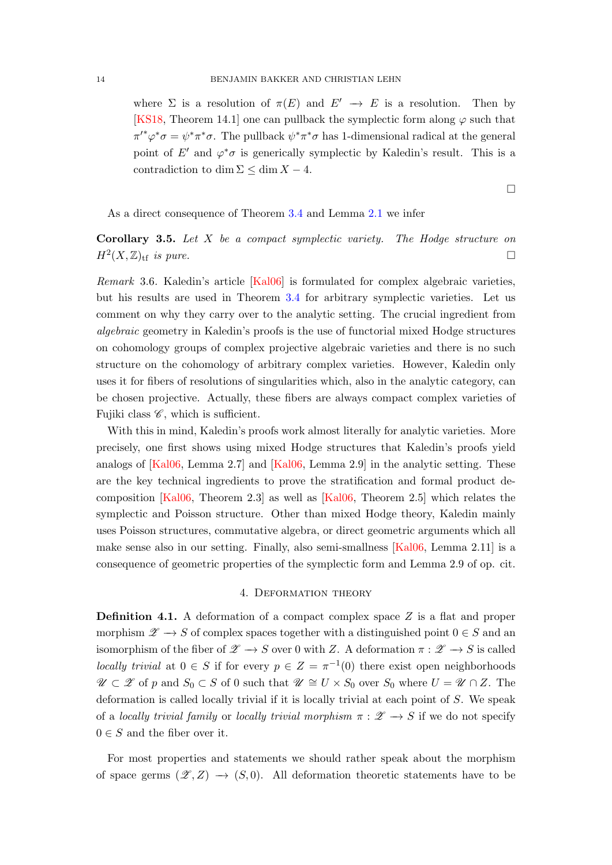<span id="page-13-2"></span>where  $\Sigma$  is a resolution of  $\pi(E)$  and  $E' \to E$  is a resolution. Then by [\[KS18,](#page-45-3) Theorem 14.1] one can pullback the symplectic form along  $\varphi$  such that  $\pi'^*\varphi^*\sigma = \psi^*\pi^*\sigma$ . The pullback  $\psi^*\pi^*\sigma$  has 1-dimensional radical at the general point of E' and  $\varphi^*\sigma$  is generically symplectic by Kaledin's result. This is a contradiction to dim  $\Sigma \leq \dim X - 4$ .

 $\Box$ 

As a direct consequence of Theorem [3.4](#page-12-0) and Lemma [2.1](#page-5-0) we infer

**Corollary 3.5.** Let  $X$  be a compact symplectic variety. The Hodge structure on  $H^2(X,\mathbb{Z})_{\rm tf}$  is pure.

<span id="page-13-1"></span>Remark 3.6. Kaledin's article [\[Kal06\]](#page-44-8) is formulated for complex algebraic varieties, but his results are used in Theorem [3.4](#page-12-0) for arbitrary symplectic varieties. Let us comment on why they carry over to the analytic setting. The crucial ingredient from algebraic geometry in Kaledin's proofs is the use of functorial mixed Hodge structures on cohomology groups of complex projective algebraic varieties and there is no such structure on the cohomology of arbitrary complex varieties. However, Kaledin only uses it for fibers of resolutions of singularities which, also in the analytic category, can be chosen projective. Actually, these fibers are always compact complex varieties of Fujiki class  $\mathscr{C}$ , which is sufficient.

With this in mind, Kaledin's proofs work almost literally for analytic varieties. More precisely, one first shows using mixed Hodge structures that Kaledin's proofs yield analogs of [\[Kal06,](#page-44-8) Lemma 2.7] and [\[Kal06,](#page-44-8) Lemma 2.9] in the analytic setting. These are the key technical ingredients to prove the stratification and formal product decomposition [\[Kal06,](#page-44-8) Theorem 2.3] as well as [\[Kal06,](#page-44-8) Theorem 2.5] which relates the symplectic and Poisson structure. Other than mixed Hodge theory, Kaledin mainly uses Poisson structures, commutative algebra, or direct geometric arguments which all make sense also in our setting. Finally, also semi-smallness [\[Kal06,](#page-44-8) Lemma 2.11] is a consequence of geometric properties of the symplectic form and Lemma 2.9 of op. cit.

#### 4. Deformation theory

<span id="page-13-0"></span>**Definition 4.1.** A deformation of a compact complex space  $Z$  is a flat and proper morphism  $\mathscr{Z} \to S$  of complex spaces together with a distinguished point  $0 \in S$  and an isomorphism of the fiber of  $\mathscr{Z} \to S$  over 0 with Z. A deformation  $\pi : \mathscr{Z} \to S$  is called locally trivial at  $0 \in S$  if for every  $p \in Z = \pi^{-1}(0)$  there exist open neighborhoods  $\mathscr{U} \subset \mathscr{Z}$  of p and  $S_0 \subset S$  of 0 such that  $\mathscr{U} \cong U \times S_0$  over  $S_0$  where  $U = \mathscr{U} \cap Z$ . The deformation is called locally trivial if it is locally trivial at each point of S. We speak of a locally trivial family or locally trivial morphism  $\pi : \mathscr{Z} \to S$  if we do not specify  $0 \in S$  and the fiber over it.

For most properties and statements we should rather speak about the morphism of space germs  $(\mathscr{Z}, Z) \to (S, 0)$ . All deformation theoretic statements have to be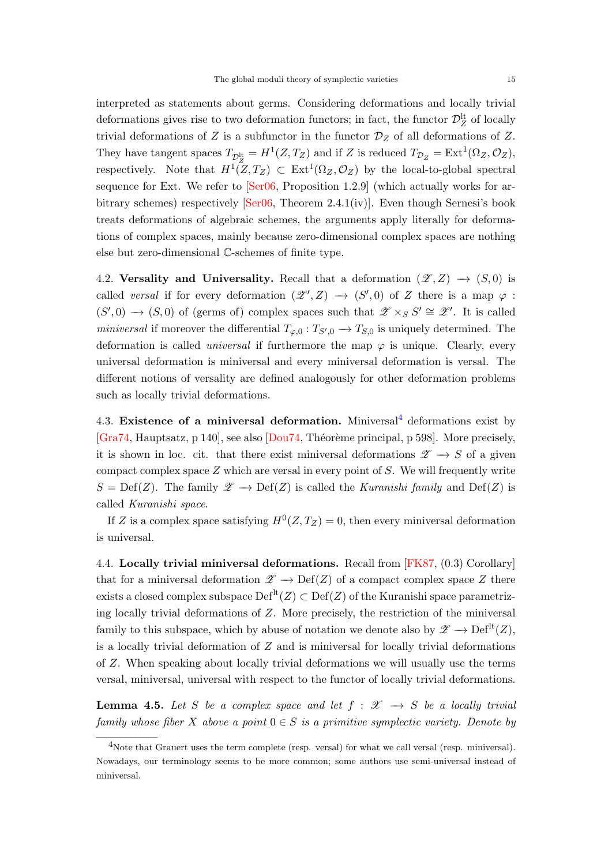<span id="page-14-2"></span>interpreted as statements about germs. Considering deformations and locally trivial deformations gives rise to two deformation functors; in fact, the functor  $\mathcal{D}_Z^{\text{lt}}$  of locally trivial deformations of Z is a subfunctor in the functor  $\mathcal{D}_Z$  of all deformations of Z. They have tangent spaces  $T_{\mathcal{D}^{\text{lt}}_{Z}} = H^1(Z, T_Z)$  and if Z is reduced  $T_{\mathcal{D}_Z} = \text{Ext}^1(\Omega_Z, \mathcal{O}_Z)$ , respectively. Note that  $H^1(Z,T_Z) \subset \text{Ext}^1(\Omega_Z,\mathcal{O}_Z)$  by the local-to-global spectral sequence for Ext. We refer to [\[Ser06,](#page-46-7) Proposition 1.2.9] (which actually works for arbitrary schemes) respectively  $\text{Ser}06$ , Theorem 2.4.1(iv). Even though Sernesi's book treats deformations of algebraic schemes, the arguments apply literally for deformations of complex spaces, mainly because zero-dimensional complex spaces are nothing else but zero-dimensional C-schemes of finite type.

4.2. Versality and Universality. Recall that a deformation  $(\mathscr{Z}, Z) \to (S, 0)$  is called versal if for every deformation  $(\mathscr{Z}', Z) \longrightarrow (S', 0)$  of Z there is a map  $\varphi$ :  $(S',0) \to (S,0)$  of (germs of) complex spaces such that  $\mathscr{Z} \times_S S' \cong \mathscr{Z}'$ . It is called miniversal if moreover the differential  $T_{\varphi,0} : T_{S',0} \to T_{S,0}$  is uniquely determined. The deformation is called *universal* if furthermore the map  $\varphi$  is unique. Clearly, every universal deformation is miniversal and every miniversal deformation is versal. The different notions of versality are defined analogously for other deformation problems such as locally trivial deformations.

[4](#page-14-0).3. Existence of a miniversal deformation. Miniversal<sup>4</sup> deformations exist by [\[Gra74,](#page-44-9) Hauptsatz, p 140], see also [\[Dou74,](#page-43-9) Théorème principal, p 598]. More precisely, it is shown in loc. cit. that there exist miniversal deformations  $\mathscr{Z} \to S$  of a given compact complex space  $Z$  which are versal in every point of  $S$ . We will frequently write  $S = Def(Z)$ . The family  $\mathscr{Z} \to Def(Z)$  is called the *Kuranishi family* and  $Def(Z)$  is called Kuranishi space.

If Z is a complex space satisfying  $H^0(Z, T_Z) = 0$ , then every miniversal deformation is universal.

4.4. Locally trivial miniversal deformations. Recall from [\[FK87,](#page-43-10) (0.3) Corollary] that for a miniversal deformation  $\mathscr{Z} \to \mathrm{Def}(Z)$  of a compact complex space Z there exists a closed complex subspace  $\mathrm{Def}^{\mathrm{lt}}(Z) \subset \mathrm{Def}(Z)$  of the Kuranishi space parametrizing locally trivial deformations of Z. More precisely, the restriction of the miniversal family to this subspace, which by abuse of notation we denote also by  $\mathscr{Z} \longrightarrow \mathrm{Def}^{\mathrm{lt}}(Z)$ , is a locally trivial deformation of  $Z$  and is miniversal for locally trivial deformations of Z. When speaking about locally trivial deformations we will usually use the terms versal, miniversal, universal with respect to the functor of locally trivial deformations.

<span id="page-14-1"></span>**Lemma 4.5.** Let S be a complex space and let  $f : \mathcal{X} \rightarrow S$  be a locally trivial family whose fiber X above a point  $0 \in S$  is a primitive symplectic variety. Denote by

<span id="page-14-0"></span><sup>&</sup>lt;sup>4</sup>Note that Grauert uses the term complete (resp. versal) for what we call versal (resp. miniversal). Nowadays, our terminology seems to be more common; some authors use semi-universal instead of miniversal.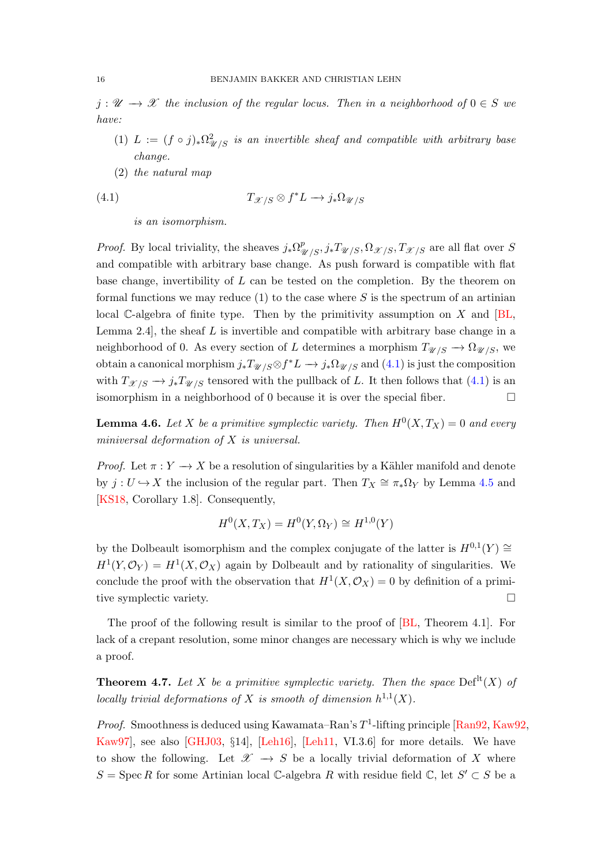<span id="page-15-3"></span> $j: \mathscr{U} \longrightarrow \mathscr{X}$  the inclusion of the regular locus. Then in a neighborhood of  $0 \in S$  we have:

- (1)  $L := (f \circ j)_* \Omega^2_{\mathscr{U}/S}$  is an invertible sheaf and compatible with arbitrary base change.
- (2) the natural map

(4.1) 
$$
T_{\mathcal{X}/S} \otimes f^*L \longrightarrow j_*\Omega_{\mathcal{U}/S}
$$

<span id="page-15-1"></span>is an isomorphism.

*Proof.* By local triviality, the sheaves  $j_*\Omega^p_{\mathscr{U}/S}$ ,  $j_*T_{\mathscr{U}/S}$ ,  $\Omega_{\mathscr{X}/S}$ ,  $T_{\mathscr{X}/S}$  are all flat over S and compatible with arbitrary base change. As push forward is compatible with flat base change, invertibility of  $L$  can be tested on the completion. By the theorem on formal functions we may reduce  $(1)$  to the case where S is the spectrum of an artinian local C-algebra of finite type. Then by the primitivity assumption on  $X$  and  $[BL,$ Lemma 2.4, the sheaf  $L$  is invertible and compatible with arbitrary base change in a neighborhood of 0. As every section of L determines a morphism  $T_{\mathcal{U}/S} \to \Omega_{\mathcal{U}/S}$ , we obtain a canonical morphism  $j_*T_{\mathscr{U}/S} \otimes f^*L \to j_*\Omega_{\mathscr{U}/S}$  and  $(4.1)$  is just the composition with  $T_{\mathcal{X}/S} \to j_*T_{\mathcal{U}/S}$  tensored with the pullback of L. It then follows that [\(4.1\)](#page-15-1) is an isomorphism in a neighborhood of 0 because it is over the special fiber.  $\Box$ 

<span id="page-15-2"></span>**Lemma 4.6.** Let X be a primitive symplectic variety. Then  $H^0(X,T_X) = 0$  and every miniversal deformation of X is universal.

*Proof.* Let  $\pi: Y \to X$  be a resolution of singularities by a Kähler manifold and denote by  $j: U \hookrightarrow X$  the inclusion of the regular part. Then  $T_X \cong \pi_* \Omega_Y$  by Lemma [4.5](#page-14-1) and [\[KS18,](#page-45-3) Corollary 1.8]. Consequently,

$$
H^0(X, T_X) = H^0(Y, \Omega_Y) \cong H^{1,0}(Y)
$$

by the Dolbeault isomorphism and the complex conjugate of the latter is  $H^{0,1}(Y) \cong$  $H^1(Y, \mathcal{O}_Y) = H^1(X, \mathcal{O}_X)$  again by Dolbeault and by rationality of singularities. We conclude the proof with the observation that  $H^1(X, \mathcal{O}_X) = 0$  by definition of a primitive symplectic variety.

The proof of the following result is similar to the proof of [\[BL,](#page-42-3) Theorem 4.1]. For lack of a crepant resolution, some minor changes are necessary which is why we include a proof.

<span id="page-15-0"></span>**Theorem 4.7.** Let X be a primitive symplectic variety. Then the space  $Def<sup>lt</sup>(X)$  of locally trivial deformations of X is smooth of dimension  $h^{1,1}(X)$ .

*Proof.* Smoothness is deduced using Kawamata–Ran's  $T^1$ -lifting principle [\[Ran92,](#page-46-8) [Kaw92,](#page-44-10) [Kaw97\]](#page-44-11), see also [\[GHJ03,](#page-43-11) §14], [\[Leh16\]](#page-45-17), [\[Leh11,](#page-45-18) VI.3.6] for more details. We have to show the following. Let  $\mathscr{X} \to S$  be a locally trivial deformation of X where  $S = \operatorname{Spec} R$  for some Artinian local  $\mathbb{C}$ -algebra R with residue field  $\mathbb{C}$ , let  $S' \subset S$  be a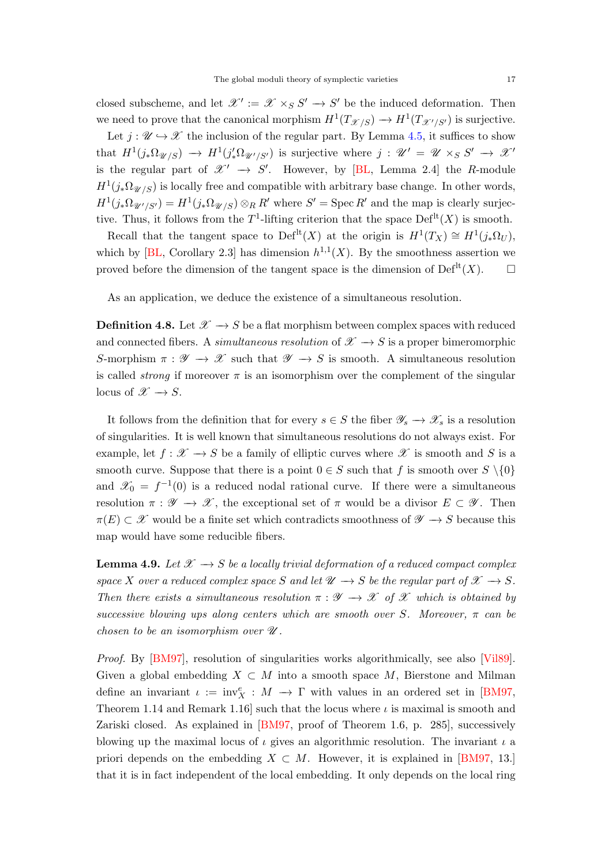<span id="page-16-1"></span>closed subscheme, and let  $\mathscr{X}' := \mathscr{X} \times_S S' \to S'$  be the induced deformation. Then we need to prove that the canonical morphism  $H^1(T_{\mathscr{X}/S}) \to H^1(T_{\mathscr{X}'/S'})$  is surjective.

Let  $j : \mathscr{U} \hookrightarrow \mathscr{X}$  the inclusion of the regular part. By Lemma [4.5,](#page-14-1) it suffices to show that  $H^1(j_*\Omega_{\mathscr{U}/S}) \to H^1(j'_*\Omega_{\mathscr{U}'/S'})$  is surjective where  $j: \mathscr{U}' = \mathscr{U} \times_S S' \to \mathscr{X}'$ is the regular part of  $\mathscr{X}' \to S'$ . However, by [\[BL,](#page-42-3) Lemma 2.4] the R-module  $H^1(j_*\Omega_{\mathscr{U}/S})$  is locally free and compatible with arbitrary base change. In other words,  $H^1(j_*\Omega_{\mathscr{U}'/S'})=H^1(j_*\Omega_{\mathscr{U}/S})\otimes_R R'$  where  $S'=\mathrm{Spec}\,R'$  and the map is clearly surjective. Thus, it follows from the  $T^1$ -lifting criterion that the space  $Def<sup>lt</sup>(X)$  is smooth.

Recall that the tangent space to Def<sup>lt</sup> $(X)$  at the origin is  $H^1(T_X) \cong H^1(j_*\Omega_U)$ , which by [\[BL,](#page-42-3) Corollary 2.3] has dimension  $h^{1,1}(X)$ . By the smoothness assertion we proved before the dimension of the tangent space is the dimension of  $\mathrm{Def}^{\mathrm{lt}}(X)$ .  $\Box$ 

As an application, we deduce the existence of a simultaneous resolution.

**Definition 4.8.** Let  $\mathcal{X} \rightarrow S$  be a flat morphism between complex spaces with reduced and connected fibers. A simultaneous resolution of  $\mathscr{X} \longrightarrow S$  is a proper bimeromorphic S-morphism  $\pi : \mathscr{Y} \to \mathscr{X}$  such that  $\mathscr{Y} \to S$  is smooth. A simultaneous resolution is called *strong* if moreover  $\pi$  is an isomorphism over the complement of the singular locus of  $\mathscr{X} \to S$ .

It follows from the definition that for every  $s \in S$  the fiber  $\mathscr{Y}_s \to \mathscr{X}_s$  is a resolution of singularities. It is well known that simultaneous resolutions do not always exist. For example, let  $f : \mathscr{X} \to S$  be a family of elliptic curves where  $\mathscr{X}$  is smooth and S is a smooth curve. Suppose that there is a point  $0 \in S$  such that f is smooth over  $S \setminus \{0\}$ and  $\mathscr{X}_0 = f^{-1}(0)$  is a reduced nodal rational curve. If there were a simultaneous resolution  $\pi : \mathscr{Y} \to \mathscr{X}$ , the exceptional set of  $\pi$  would be a divisor  $E \subset \mathscr{Y}$ . Then  $\pi(E) \subset \mathscr{X}$  would be a finite set which contradicts smoothness of  $\mathscr{Y} \to S$  because this map would have some reducible fibers.

<span id="page-16-0"></span>**Lemma 4.9.** Let  $\mathcal{X} \rightarrow S$  be a locally trivial deformation of a reduced compact complex space X over a reduced complex space S and let  $\mathcal{U} \rightarrow S$  be the regular part of  $\mathcal{X} \rightarrow S$ . Then there exists a simultaneous resolution  $\pi : \mathscr{Y} \to \mathscr{X}$  of  $\mathscr{X}$  which is obtained by successive blowing ups along centers which are smooth over S. Moreover,  $\pi$  can be chosen to be an isomorphism over  $\mathscr U$ .

Proof. By [\[BM97\]](#page-42-8), resolution of singularities works algorithmically, see also [\[Vil89\]](#page-46-9). Given a global embedding  $X \subset M$  into a smooth space M, Bierstone and Milman define an invariant  $\iota := inv_X^e : M \to \Gamma$  with values in an ordered set in [\[BM97,](#page-42-8) Theorem 1.14 and Remark 1.16 such that the locus where  $\iota$  is maximal is smooth and Zariski closed. As explained in [\[BM97,](#page-42-8) proof of Theorem 1.6, p. 285], successively blowing up the maximal locus of  $\iota$  gives an algorithmic resolution. The invariant  $\iota$  a priori depends on the embedding  $X \subset M$ . However, it is explained in [\[BM97,](#page-42-8) 13.] that it is in fact independent of the local embedding. It only depends on the local ring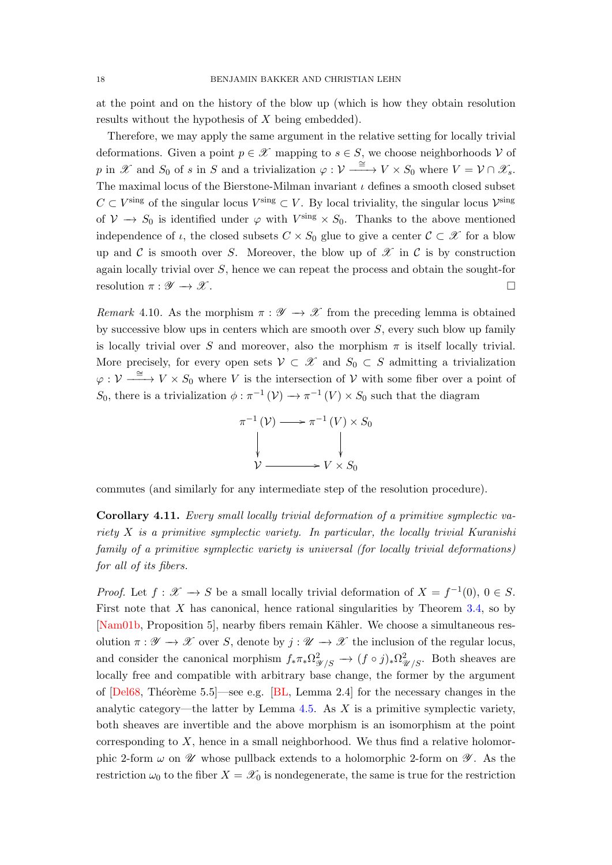<span id="page-17-1"></span>at the point and on the history of the blow up (which is how they obtain resolution results without the hypothesis of X being embedded).

Therefore, we may apply the same argument in the relative setting for locally trivial deformations. Given a point  $p \in \mathcal{X}$  mapping to  $s \in S$ , we choose neighborhoods V of p in X and  $S_0$  of s in S and a trivialization  $\varphi: \mathcal{V} \xrightarrow{\cong} V \times S_0$  where  $V = \mathcal{V} \cap \mathcal{X}_s$ . The maximal locus of the Bierstone-Milman invariant  $\iota$  defines a smooth closed subset  $C \subset V^{\text{sing}}$  of the singular locus  $V^{\text{sing}} \subset V$ . By local triviality, the singular locus  $V^{\text{sing}}$ of  $V \to S_0$  is identified under  $\varphi$  with  $V^{\text{sing}} \times S_0$ . Thanks to the above mentioned independence of  $\iota$ , the closed subsets  $C \times S_0$  glue to give a center  $C \subset \mathscr{X}$  for a blow up and C is smooth over S. Moreover, the blow up of  $\mathscr X$  in C is by construction again locally trivial over S, hence we can repeat the process and obtain the sought-for resolution  $\pi : \mathscr{Y} \to \mathscr{X}$ .

Remark 4.10. As the morphism  $\pi : \mathscr{Y} \to \mathscr{X}$  from the preceding lemma is obtained by successive blow ups in centers which are smooth over  $S$ , every such blow up family is locally trivial over S and moreover, also the morphism  $\pi$  is itself locally trivial. More precisely, for every open sets  $\mathcal{V} \subset \mathcal{X}$  and  $S_0 \subset S$  admitting a trivialization  $\varphi : \mathcal{V} \xrightarrow{\cong} V \times S_0$  where V is the intersection of V with some fiber over a point of S<sub>0</sub>, there is a trivialization  $\phi : \pi^{-1}(V) \to \pi^{-1}(V) \times S_0$  such that the diagram



commutes (and similarly for any intermediate step of the resolution procedure).

<span id="page-17-0"></span>Corollary 4.11. Every small locally trivial deformation of a primitive symplectic variety  $X$  is a primitive symplectic variety. In particular, the locally trivial Kuranishi family of a primitive symplectic variety is universal (for locally trivial deformations) for all of its fibers.

*Proof.* Let  $f: \mathscr{X} \to S$  be a small locally trivial deformation of  $X = f^{-1}(0)$ ,  $0 \in S$ . First note that  $X$  has canonical, hence rational singularities by Theorem [3.4,](#page-12-0) so by [\[Nam01b,](#page-45-6) Proposition 5], nearby fibers remain Kähler. We choose a simultaneous resolution  $\pi : \mathscr{Y} \to \mathscr{X}$  over S, denote by  $j : \mathscr{U} \to \mathscr{X}$  the inclusion of the regular locus, and consider the canonical morphism  $f_*\pi_*\Omega^2_{\mathscr{Y}/S} \to (f \circ j)_*\Omega^2_{\mathscr{U}/S}$ . Both sheaves are locally free and compatible with arbitrary base change, the former by the argument of  $[Del68, Théorème 5.5]$ —see e.g.  $[BL, Lemma 2.4]$  for the necessary changes in the analytic category—the latter by Lemma  $4.5$ . As  $X$  is a primitive symplectic variety, both sheaves are invertible and the above morphism is an isomorphism at the point corresponding to  $X$ , hence in a small neighborhood. We thus find a relative holomorphic 2-form  $\omega$  on  $\mathscr U$  whose pullback extends to a holomorphic 2-form on  $\mathscr Y$ . As the restriction  $\omega_0$  to the fiber  $X = \mathscr{X}_0$  is nondegenerate, the same is true for the restriction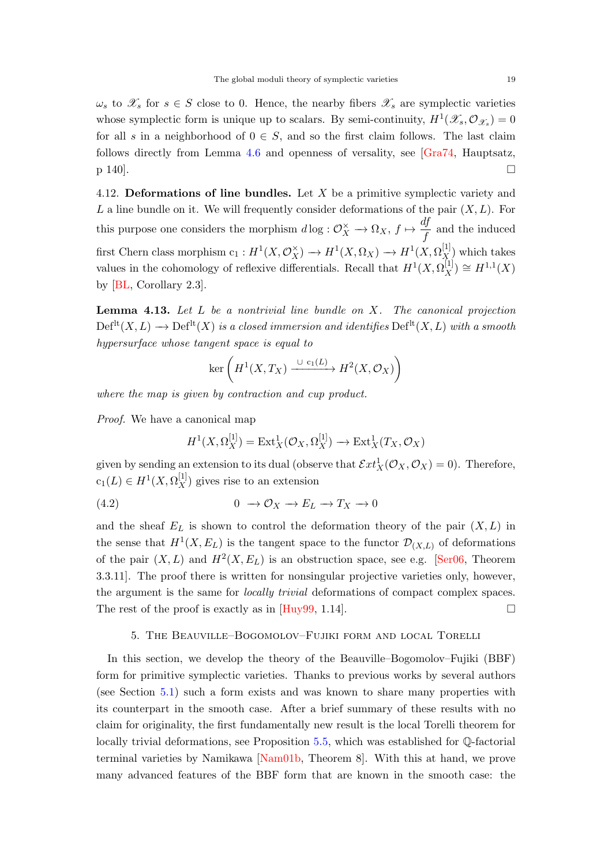<span id="page-18-2"></span> $\omega_s$  to  $\mathscr{X}_s$  for  $s \in S$  close to 0. Hence, the nearby fibers  $\mathscr{X}_s$  are symplectic varieties whose symplectic form is unique up to scalars. By semi-continuity,  $H^1(\mathscr{X}_s, \mathcal{O}_{\mathscr{X}_s}) = 0$ for all s in a neighborhood of  $0 \in S$ , and so the first claim follows. The last claim follows directly from Lemma [4.6](#page-15-2) and openness of versality, see [\[Gra74,](#page-44-9) Hauptsatz,  $p$  140].

4.12. Deformations of line bundles. Let X be a primitive symplectic variety and L a line bundle on it. We will frequently consider deformations of the pair  $(X, L)$ . For this purpose one considers the morphism  $d \log : \mathcal{O}_X^{\times} \to \Omega_X$ ,  $f \mapsto \frac{df}{f}$  $\frac{dy}{f}$  and the induced first Chern class morphism  $c_1: H^1(X,\mathcal{O}_X^{\times}) \to H^1(X,\Omega_X) \to H^1(X,\Omega_X^{[1]})$  which takes values in the cohomology of reflexive differentials. Recall that  $H^1(X, \Omega_X^{[1]}) \cong H^{1,1}(X)$ by [\[BL,](#page-42-3) Corollary 2.3].

<span id="page-18-1"></span>**Lemma 4.13.** Let  $L$  be a nontrivial line bundle on  $X$ . The canonical projection  $\mathrm{Def}^{\mathrm{lt}}(X, L) \longrightarrow \mathrm{Def}^{\mathrm{lt}}(X)$  is a closed immersion and identifies  $\mathrm{Def}^{\mathrm{lt}}(X, L)$  with a smooth hypersurface whose tangent space is equal to

$$
\ker\left(H^1(X,T_X)\xrightarrow{\cup\mathsf{c}_1(L)} H^2(X,\mathcal{O}_X)\right)
$$

where the map is given by contraction and cup product.

Proof. We have a canonical map

$$
H^1(X, \Omega_X^{[1]}) = \text{Ext}^1_X(\mathcal{O}_X, \Omega_X^{[1]}) \longrightarrow \text{Ext}^1_X(T_X, \mathcal{O}_X)
$$

given by sending an extension to its dual (observe that  $\mathcal{E}xt_X^1(\mathcal{O}_X,\mathcal{O}_X)=0$ ). Therefore,  $c_1(L) \in H^1(X, \Omega_X^{[1]})$  gives rise to an extension

(4.2)  $0 \rightarrow \mathcal{O}_X \rightarrow E_L \rightarrow T_X \rightarrow 0$ 

and the sheaf  $E_L$  is shown to control the deformation theory of the pair  $(X, L)$  in the sense that  $H^1(X, E_L)$  is the tangent space to the functor  $\mathcal{D}_{(X,L)}$  of deformations of the pair  $(X, L)$  and  $H^2(X, E_L)$  is an obstruction space, see e.g. [\[Ser06,](#page-46-7) Theorem 3.3.11]. The proof there is written for nonsingular projective varieties only, however, the argument is the same for locally trivial deformations of compact complex spaces. The rest of the proof is exactly as in [\[Huy99,](#page-44-3) 1.14].

# 5. The Beauville–Bogomolov–Fujiki form and local Torelli

<span id="page-18-0"></span>In this section, we develop the theory of the Beauville–Bogomolov–Fujiki (BBF) form for primitive symplectic varieties. Thanks to previous works by several authors (see Section [5.1\)](#page-19-0) such a form exists and was known to share many properties with its counterpart in the smooth case. After a brief summary of these results with no claim for originality, the first fundamentally new result is the local Torelli theorem for locally trivial deformations, see Proposition [5.5,](#page-20-0) which was established for Q-factorial terminal varieties by Namikawa [\[Nam01b,](#page-45-6) Theorem 8]. With this at hand, we prove many advanced features of the BBF form that are known in the smooth case: the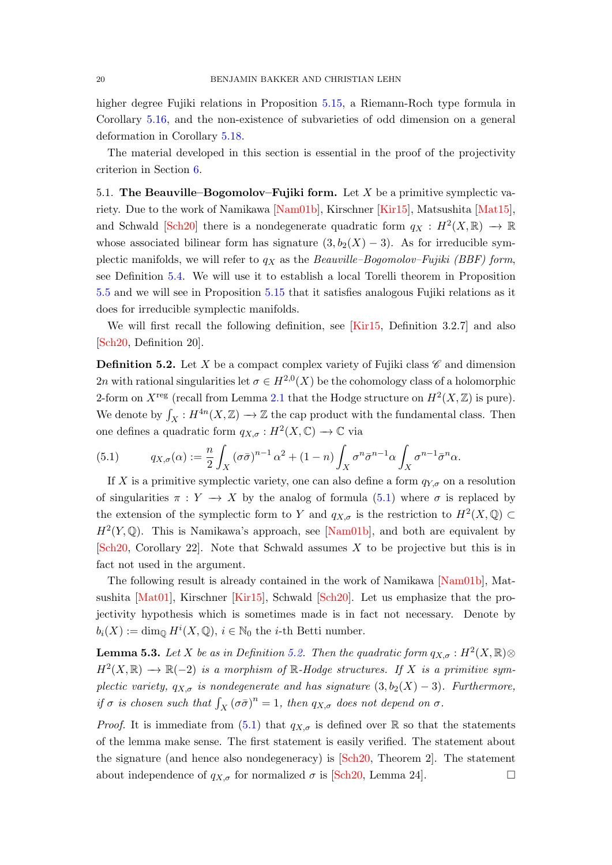<span id="page-19-4"></span>higher degree Fujiki relations in Proposition [5.15,](#page-22-0) a Riemann-Roch type formula in Corollary [5.16,](#page-22-1) and the non-existence of subvarieties of odd dimension on a general deformation in Corollary [5.18.](#page-23-0)

The material developed in this section is essential in the proof of the projectivity criterion in Section [6.](#page-26-0)

<span id="page-19-0"></span>5.1. The Beauville–Bogomolov–Fujiki form. Let X be a primitive symplectic variety. Due to the work of Namikawa [\[Nam01b\]](#page-45-6), Kirschner [\[Kir15\]](#page-44-4), Matsushita [\[Mat15\]](#page-45-9), and Schwald [\[Sch20\]](#page-46-5) there is a nondegenerate quadratic form  $q_X : H^2(X, \mathbb{R}) \longrightarrow \mathbb{R}$ whose associated bilinear form has signature  $(3, b_2(X) - 3)$ . As for irreducible symplectic manifolds, we will refer to  $q_X$  as the Beauville–Bogomolov–Fujiki (BBF) form, see Definition [5.4.](#page-20-1) We will use it to establish a local Torelli theorem in Proposition [5.5](#page-20-0) and we will see in Proposition [5.15](#page-22-0) that it satisfies analogous Fujiki relations as it does for irreducible symplectic manifolds.

We will first recall the following definition, see [\[Kir15,](#page-44-4) Definition 3.2.7] and also [\[Sch20,](#page-46-5) Definition 20].

<span id="page-19-2"></span>**Definition 5.2.** Let X be a compact complex variety of Fujiki class  $\mathscr{C}$  and dimension 2n with rational singularities let  $\sigma \in H^{2,0}(X)$  be the cohomology class of a holomorphic 2-form on  $X^{\text{reg}}$  (recall from Lemma [2.1](#page-5-0) that the Hodge structure on  $H^2(X,\mathbb{Z})$  is pure). We denote by  $\int_X : H^{4n}(X,\mathbb{Z}) \to \mathbb{Z}$  the cap product with the fundamental class. Then one defines a quadratic form  $q_{X,\sigma}: H^2(X,\mathbb{C}) \to \mathbb{C}$  via

<span id="page-19-1"></span>(5.1) 
$$
q_{X,\sigma}(\alpha) := \frac{n}{2} \int_X (\sigma \bar{\sigma})^{n-1} \alpha^2 + (1-n) \int_X \sigma^n \bar{\sigma}^{n-1} \alpha \int_X \sigma^{n-1} \bar{\sigma}^n \alpha.
$$

If X is a primitive symplectic variety, one can also define a form  $q_{Y,\sigma}$  on a resolution of singularities  $\pi : Y \to X$  by the analog of formula [\(5.1\)](#page-19-1) where  $\sigma$  is replaced by the extension of the symplectic form to Y and  $q_{X,\sigma}$  is the restriction to  $H^2(X,\mathbb{Q})\subset$  $H^2(Y, \mathbb{Q})$ . This is Namikawa's approach, see [\[Nam01b\]](#page-45-6), and both are equivalent by  $\lbrack \text{Sch20}, \text{ Corollary } 22 \rbrack$ . Note that Schwald assumes X to be projective but this is in fact not used in the argument.

The following result is already contained in the work of Namikawa [\[Nam01b\]](#page-45-6), Matsushita [\[Mat01\]](#page-45-15), Kirschner [\[Kir15\]](#page-44-4), Schwald [\[Sch20\]](#page-46-5). Let us emphasize that the projectivity hypothesis which is sometimes made is in fact not necessary. Denote by  $b_i(X) := \dim_{\mathbb{Q}} H^i(X, \mathbb{Q}), i \in \mathbb{N}_0$  the *i*-th Betti number.

<span id="page-19-3"></span>**Lemma 5.3.** Let X be as in Definition [5.2.](#page-19-2) Then the quadratic form  $q_{X,\sigma}: H^2(X,\mathbb{R})\otimes$  $H^2(X,\mathbb{R}) \longrightarrow \mathbb{R}(-2)$  is a morphism of  $\mathbb{R}$ -Hodge structures. If X is a primitive symplectic variety,  $q_{X,\sigma}$  is nondegenerate and has signature  $(3, b_2(X) - 3)$ . Furthermore, if  $\sigma$  is chosen such that  $\int_X (\sigma \bar{\sigma})^n = 1$ , then  $q_{X,\sigma}$  does not depend on  $\sigma$ .

*Proof.* It is immediate from [\(5.1\)](#page-19-1) that  $q_{X,\sigma}$  is defined over R so that the statements of the lemma make sense. The first statement is easily verified. The statement about the signature (and hence also nondegeneracy) is [\[Sch20,](#page-46-5) Theorem 2]. The statement about independence of  $q_{X,\sigma}$  for normalized  $\sigma$  is [\[Sch20,](#page-46-5) Lemma 24].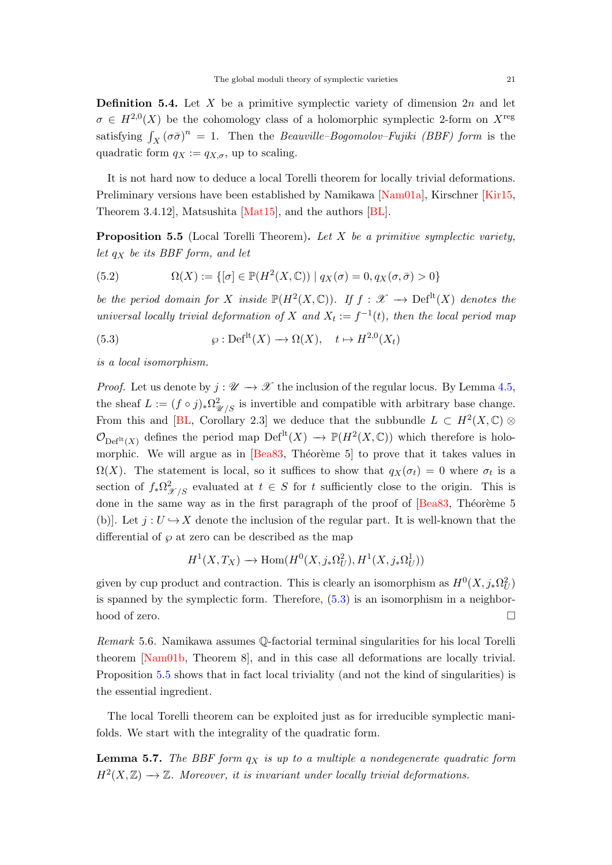<span id="page-20-4"></span><span id="page-20-1"></span>**Definition 5.4.** Let X be a primitive symplectic variety of dimension  $2n$  and let  $\sigma \in H^{2,0}(X)$  be the cohomology class of a holomorphic symplectic 2-form on  $X^{\text{reg}}$ satisfying  $\int_X (\sigma \bar{\sigma})^n = 1$ . Then the *Beauville–Bogomolov–Fujiki (BBF) form* is the quadratic form  $q_X := q_{X,\sigma}$ , up to scaling.

It is not hard now to deduce a local Torelli theorem for locally trivial deformations. Preliminary versions have been established by Namikawa [\[Nam01a\]](#page-45-5), Kirschner [\[Kir15,](#page-44-4) Theorem 3.4.12], Matsushita [\[Mat15\]](#page-45-9), and the authors [\[BL\]](#page-42-3).

<span id="page-20-0"></span>**Proposition 5.5** (Local Torelli Theorem). Let  $X$  be a primitive symplectic variety, let  $q_X$  be its BBF form, and let

(5.2) 
$$
\Omega(X) := \{ [\sigma] \in \mathbb{P}(H^2(X, \mathbb{C})) \mid q_X(\sigma) = 0, q_X(\sigma, \bar{\sigma}) > 0 \}
$$

be the period domain for X inside  $\mathbb{P}(H^2(X,\mathbb{C}))$ . If  $f: \mathscr{X} \to \mathrm{Def}^{\mathrm{lt}}(X)$  denotes the universal locally trivial deformation of X and  $X_t := f^{-1}(t)$ , then the local period map

<span id="page-20-2"></span>(5.3) 
$$
\wp: \mathrm{Def}^{\mathrm{lt}}(X) \to \Omega(X), \quad t \mapsto H^{2,0}(X_t)
$$

is a local isomorphism.

*Proof.* Let us denote by  $j : \mathcal{U} \to \mathcal{X}$  the inclusion of the regular locus. By Lemma [4.5,](#page-14-1) the sheaf  $L := (f \circ j)_* \Omega^2_{\mathscr{U}/S}$  is invertible and compatible with arbitrary base change. From this and [\[BL,](#page-42-3) Corollary 2.3] we deduce that the subbundle  $L \subset H^2(X,\mathbb{C})$  $\mathcal{O}_{\mathrm{Def}^{\mathrm{It}}(X)}$  defines the period map  $\mathrm{Def}^{\mathrm{lt}}(X) \to \mathbb{P}(H^2(X,\mathbb{C}))$  which therefore is holomorphic. We will argue as in  $\left[Bea83,$  Théorème 5 to prove that it takes values in  $\Omega(X)$ . The statement is local, so it suffices to show that  $q_X(\sigma_t) = 0$  where  $\sigma_t$  is a section of  $f_*\Omega^2_{\mathscr{X}/S}$  evaluated at  $t \in S$  for t sufficiently close to the origin. This is done in the same way as in the first paragraph of the proof of  $[Bea83, Théorème 5]$ (b)]. Let  $j: U \hookrightarrow X$  denote the inclusion of the regular part. It is well-known that the differential of  $\wp$  at zero can be described as the map

$$
H^1(X, T_X) \longrightarrow \text{Hom}(H^0(X, j_*\Omega^2_U), H^1(X, j_*\Omega^1_U))
$$

given by cup product and contraction. This is clearly an isomorphism as  $H^0(X, j_*\Omega_U^2)$ is spanned by the symplectic form. Therefore,  $(5.3)$  is an isomorphism in a neighborhood of zero.

Remark 5.6. Namikawa assumes Q-factorial terminal singularities for his local Torelli theorem [\[Nam01b,](#page-45-6) Theorem 8], and in this case all deformations are locally trivial. Proposition [5.5](#page-20-0) shows that in fact local triviality (and not the kind of singularities) is the essential ingredient.

The local Torelli theorem can be exploited just as for irreducible symplectic manifolds. We start with the integrality of the quadratic form.

<span id="page-20-3"></span>**Lemma 5.7.** The BBF form  $q_X$  is up to a multiple a nondegenerate quadratic form  $H^2(X,\mathbb{Z}) \longrightarrow \mathbb{Z}$ . Moreover, it is invariant under locally trivial deformations.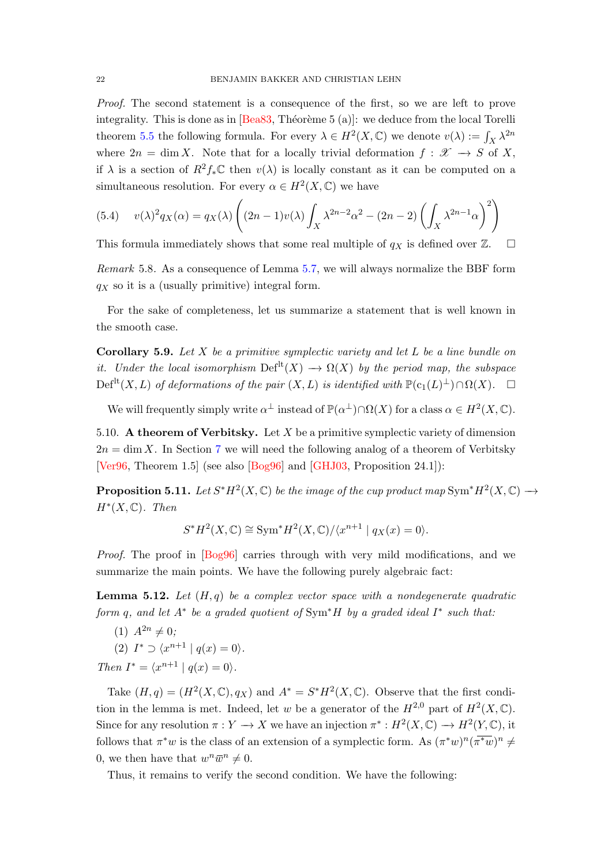<span id="page-21-2"></span>Proof. The second statement is a consequence of the first, so we are left to prove integrality. This is done as in  $\left[Bea83,$  Théorème 5 (a)]: we deduce from the local Torelli theorem [5.5](#page-20-0) the following formula. For every  $\lambda \in H^2(X, \mathbb{C})$  we denote  $v(\lambda) := \int_X \lambda^{2n}$ where  $2n = \dim X$ . Note that for a locally trivial deformation  $f: \mathcal{X} \to S$  of X, if  $\lambda$  is a section of  $R^2f_*\mathbb{C}$  then  $v(\lambda)$  is locally constant as it can be computed on a simultaneous resolution. For every  $\alpha \in H^2(X, \mathbb{C})$  we have

<span id="page-21-0"></span>(5.4) 
$$
v(\lambda)^2 q_X(\alpha) = q_X(\lambda) \left( (2n-1)v(\lambda) \int_X \lambda^{2n-2} \alpha^2 - (2n-2) \left( \int_X \lambda^{2n-1} \alpha \right)^2 \right)
$$

This formula immediately shows that some real multiple of  $q_X$  is defined over Z.  $\Box$ 

Remark 5.8. As a consequence of Lemma [5.7,](#page-20-3) we will always normalize the BBF form  $q_X$  so it is a (usually primitive) integral form.

For the sake of completeness, let us summarize a statement that is well known in the smooth case.

Corollary 5.9. Let  $X$  be a primitive symplectic variety and let  $L$  be a line bundle on it. Under the local isomorphism  $\mathrm{Def}^{\mathrm{lt}}(X) \longrightarrow \Omega(X)$  by the period map, the subspace  $\mathrm{Def}^{\mathrm{lt}}(X, L)$  of deformations of the pair  $(X, L)$  is identified with  $\mathbb{P}(\mathrm{c}_1(L)^{\perp}) \cap \Omega(X)$ .  $\Box$ 

We will frequently simply write  $\alpha^{\perp}$  instead of  $\mathbb{P}(\alpha^{\perp}) \cap \Omega(X)$  for a class  $\alpha \in H^2(X, \mathbb{C})$ .

5.10. A theorem of Verbitsky. Let  $X$  be a primitive symplectic variety of dimension  $2n = \dim X$ . In Section [7](#page-32-0) we will need the following analog of a theorem of Verbitsky [\[Ver96,](#page-46-10) Theorem 1.5] (see also [\[Bog96\]](#page-42-10) and [\[GHJ03,](#page-43-11) Proposition 24.1]):

<span id="page-21-1"></span>**Proposition 5.11.** Let  $S^*H^2(X,\mathbb{C})$  be the image of the cup product map  $\text{Sym}^*H^2(X,\mathbb{C}) \longrightarrow$  $H^*(X,\mathbb{C})$ . Then

$$
S^*H^2(X,\mathbb{C}) \cong \text{Sym}^*H^2(X,\mathbb{C})/\langle x^{n+1} \mid q_X(x) = 0 \rangle.
$$

Proof. The proof in [\[Bog96\]](#page-42-10) carries through with very mild modifications, and we summarize the main points. We have the following purely algebraic fact:

**Lemma 5.12.** Let  $(H, q)$  be a complex vector space with a nondegenerate quadratic form q, and let  $A^*$  be a graded quotient of Sym<sup>\*</sup>H by a graded ideal  $I^*$  such that:

(1)  $A^{2n} \neq 0;$ 

$$
(2) I^* \supset \langle x^{n+1} | q(x) = 0 \rangle.
$$

Then  $I^* = \langle x^{n+1} | q(x) = 0 \rangle$ .

Take  $(H, q) = (H^2(X, \mathbb{C}), q_X)$  and  $A^* = S^*H^2(X, \mathbb{C})$ . Observe that the first condition in the lemma is met. Indeed, let w be a generator of the  $H^{2,0}$  part of  $H^2(X,\mathbb{C})$ . Since for any resolution  $\pi: Y \to X$  we have an injection  $\pi^*: H^2(X, \mathbb{C}) \to H^2(Y, \mathbb{C})$ , it follows that  $\pi^*w$  is the class of an extension of a symplectic form. As  $(\pi^*w)^n(\overline{\pi^*w})^n \neq$ 0, we then have that  $w^n \overline{w}^n \neq 0$ .

Thus, it remains to verify the second condition. We have the following: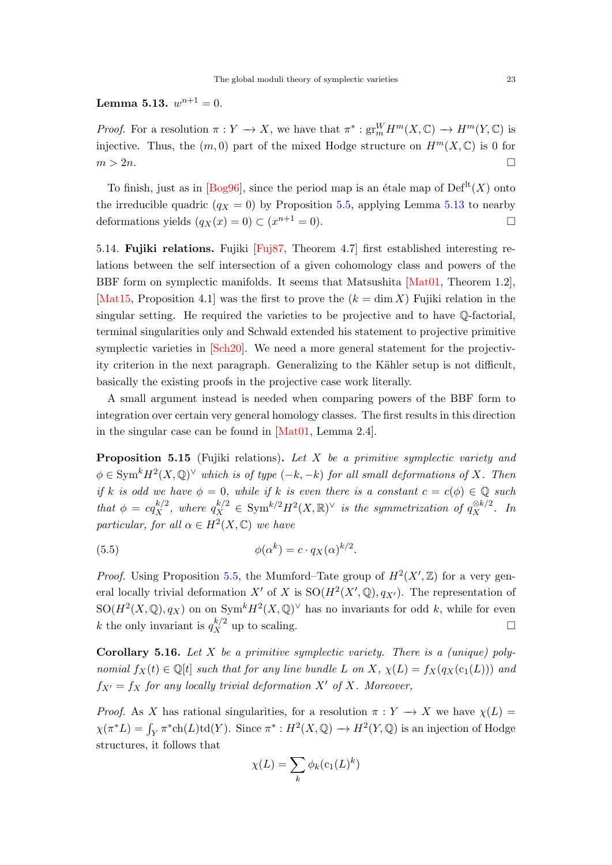<span id="page-22-3"></span><span id="page-22-2"></span>Lemma 5.13.  $w^{n+1} = 0$ .

*Proof.* For a resolution  $\pi: Y \to X$ , we have that  $\pi^*: \text{gr}_m^W H^m(X, \mathbb{C}) \to H^m(Y, \mathbb{C})$  is injective. Thus, the  $(m, 0)$  part of the mixed Hodge structure on  $H^m(X, \mathbb{C})$  is 0 for  $m > 2n$ .

To finish, just as in  $\lbrack \text{Bog96} \rbrack$ , since the period map is an étale map of  $\text{Def}^{\text{lt}}(X)$  onto the irreducible quadric  $(q_X = 0)$  by Proposition [5.5,](#page-20-0) applying Lemma [5.13](#page-22-2) to nearby deformations yields  $(q_X(x) = 0) \subset (x^{n+1} = 0)$ .

5.14. Fujiki relations. Fujiki  $[Fuj87, Theorem 4.7]$  first established interesting relations between the self intersection of a given cohomology class and powers of the BBF form on symplectic manifolds. It seems that Matsushita [\[Mat01,](#page-45-15) Theorem 1.2], [\[Mat15,](#page-45-9) Proposition 4.1] was the first to prove the  $(k = \dim X)$  Fujiki relation in the singular setting. He required the varieties to be projective and to have Q-factorial, terminal singularities only and Schwald extended his statement to projective primitive symplectic varieties in [\[Sch20\]](#page-46-5). We need a more general statement for the projectivity criterion in the next paragraph. Generalizing to the Kähler setup is not difficult, basically the existing proofs in the projective case work literally.

A small argument instead is needed when comparing powers of the BBF form to integration over certain very general homology classes. The first results in this direction in the singular case can be found in [\[Mat01,](#page-45-15) Lemma 2.4].

<span id="page-22-0"></span>**Proposition 5.15** (Fujiki relations). Let  $X$  be a primitive symplectic variety and  $\phi \in \text{Sym}^k H^2(X, \mathbb{Q})^\vee$  which is of type  $(-k, -k)$  for all small deformations of X. Then if k is odd we have  $\phi = 0$ , while if k is even there is a constant  $c = c(\phi) \in \mathbb{Q}$  such that  $\phi = cq_X^{k/2}$ , where  $q_X^{k/2} \in \text{Sym}^{k/2} H^2(X, \mathbb{R})^{\vee}$  is the symmetrization of  $q_X^{\otimes k/2}$ . In particular, for all  $\alpha \in H^2(X, \mathbb{C})$  we have

(5.5) 
$$
\phi(\alpha^k) = c \cdot q_X(\alpha)^{k/2}.
$$

*Proof.* Using Proposition [5.5,](#page-20-0) the Mumford–Tate group of  $H^2(X,\mathbb{Z})$  for a very general locally trivial deformation X' of X is  $SO(H^2(X',\mathbb{Q}), q_{X'})$ . The representation of  $SO(H^2(X,\mathbb{Q}),q_X)$  on on  $Sym^k H^2(X,\mathbb{Q})^{\vee}$  has no invariants for odd k, while for even k the only invariant is  $q_X^{k/2}$  up to scaling.

<span id="page-22-1"></span>**Corollary 5.16.** Let X be a primitive symplectic variety. There is a (unique) polynomial  $f_X(t) \in \mathbb{Q}[t]$  such that for any line bundle L on X,  $\chi(L) = f_X(q_X(c_1(L)))$  and  $f_{X'} = f_X$  for any locally trivial deformation X' of X. Moreover,

*Proof.* As X has rational singularities, for a resolution  $\pi : Y \to X$  we have  $\chi(L) =$  $\chi(\pi^*L) = \int_Y \pi^* \text{ch}(L) \text{td}(Y)$ . Since  $\pi^* : H^2(X, \mathbb{Q}) \to H^2(Y, \mathbb{Q})$  is an injection of Hodge structures, it follows that

$$
\chi(L) = \sum_{k} \phi_k(c_1(L)^k)
$$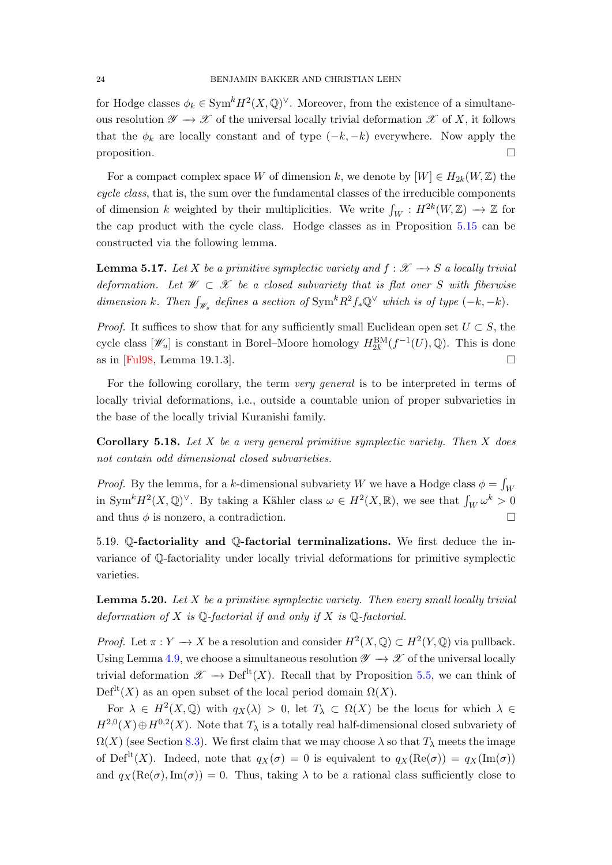<span id="page-23-2"></span>for Hodge classes  $\phi_k \in \text{Sym}^k H^2(X, \mathbb{Q})^{\vee}$ . Moreover, from the existence of a simultaneous resolution  $\mathscr{Y} \to \mathscr{X}$  of the universal locally trivial deformation  $\mathscr{X}$  of X, it follows that the  $\phi_k$  are locally constant and of type  $(-k, -k)$  everywhere. Now apply the proposition.

For a compact complex space W of dimension k, we denote by  $[W] \in H_{2k}(W, \mathbb{Z})$  the cycle class, that is, the sum over the fundamental classes of the irreducible components of dimension k weighted by their multiplicities. We write  $\int_W : H^{2k}(W, \mathbb{Z}) \to \mathbb{Z}$  for the cap product with the cycle class. Hodge classes as in Proposition [5.15](#page-22-0) can be constructed via the following lemma.

**Lemma 5.17.** Let X be a primitive symplectic variety and  $f: \mathcal{X} \rightarrow S$  a locally trivial deformation. Let  $W \subset \mathcal{X}$  be a closed subvariety that is flat over S with fiberwise dimension k. Then  $\int_{\mathscr{W}_s}$  defines a section of  $\text{Sym}^k R^2 f_* \mathbb{Q}^{\vee}$  which is of type  $(-k, -k)$ .

*Proof.* It suffices to show that for any sufficiently small Euclidean open set  $U \subset S$ , the cycle class  $[\mathscr{W}_u]$  is constant in Borel–Moore homology  $H_{2k}^{\text{BM}}(f^{-1}(U),\mathbb{Q})$ . This is done as in  $[Full98, Lemma 19.1.3].$ 

For the following corollary, the term very general is to be interpreted in terms of locally trivial deformations, i.e., outside a countable union of proper subvarieties in the base of the locally trivial Kuranishi family.

<span id="page-23-0"></span>**Corollary 5.18.** Let  $X$  be a very general primitive symplectic variety. Then  $X$  does not contain odd dimensional closed subvarieties.

*Proof.* By the lemma, for a k-dimensional subvariety W we have a Hodge class  $\phi = \int_W$ in Sym<sup>k</sup> $H^2(X, \mathbb{Q})^{\vee}$ . By taking a Kähler class  $\omega \in H^2(X, \mathbb{R})$ , we see that  $\int_W \omega^k > 0$ and thus  $\phi$  is nonzero, a contradiction.

5.19. Q-factoriality and Q-factorial terminalizations. We first deduce the invariance of Q-factoriality under locally trivial deformations for primitive symplectic varieties.

<span id="page-23-1"></span>**Lemma 5.20.** Let  $X$  be a primitive symplectic variety. Then every small locally trivial deformation of X is  $\mathbb{Q}$ -factorial if and only if X is  $\mathbb{Q}$ -factorial.

*Proof.* Let  $\pi: Y \to X$  be a resolution and consider  $H^2(X, \mathbb{Q}) \subset H^2(Y, \mathbb{Q})$  via pullback. Using Lemma [4.9,](#page-16-0) we choose a simultaneous resolution  $\mathscr{Y} \to \mathscr{X}$  of the universal locally trivial deformation  $\mathscr{X} \to \mathrm{Def}^{\mathrm{lt}}(X)$ . Recall that by Proposition [5.5,](#page-20-0) we can think of  $Def<sup>lt</sup>(X)$  as an open subset of the local period domain  $\Omega(X)$ .

For  $\lambda \in H^2(X, \mathbb{Q})$  with  $q_X(\lambda) > 0$ , let  $T_\lambda \subset \Omega(X)$  be the locus for which  $\lambda \in$  $H^{2,0}(X) \oplus H^{0,2}(X)$ . Note that  $T_{\lambda}$  is a totally real half-dimensional closed subvariety of  $\Omega(X)$  (see Section [8.3\)](#page-36-0). We first claim that we may choose  $\lambda$  so that  $T_{\lambda}$  meets the image of Def<sup>lt</sup>(X). Indeed, note that  $q_X(\sigma) = 0$  is equivalent to  $q_X(Re(\sigma)) = q_X(Im(\sigma))$ and  $q_X(Re(\sigma), Im(\sigma)) = 0$ . Thus, taking  $\lambda$  to be a rational class sufficiently close to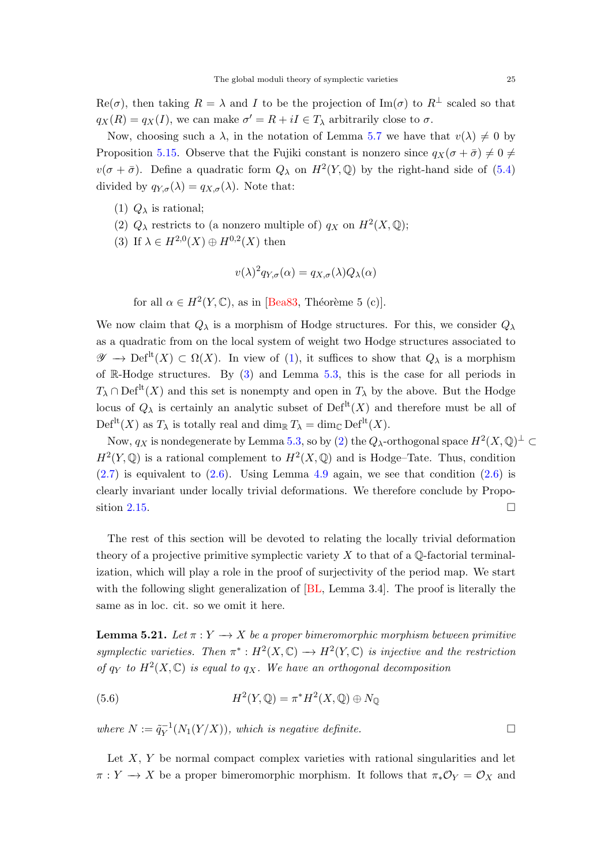<span id="page-24-4"></span>Re( $\sigma$ ), then taking  $R = \lambda$  and I to be the projection of Im( $\sigma$ ) to  $R^{\perp}$  scaled so that  $q_X(R) = q_X(I)$ , we can make  $\sigma' = R + iI \in T_\lambda$  arbitrarily close to  $\sigma$ .

Now, choosing such a  $\lambda$ , in the notation of Lemma [5.7](#page-20-3) we have that  $v(\lambda) \neq 0$  by Proposition [5.15.](#page-22-0) Observe that the Fujiki constant is nonzero since  $q_X(\sigma + \bar{\sigma}) \neq 0 \neq 0$  $v(\sigma + \bar{\sigma})$ . Define a quadratic form  $Q_{\lambda}$  on  $H^2(Y, \mathbb{Q})$  by the right-hand side of [\(5.4\)](#page-21-0) divided by  $q_{Y,\sigma}(\lambda) = q_{X,\sigma}(\lambda)$ . Note that:

- <span id="page-24-0"></span>(1)  $Q_{\lambda}$  is rational;
- <span id="page-24-2"></span>(2)  $Q_{\lambda}$  restricts to (a nonzero multiple of)  $q_X$  on  $H^2(X, \mathbb{Q})$ ;
- <span id="page-24-1"></span>(3) If  $\lambda \in H^{2,0}(X) \oplus H^{0,2}(X)$  then

$$
v(\lambda)^2 q_{Y,\sigma}(\alpha) = q_{X,\sigma}(\lambda) Q_{\lambda}(\alpha)
$$

for all  $\alpha \in H^2(Y, \mathbb{C})$ , as in [\[Bea83,](#page-42-2) Théorème 5 (c)].

We now claim that  $Q_{\lambda}$  is a morphism of Hodge structures. For this, we consider  $Q_{\lambda}$ as a quadratic from on the local system of weight two Hodge structures associated to  $\mathscr{Y} \to \mathrm{Def}^{\mathrm{lt}}(X) \subset \Omega(X)$ . In view of [\(1\)](#page-24-0), it suffices to show that  $Q_{\lambda}$  is a morphism of R-Hodge structures. By  $(3)$  and Lemma [5.3,](#page-19-3) this is the case for all periods in  $T_{\lambda} \cap \mathrm{Def}^{\mathrm{lt}}(X)$  and this set is nonempty and open in  $T_{\lambda}$  by the above. But the Hodge locus of  $Q_{\lambda}$  is certainly an analytic subset of  $\mathrm{Def}^{\mathrm{lt}}(X)$  and therefore must be all of  $Def<sup>lt</sup>(X)$  as  $T_{\lambda}$  is totally real and dim<sub>R</sub>  $T_{\lambda} = \dim_{\mathbb{C}} Def<sup>lt</sup>(X)$ .

Now,  $q_X$  is nondegenerate by Lemma [5.3,](#page-19-3) so by [\(2\)](#page-24-2) the  $Q_\lambda$ -orthogonal space  $H^2(X,\mathbb{Q})^\perp \subset$  $H^2(Y, \mathbb{Q})$  is a rational complement to  $H^2(X, \mathbb{Q})$  and is Hodge–Tate. Thus, condition  $(2.7)$  is equivalent to  $(2.6)$ . Using Lemma [4.9](#page-16-0) again, we see that condition  $(2.6)$  is clearly invariant under locally trivial deformations. We therefore conclude by Propo-sition [2.15.](#page-9-1)

The rest of this section will be devoted to relating the locally trivial deformation theory of a projective primitive symplectic variety  $X$  to that of a  $\mathbb{Q}$ -factorial terminalization, which will play a role in the proof of surjectivity of the period map. We start with the following slight generalization of  $[BL, Lemma 3.4]$ . The proof is literally the same as in loc. cit. so we omit it here.

<span id="page-24-3"></span>**Lemma 5.21.** Let  $\pi: Y \to X$  be a proper bimeromorphic morphism between primitive symplectic varieties. Then  $\pi^*: H^2(X,\mathbb{C}) \longrightarrow H^2(Y,\mathbb{C})$  is injective and the restriction of  $q_Y$  to  $H^2(X,\mathbb{C})$  is equal to  $q_X$ . We have an orthogonal decomposition

(5.6) 
$$
H^2(Y, \mathbb{Q}) = \pi^* H^2(X, \mathbb{Q}) \oplus N_{\mathbb{Q}}
$$

where  $N := \tilde{q}_V^{-1}$  $Y^{-1}(N_1(Y/X))$ , which is negative definite.

Let  $X, Y$  be normal compact complex varieties with rational singularities and let  $\pi: Y \to X$  be a proper bimeromorphic morphism. It follows that  $\pi_* \mathcal{O}_Y = \mathcal{O}_X$  and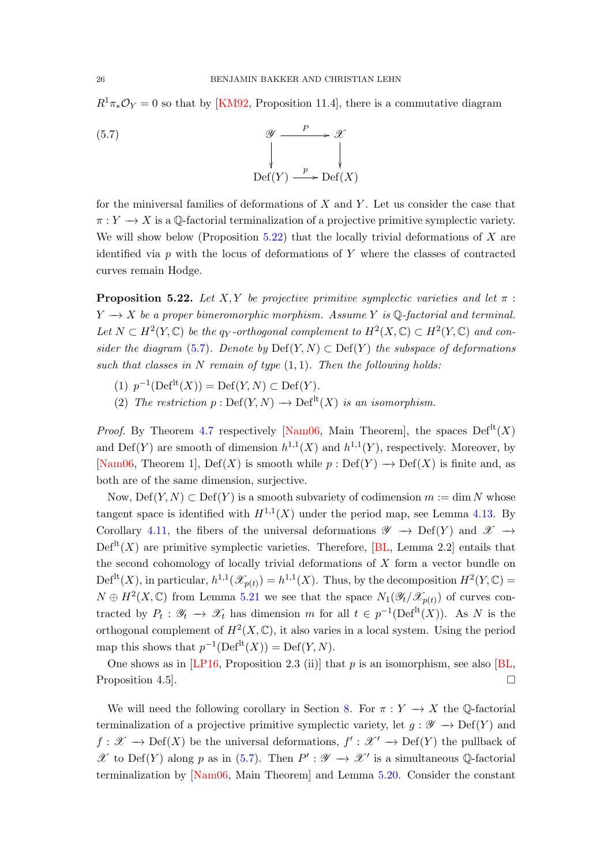<span id="page-25-2"></span> $R^1\pi_*\mathcal{O}_Y=0$  so that by [\[KM92,](#page-45-8) Proposition 11.4], there is a commutative diagram

<span id="page-25-1"></span>(5.7) 
$$
\begin{array}{ccc}\n & \mathscr{Y} & \xrightarrow{P} & \mathscr{X} \\
& \downarrow & & \downarrow \\
\downarrow & & \downarrow & \\
\text{Def}(Y) & \xrightarrow{p} \text{Def}(X)\n\end{array}
$$

for the miniversal families of deformations of  $X$  and  $Y$ . Let us consider the case that  $\pi: Y \to X$  is a Q-factorial terminalization of a projective primitive symplectic variety. We will show below (Proposition [5.22\)](#page-25-0) that the locally trivial deformations of  $X$  are identified via  $p$  with the locus of deformations of  $Y$  where the classes of contracted curves remain Hodge.

<span id="page-25-0"></span>**Proposition 5.22.** Let X, Y be projective primitive symplectic varieties and let  $\pi$ :  $Y \rightarrow X$  be a proper bimeromorphic morphism. Assume Y is Q-factorial and terminal. Let  $N \subset H^2(Y, \mathbb{C})$  be the qy-orthogonal complement to  $H^2(X, \mathbb{C}) \subset H^2(Y, \mathbb{C})$  and con-sider the diagram [\(5.7\)](#page-25-1). Denote by  $Def(Y, N) \subset Def(Y)$  the subspace of deformations such that classes in N remain of type  $(1, 1)$ . Then the following holds:

- (1)  $p^{-1}(\text{Def}^{\text{lt}}(X)) = \text{Def}(Y, N) \subset \text{Def}(Y).$
- (2) The restriction  $p : \mathrm{Def}(Y, N) \longrightarrow \mathrm{Def}^{\mathrm{lt}}(X)$  is an isomorphism.

*Proof.* By Theorem [4.7](#page-15-0) respectively [\[Nam06,](#page-45-7) Main Theorem], the spaces  $Def<sup>lt</sup>(X)$ and Def(Y) are smooth of dimension  $h^{1,1}(X)$  and  $h^{1,1}(Y)$ , respectively. Moreover, by [\[Nam06,](#page-45-7) Theorem 1], Def(X) is smooth while  $p: \mathrm{Def}(Y) \to \mathrm{Def}(X)$  is finite and, as both are of the same dimension, surjective.

Now,  $Def(Y, N) \subset Def(Y)$  is a smooth subvariety of codimension  $m := \dim N$  whose tangent space is identified with  $H^{1,1}(X)$  under the period map, see Lemma [4.13.](#page-18-1) By Corollary [4.11,](#page-17-0) the fibers of the universal deformations  $\mathscr{Y} \to \mathrm{Def}(Y)$  and  $\mathscr{X} \to$  $\mathrm{Def}^{\mathrm{lt}}(X)$  are primitive symplectic varieties. Therefore, [\[BL,](#page-42-3) Lemma 2.2] entails that the second cohomology of locally trivial deformations of  $X$  form a vector bundle on Def<sup>lt</sup> $(X)$ , in particular,  $h^{1,1}(\mathscr{X}_{p(t)}) = h^{1,1}(X)$ . Thus, by the decomposition  $H^2(Y, \mathbb{C}) =$  $N \oplus H^2(X,\mathbb{C})$  from Lemma [5.21](#page-24-3) we see that the space  $N_1(\mathscr{Y}_t|\mathscr{X}_{p(t)})$  of curves contracted by  $P_t: \mathscr{Y}_t \to \mathscr{X}_t$  has dimension m for all  $t \in p^{-1}(\text{Def}^{\text{lt}}(X))$ . As N is the orthogonal complement of  $H^2(X,\mathbb{C})$ , it also varies in a local system. Using the period map this shows that  $p^{-1}(\text{Def}^{\text{lt}}(X)) = \text{Def}(Y, N)$ .

One shows as in [\[LP16,](#page-45-2) Proposition 2.3 (ii)] that  $p$  is an isomorphism, see also [\[BL,](#page-42-3) Proposition 4.5.

We will need the following corollary in Section [8.](#page-35-0) For  $\pi : Y \to X$  the Q-factorial terminalization of a projective primitive symplectic variety, let  $g : \mathscr{Y} \to \mathrm{Def}(Y)$  and  $f: \mathscr{X} \to \mathrm{Def}(X)$  be the universal deformations,  $f': \mathscr{X}' \to \mathrm{Def}(Y)$  the pullback of  $\mathscr X$  to Def(Y) along p as in [\(5.7\)](#page-25-1). Then  $P': \mathscr Y \to \mathscr X'$  is a simultaneous Q-factorial terminalization by [\[Nam06,](#page-45-7) Main Theorem] and Lemma [5.20.](#page-23-1) Consider the constant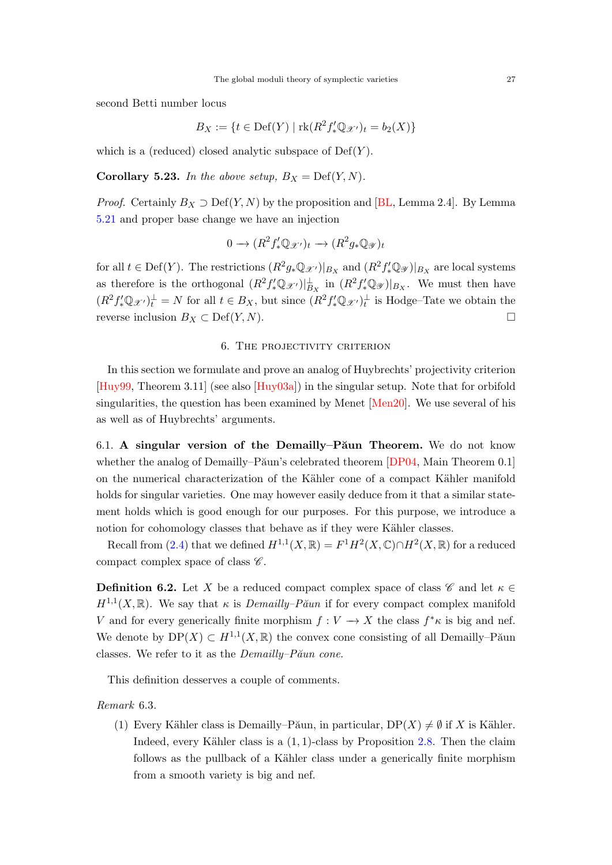<span id="page-26-2"></span>second Betti number locus

$$
B_X := \{ t \in \text{Def}(Y) \mid \text{rk}(R^2 f'_* \mathbb{Q}_{\mathcal{X}'})_t = b_2(X) \}
$$

which is a (reduced) closed analytic subspace of  $Def(Y)$ .

<span id="page-26-1"></span>**Corollary 5.23.** In the above setup,  $B_X = \text{Def}(Y, N)$ .

*Proof.* Certainly  $B_X \supset \text{Def}(Y, N)$  by the proposition and [\[BL,](#page-42-3) Lemma 2.4]. By Lemma [5.21](#page-24-3) and proper base change we have an injection

$$
0 \longrightarrow (R^2 f'_* \mathbb{Q}_{\mathscr{X}'})_t \longrightarrow (R^2 g_* \mathbb{Q}_{\mathscr{Y}})_t
$$

for all  $t \in \text{Def}(Y)$ . The restrictions  $(R^2 g_* \mathbb{Q}_{\mathscr{X}'})|_{B_X}$  and  $(R^2 f'_* \mathbb{Q}_{\mathscr{Y}})|_{B_X}$  are local systems as therefore is the orthogonal  $(R^2 f'_* \mathbb{Q}_{\mathscr{X}})|_{B_X}^{\perp}$  in  $(R^2 f'_* \mathbb{Q}_{\mathscr{Y}})|_{B_X}$ . We must then have  $(R^2 f'_* \mathbb{Q}_{\mathscr{X}})$ <sub>t</sub><sup>1</sup> = N for all  $t \in B_X$ , but since  $(R^2 f'_* \mathbb{Q}_{\mathscr{X}})$ <sub>t</sub><sup>1</sup> is Hodge-Tate we obtain the reverse inclusion  $B_X \subset \text{Def}(Y, N)$ . □

## 6. The projectivity criterion

<span id="page-26-0"></span>In this section we formulate and prove an analog of Huybrechts' projectivity criterion [\[Huy99,](#page-44-3) Theorem 3.11] (see also [\[Huy03a\]](#page-44-12)) in the singular setup. Note that for orbifold singularities, the question has been examined by Menet [\[Men20\]](#page-45-4). We use several of his as well as of Huybrechts' arguments.

6.1. A singular version of the Demailly–P $\tilde{a}$ un Theorem. We do not know whether the analog of Demailly–Păun's celebrated theorem  $[DP04, Main Theorem 0.1]$ on the numerical characterization of the Kähler cone of a compact Kähler manifold holds for singular varieties. One may however easily deduce from it that a similar statement holds which is good enough for our purposes. For this purpose, we introduce a notion for cohomology classes that behave as if they were Kähler classes.

Recall from [\(2.4\)](#page-6-2) that we defined  $H^{1,1}(X,\mathbb{R})=F^1H^2(X,\mathbb{C})\cap H^2(X,\mathbb{R})$  for a reduced compact complex space of class  $\mathscr{C}$ .

**Definition 6.2.** Let X be a reduced compact complex space of class  $\mathscr{C}$  and let  $\kappa \in \mathbb{C}$  $H^{1,1}(X,\mathbb{R})$ . We say that  $\kappa$  is *Demailly–Păun* if for every compact complex manifold V and for every generically finite morphism  $f: V \to X$  the class  $f^*\kappa$  is big and nef. We denote by  $DP(X) \subset H^{1,1}(X,\mathbb{R})$  the convex cone consisting of all Demailly–Păun classes. We refer to it as the  $Demailly-P\check{a}un$  cone.

This definition desserves a couple of comments.

Remark 6.3.

(1) Every Kähler class is Demailly–Păun, in particular,  $DP(X) \neq \emptyset$  if X is Kähler. Indeed, every Kähler class is a  $(1, 1)$ -class by Proposition [2.8.](#page-7-0) Then the claim follows as the pullback of a Kähler class under a generically finite morphism from a smooth variety is big and nef.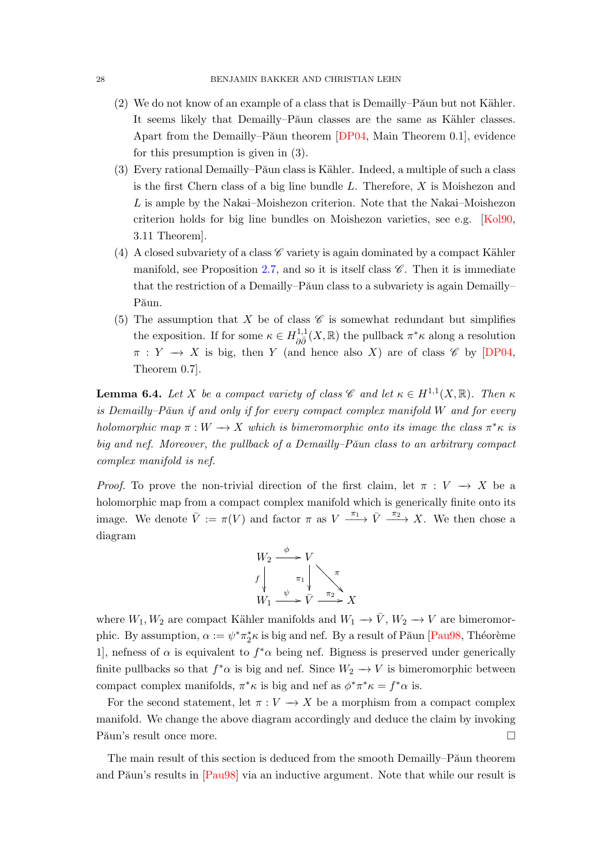- <span id="page-27-1"></span> $(2)$  We do not know of an example of a class that is Demailly–P $\tilde{a}$ un but not Kähler. It seems likely that Demailly–Păun classes are the same as Kähler classes. Apart from the Demailly–Păun theorem  $[DP04, Main Theorem 0.1]$ , evidence for this presumption is given in (3).
- $(3)$  Every rational Demailly–P $\tilde{a}$ un class is Kähler. Indeed, a multiple of such a class is the first Chern class of a big line bundle  $L$ . Therefore,  $X$  is Moishezon and L is ample by the Nakai–Moishezon criterion. Note that the Nakai–Moishezon criterion holds for big line bundles on Moishezon varieties, see e.g. [\[Kol90,](#page-45-19) 3.11 Theorem].
- (4) A closed subvariety of a class  $\mathscr C$  variety is again dominated by a compact Kähler manifold, see Proposition [2.7,](#page-6-3) and so it is itself class  $\mathscr{C}$ . Then it is immediate that the restriction of a Demailly–Păun class to a subvariety is again Demailly– Păun.
- (5) The assumption that X be of class  $\mathscr C$  is somewhat redundant but simplifies the exposition. If for some  $\kappa \in H_{\partial \bar{\partial}}^{1,1}(X,\mathbb{R})$  the pullback  $\pi^*\kappa$  along a resolution  $\pi: Y \to X$  is big, then Y (and hence also X) are of class  $\mathscr{C}$  by [\[DP04,](#page-43-14) Theorem 0.7].

<span id="page-27-0"></span>**Lemma 6.4.** Let X be a compact variety of class  $\mathscr{C}$  and let  $\kappa \in H^{1,1}(X,\mathbb{R})$ . Then  $\kappa$ is Demailly–Păun if and only if for every compact complex manifold  $W$  and for every holomorphic map  $\pi : W \longrightarrow X$  which is bimeromorphic onto its image the class  $\pi^* \kappa$  is big and nef. Moreover, the pullback of a Demailly–Păun class to an arbitrary compact complex manifold is nef.

*Proof.* To prove the non-trivial direction of the first claim, let  $\pi : V \to X$  be a holomorphic map from a compact complex manifold which is generically finite onto its image. We denote  $\bar{V} := \pi(V)$  and factor  $\pi$  as  $V \xrightarrow{\pi_1} \bar{V} \xrightarrow{\pi_2} X$ . We then chose a diagram



where  $W_1, W_2$  are compact Kähler manifolds and  $W_1 \to \overline{V}$ ,  $W_2 \to V$  are bimeromorphic. By assumption,  $\alpha := \psi^* \pi_2^* \kappa$  is big and nef. By a result of Păun [\[Pau98,](#page-46-11) Théorème 1, nefness of  $\alpha$  is equivalent to  $f^*\alpha$  being nef. Bigness is preserved under generically finite pullbacks so that  $f^*\alpha$  is big and nef. Since  $W_2 \to V$  is bimeromorphic between compact complex manifolds,  $\pi^* \kappa$  is big and nef as  $\phi^* \pi^* \kappa = f^* \alpha$  is.

For the second statement, let  $\pi: V \to X$  be a morphism from a compact complex manifold. We change the above diagram accordingly and deduce the claim by invoking Păun's result once more.  $\Box$ 

The main result of this section is deduced from the smooth Demailly–Păun theorem and Păun's results in [\[Pau98\]](#page-46-11) via an inductive argument. Note that while our result is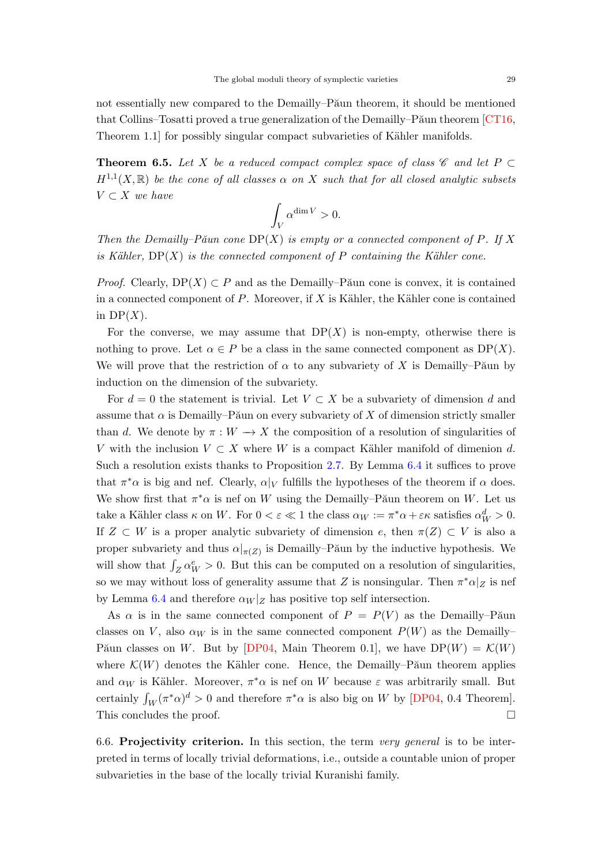<span id="page-28-1"></span>not essentially new compared to the Demailly–Păun theorem, it should be mentioned that Collins–Tosatti proved a true generalization of the Demailly–P $\tilde{P}$ aun theorem [\[CT16,](#page-42-11) Theorem 1.1 for possibly singular compact subvarieties of Kähler manifolds.

<span id="page-28-0"></span>**Theorem 6.5.** Let X be a reduced compact complex space of class  $\mathscr C$  and let P  $\subset$  $H^{1,1}(X,\mathbb{R})$  be the cone of all classes  $\alpha$  on X such that for all closed analytic subsets  $V \subset X$  we have

$$
\int_V \alpha^{\dim V} > 0.
$$

Then the Demailly–Păun cone  $DP(X)$  is empty or a connected component of P. If X is Kähler,  $DP(X)$  is the connected component of P containing the Kähler cone.

*Proof.* Clearly,  $DP(X) \subset P$  and as the Demailly–Păun cone is convex, it is contained in a connected component of  $P$ . Moreover, if  $X$  is Kähler, the Kähler cone is contained in  $DP(X)$ .

For the converse, we may assume that  $DP(X)$  is non-empty, otherwise there is nothing to prove. Let  $\alpha \in P$  be a class in the same connected component as  $DP(X)$ . We will prove that the restriction of  $\alpha$  to any subvariety of X is Demailly–Păun by induction on the dimension of the subvariety.

For  $d = 0$  the statement is trivial. Let  $V \subset X$  be a subvariety of dimension d and assume that  $\alpha$  is Demailly–Păun on every subvariety of X of dimension strictly smaller than d. We denote by  $\pi : W \to X$  the composition of a resolution of singularities of V with the inclusion  $V \subset X$  where W is a compact Kähler manifold of dimenion d. Such a resolution exists thanks to Proposition [2.7.](#page-6-3) By Lemma [6.4](#page-27-0) it suffices to prove that  $\pi^*\alpha$  is big and nef. Clearly,  $\alpha|_V$  fulfills the hypotheses of the theorem if  $\alpha$  does. We show first that  $\pi^*\alpha$  is nef on W using the Demailly–Păun theorem on W. Let us take a Kähler class  $\kappa$  on W. For  $0 < \varepsilon \ll 1$  the class  $\alpha_W := \pi^* \alpha + \varepsilon \kappa$  satisfies  $\alpha_W^d > 0$ . If  $Z \subset W$  is a proper analytic subvariety of dimension e, then  $\pi(Z) \subset V$  is also a proper subvariety and thus  $\alpha|_{\pi(Z)}$  is Demailly–Păun by the inductive hypothesis. We will show that  $\int_Z \alpha_W^e > 0$ . But this can be computed on a resolution of singularities, so we may without loss of generality assume that Z is nonsingular. Then  $\pi^* \alpha|_Z$  is nef by Lemma [6.4](#page-27-0) and therefore  $\alpha_W|_Z$  has positive top self intersection.

As  $\alpha$  is in the same connected component of  $P = P(V)$  as the Demailly–Păun classes on V, also  $\alpha_W$  is in the same connected component  $P(W)$  as the Demailly– Păun classes on W. But by [\[DP04,](#page-43-14) Main Theorem 0.1], we have  $DP(W) = \mathcal{K}(W)$ where  $\mathcal{K}(W)$  denotes the Kähler cone. Hence, the Demailly–P $\tilde{\alpha}$ un theorem applies and  $\alpha_W$  is Kähler. Moreover,  $\pi^*\alpha$  is nef on W because  $\varepsilon$  was arbitrarily small. But certainly  $\int_W (\pi^* \alpha)^d > 0$  and therefore  $\pi^* \alpha$  is also big on W by [\[DP04,](#page-43-14) 0.4 Theorem]. This concludes the proof.  $\Box$ 

6.6. Projectivity criterion. In this section, the term very general is to be interpreted in terms of locally trivial deformations, i.e., outside a countable union of proper subvarieties in the base of the locally trivial Kuranishi family.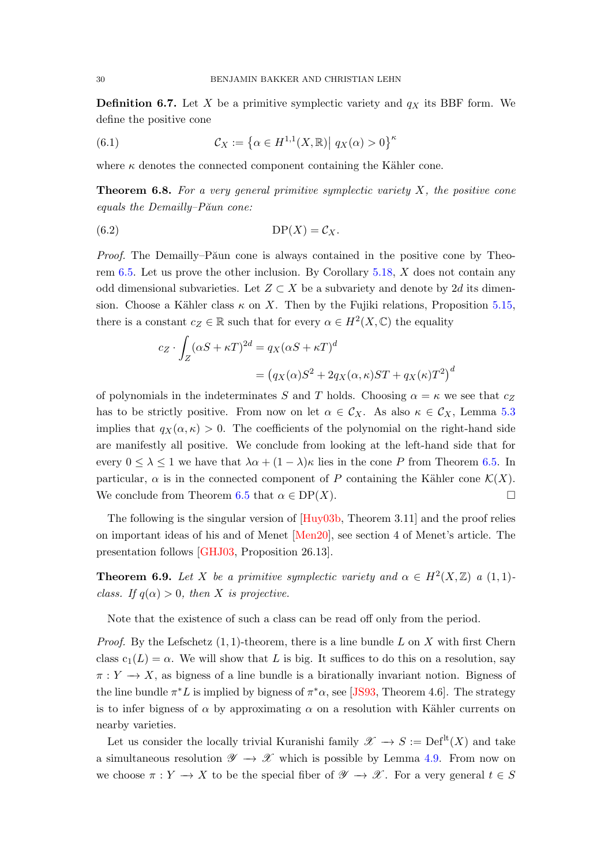<span id="page-29-2"></span>**Definition 6.7.** Let X be a primitive symplectic variety and  $q_X$  its BBF form. We define the positive cone

(6.1) 
$$
\mathcal{C}_X := \left\{ \alpha \in H^{1,1}(X,\mathbb{R}) \middle| \ q_X(\alpha) > 0 \right\}^{\kappa}
$$

where  $\kappa$  denotes the connected component containing the Kähler cone.

<span id="page-29-1"></span>**Theorem 6.8.** For a very general primitive symplectic variety  $X$ , the positive cone equals the Demailly– $P\check{a}$ un cone:

$$
(6.2) \t\t \tDP(X) = C_X.
$$

*Proof.* The Demailly–Păun cone is always contained in the positive cone by Theo-rem [6.5.](#page-28-0) Let us prove the other inclusion. By Corollary [5.18,](#page-23-0)  $X$  does not contain any odd dimensional subvarieties. Let  $Z \subset X$  be a subvariety and denote by 2d its dimension. Choose a Kähler class  $\kappa$  on X. Then by the Fujiki relations, Proposition [5.15,](#page-22-0) there is a constant  $c_Z \in \mathbb{R}$  such that for every  $\alpha \in H^2(X, \mathbb{C})$  the equality

$$
c_Z \cdot \int_Z (\alpha S + \kappa T)^{2d} = q_X (\alpha S + \kappa T)^d
$$
  
=  $(q_X(\alpha)S^2 + 2q_X(\alpha, \kappa)ST + q_X(\kappa)T^2)^d$ 

of polynomials in the indeterminates S and T holds. Choosing  $\alpha = \kappa$  we see that  $c_Z$ has to be strictly positive. From now on let  $\alpha \in \mathcal{C}_X$ . As also  $\kappa \in \mathcal{C}_X$ , Lemma [5.3](#page-19-3) implies that  $q_X(\alpha, \kappa) > 0$ . The coefficients of the polynomial on the right-hand side are manifestly all positive. We conclude from looking at the left-hand side that for every  $0 \leq \lambda \leq 1$  we have that  $\lambda \alpha + (1 - \lambda)\kappa$  lies in the cone P from Theorem [6.5.](#page-28-0) In particular,  $\alpha$  is in the connected component of P containing the Kähler cone  $\mathcal{K}(X)$ . We conclude from Theorem [6.5](#page-28-0) that  $\alpha \in DP(X)$ .

The following is the singular version of [\[Huy03b,](#page-44-13) Theorem 3.11] and the proof relies on important ideas of his and of Menet [\[Men20\]](#page-45-4), see section 4 of Menet's article. The presentation follows [\[GHJ03,](#page-43-11) Proposition 26.13].

<span id="page-29-0"></span>**Theorem 6.9.** Let X be a primitive symplectic variety and  $\alpha \in H^2(X,\mathbb{Z})$  a  $(1,1)$ class. If  $q(\alpha) > 0$ , then X is projective.

Note that the existence of such a class can be read off only from the period.

*Proof.* By the Lefschetz  $(1, 1)$ -theorem, there is a line bundle L on X with first Chern class  $c_1(L) = \alpha$ . We will show that L is big. It suffices to do this on a resolution, say  $\pi: Y \longrightarrow X$ , as bigness of a line bundle is a birationally invariant notion. Bigness of the line bundle  $\pi^* L$  is implied by bigness of  $\pi^* \alpha$ , see [\[JS93,](#page-44-14) Theorem 4.6]. The strategy is to infer bigness of  $\alpha$  by approximating  $\alpha$  on a resolution with Kähler currents on nearby varieties.

Let us consider the locally trivial Kuranishi family  $\mathscr{X} \to S := \mathrm{Def}^{\mathrm{lt}}(X)$  and take a simultaneous resolution  $\mathscr{Y} \to \mathscr{X}$  which is possible by Lemma [4.9.](#page-16-0) From now on we choose  $\pi: Y \to X$  to be the special fiber of  $\mathscr{Y} \to \mathscr{X}$ . For a very general  $t \in S$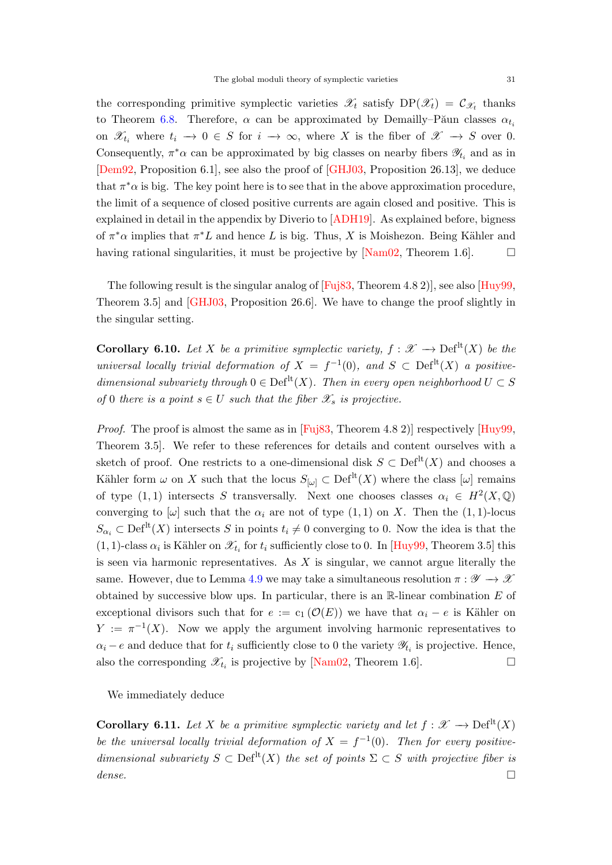<span id="page-30-1"></span>the corresponding primitive symplectic varieties  $\mathscr{X}_t$  satisfy  $DP(\mathscr{X}_t) = C_{\mathscr{X}_t}$  thanks to Theorem [6.8.](#page-29-1) Therefore,  $\alpha$  can be approximated by Demailly–Păun classes  $\alpha_{t_i}$ on  $\mathscr{X}_{t_i}$  where  $t_i \to 0 \in S$  for  $i \to \infty$ , where X is the fiber of  $\mathscr{X} \to S$  over 0. Consequently,  $\pi^*\alpha$  can be approximated by big classes on nearby fibers  $\mathscr{Y}_{t_i}$  and as in [\[Dem92,](#page-43-15) Proposition 6.1], see also the proof of [\[GHJ03,](#page-43-11) Proposition 26.13], we deduce that  $\pi^*\alpha$  is big. The key point here is to see that in the above approximation procedure, the limit of a sequence of closed positive currents are again closed and positive. This is explained in detail in the appendix by Diverio to [\[ADH19\]](#page-42-12). As explained before, bigness of  $\pi^*\alpha$  implies that  $\pi^*L$  and hence L is big. Thus, X is Moishezon. Being Kähler and having rational singularities, it must be projective by  $[Nam02, Theorem 1.6]$ .  $\Box$ 

The following result is the singular analog of [\[Fuj83,](#page-43-16) Theorem 4.8 2)], see also [\[Huy99,](#page-44-3) Theorem 3.5] and [\[GHJ03,](#page-43-11) Proposition 26.6]. We have to change the proof slightly in the singular setting.

**Corollary 6.10.** Let X be a primitive symplectic variety,  $f : \mathcal{X} \to \mathrm{Def}^{\mathrm{lt}}(X)$  be the universal locally trivial deformation of  $X = f^{-1}(0)$ , and  $S \subset \text{Def}^{lt}(X)$  a positivedimensional subvariety through  $0 \in \mathrm{Def}^{\mathrm{lt}}(X)$ . Then in every open neighborhood  $U \subset S$ of 0 there is a point  $s \in U$  such that the fiber  $\mathscr{X}_s$  is projective.

*Proof.* The proof is almost the same as in  $[Fu \check{B}3, Theorem 4.8 2)]$  respectively  $[Huy99,$ Theorem 3.5]. We refer to these references for details and content ourselves with a sketch of proof. One restricts to a one-dimensional disk  $S \subset \mathrm{Def}^{\mathrm{lt}}(X)$  and chooses a Kähler form  $\omega$  on X such that the locus  $S_{[\omega]} \subset \mathrm{Def}^{\mathrm{lt}}(X)$  where the class  $[\omega]$  remains of type  $(1, 1)$  intersects S transversally. Next one chooses classes  $\alpha_i \in H^2(X, \mathbb{Q})$ converging to  $[\omega]$  such that the  $\alpha_i$  are not of type  $(1, 1)$  on X. Then the  $(1, 1)$ -locus  $S_{\alpha_i} \subset \text{Def}^{\text{lt}}(X)$  intersects S in points  $t_i \neq 0$  converging to 0. Now the idea is that the  $(1, 1)$ -class  $\alpha_i$  is Kähler on  $\mathscr{X}_{t_i}$  for  $t_i$  sufficiently close to 0. In [\[Huy99,](#page-44-3) Theorem 3.5] this is seen via harmonic representatives. As  $X$  is singular, we cannot argue literally the same. However, due to Lemma [4.9](#page-16-0) we may take a simultaneous resolution  $\pi : \mathscr{Y} \to \mathscr{X}$ obtained by successive blow ups. In particular, there is an  $\mathbb R$ -linear combination  $E$  of exceptional divisors such that for  $e := c_1(\mathcal{O}(E))$  we have that  $\alpha_i - e$  is Kähler on  $Y := \pi^{-1}(X)$ . Now we apply the argument involving harmonic representatives to  $\alpha_i - e$  and deduce that for  $t_i$  sufficiently close to 0 the variety  $\mathscr{Y}_{t_i}$  is projective. Hence, also the corresponding  $\mathscr{X}_{t_i}$  is projective by [\[Nam02,](#page-45-1) Theorem 1.6].

We immediately deduce

<span id="page-30-0"></span>**Corollary 6.11.** Let X be a primitive symplectic variety and let  $f : \mathcal{X} \to \mathrm{Def}^{\mathrm{lt}}(X)$ be the universal locally trivial deformation of  $X = f^{-1}(0)$ . Then for every positivedimensional subvariety  $S \subset \mathrm{Def}^{\mathrm{lt}}(X)$  the set of points  $\Sigma \subset S$  with projective fiber is dense.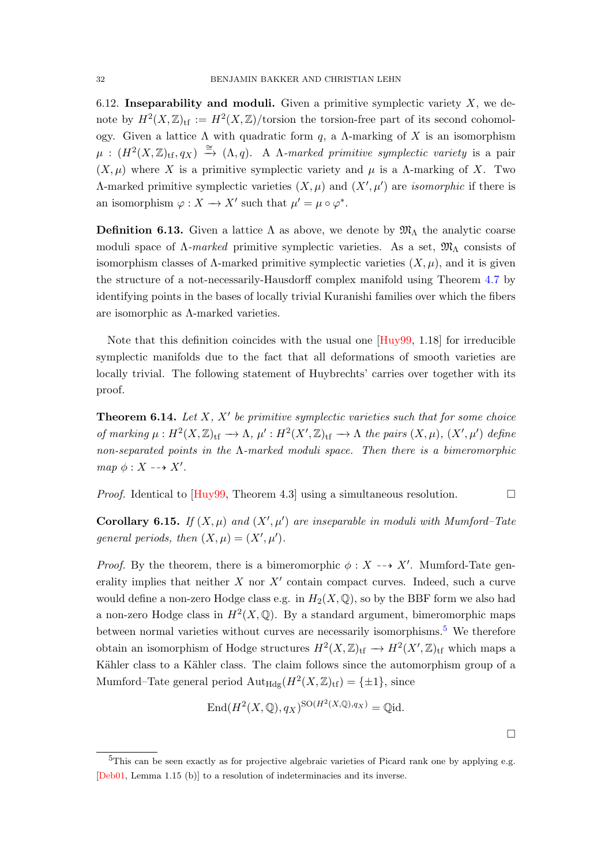<span id="page-31-5"></span><span id="page-31-3"></span>6.12. Inseparability and moduli. Given a primitive symplectic variety  $X$ , we denote by  $H^2(X,\mathbb{Z})_{\text{tf}} := H^2(X,\mathbb{Z})/\text{torsion}$  the torsion-free part of its second cohomology. Given a lattice Λ with quadratic form q, a Λ-marking of X is an isomorphism  $\mu$  :  $(H^2(X,\mathbb{Z})_{\text{tf}},q_X) \stackrel{\cong}{\rightarrow} (\Lambda,q)$ . A *Λ*-marked primitive symplectic variety is a pair  $(X, \mu)$  where X is a primitive symplectic variety and  $\mu$  is a  $\Lambda$ -marking of X. Two Λ-marked primitive symplectic varieties  $(X, \mu)$  and  $(X', \mu')$  are *isomorphic* if there is an isomorphism  $\varphi: X \to X'$  such that  $\mu' = \mu \circ \varphi^*$ .

<span id="page-31-0"></span>**Definition 6.13.** Given a lattice  $\Lambda$  as above, we denote by  $\mathfrak{M}_{\Lambda}$  the analytic coarse moduli space of  $\Lambda$ -marked primitive symplectic varieties. As a set,  $\mathfrak{M}_{\Lambda}$  consists of isomorphism classes of  $\Lambda$ -marked primitive symplectic varieties  $(X, \mu)$ , and it is given the structure of a not-necessarily-Hausdorff complex manifold using Theorem [4.7](#page-15-0) by identifying points in the bases of locally trivial Kuranishi families over which the fibers are isomorphic as Λ-marked varieties.

Note that this definition coincides with the usual one [\[Huy99,](#page-44-3) 1.18] for irreducible symplectic manifolds due to the fact that all deformations of smooth varieties are locally trivial. The following statement of Huybrechts' carries over together with its proof.

<span id="page-31-1"></span>**Theorem 6.14.** Let  $X$ ,  $X'$  be primitive symplectic varieties such that for some choice of marking  $\mu: H^2(X,\mathbb{Z})_{\rm tf} \to \Lambda$ ,  $\mu': H^2(X',\mathbb{Z})_{\rm tf} \to \Lambda$  the pairs  $(X,\mu), (X',\mu')$  define non-separated points in the  $\Lambda$ -marked moduli space. Then there is a bimeromorphic map  $\phi: X \dashrightarrow X'.$ 

*Proof.* Identical to [\[Huy99,](#page-44-3) Theorem 4.3] using a simultaneous resolution.  $\Box$ 

<span id="page-31-4"></span>**Corollary 6.15.** If  $(X, \mu)$  and  $(X', \mu')$  are inseparable in moduli with Mumford–Tate general periods, then  $(X, \mu) = (X', \mu').$ 

*Proof.* By the theorem, there is a bimeromorphic  $\phi : X \dashrightarrow X'$ . Mumford-Tate generality implies that neither  $X$  nor  $X'$  contain compact curves. Indeed, such a curve would define a non-zero Hodge class e.g. in  $H_2(X, \mathbb{Q})$ , so by the BBF form we also had a non-zero Hodge class in  $H^2(X, \mathbb{Q})$ . By a standard argument, bimeromorphic maps between normal varieties without curves are necessarily isomorphisms.<sup>[5](#page-31-2)</sup> We therefore obtain an isomorphism of Hodge structures  $H^2(X, \mathbb{Z})_{\text{tf}} \to H^2(X', \mathbb{Z})_{\text{tf}}$  which maps a Kähler class to a Kähler class. The claim follows since the automorphism group of a Mumford–Tate general period  $\text{Aut}_{\text{Hdg}}(H^2(X,\mathbb{Z})_{\text{tf}}) = {\pm 1}$ , since

$$
End(H^2(X, \mathbb{Q}), q_X)^{SO(H^2(X, \mathbb{Q}), q_X)} = \mathbb{Q}id.
$$

<span id="page-31-2"></span><sup>&</sup>lt;sup>5</sup>This can be seen exactly as for projective algebraic varieties of Picard rank one by applying e.g. [\[Deb01,](#page-42-13) Lemma 1.15 (b)] to a resolution of indeterminacies and its inverse.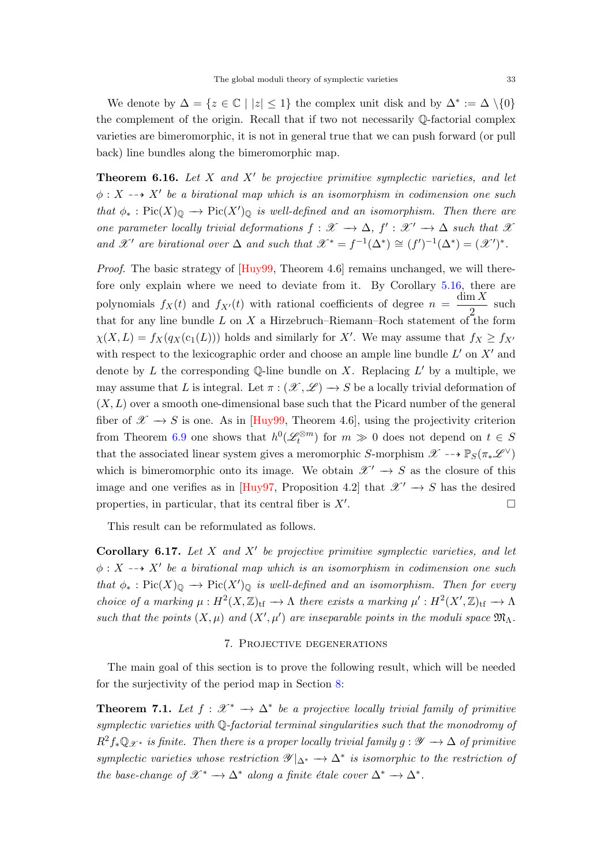<span id="page-32-3"></span>We denote by  $\Delta = \{z \in \mathbb{C} \mid |z| \leq 1\}$  the complex unit disk and by  $\Delta^* := \Delta \setminus \{0\}$ the complement of the origin. Recall that if two not necessarily Q-factorial complex varieties are bimeromorphic, it is not in general true that we can push forward (or pull back) line bundles along the bimeromorphic map.

**Theorem 6.16.** Let  $X$  and  $X'$  be projective primitive symplectic varieties, and let  $\phi: X \dashrightarrow X'$  be a birational map which is an isomorphism in codimension one such that  $\phi_* : Pic(X)_{\mathbb{Q}} \longrightarrow Pic(X')_{\mathbb{Q}}$  is well-defined and an isomorphism. Then there are one parameter locally trivial deformations  $f: \mathscr{X} \to \Delta$ ,  $f': \mathscr{X}' \to \Delta$  such that  $\mathscr{X}$ and X' are birational over  $\Delta$  and such that  $\mathcal{X}^* = f^{-1}(\Delta^*) \cong (f')^{-1}(\Delta^*) = (\mathcal{X}')^*$ .

Proof. The basic strategy of  $[Huy99,$  Theorem 4.6 remains unchanged, we will therefore only explain where we need to deviate from it. By Corollary [5.16,](#page-22-1) there are polynomials  $f_X(t)$  and  $f_{X'}(t)$  with rational coefficients of degree  $n = \frac{\dim X}{2}$  $\frac{1}{2}$  such that for any line bundle L on X a Hirzebruch–Riemann–Roch statement of the form  $\chi(X, L) = f_X(q_X(c_1(L)))$  holds and similarly for X'. We may assume that  $f_X \ge f_{X}$ with respect to the lexicographic order and choose an ample line bundle  $L'$  on  $X'$  and denote by L the corresponding Q-line bundle on X. Replacing  $L'$  by a multiple, we may assume that L is integral. Let  $\pi : (\mathscr{X}, \mathscr{L}) \longrightarrow S$  be a locally trivial deformation of  $(X, L)$  over a smooth one-dimensional base such that the Picard number of the general fiber of  $\mathscr{X} \to S$  is one. As in [\[Huy99,](#page-44-3) Theorem 4.6], using the projectivity criterion from Theorem [6.9](#page-29-0) one shows that  $h^0(\mathscr{L}^{\otimes m}_t)$  for  $m \gg 0$  does not depend on  $t \in S$ that the associated linear system gives a meromorphic S-morphism  $\mathscr{X} \dashrightarrow \mathbb{P}_S(\pi_*\mathscr{L}^\vee)$ which is bimeromorphic onto its image. We obtain  $\mathscr{X}' \to S$  as the closure of this image and one verifies as in [\[Huy97,](#page-44-15) Proposition 4.2] that  $\mathcal{X}' \to S$  has the desired properties, in particular, that its central fiber is  $X'$ . . — Первый процесс в серверності процесс в процесс в серверності процесс в серверності процесс в серверності п<br>Процесс в серверності процесс в серверності процесс в серверності процесс в серверності процесс в серверності

This result can be reformulated as follows.

<span id="page-32-1"></span>Corollary 6.17. Let  $X$  and  $X'$  be projective primitive symplectic varieties, and let  $\phi: X \dashrightarrow X'$  be a birational map which is an isomorphism in codimension one such that  $\phi_* : Pic(X)_{\mathbb{Q}} \longrightarrow Pic(X')_{\mathbb{Q}}$  is well-defined and an isomorphism. Then for every choice of a marking  $\mu : H^2(X,\mathbb{Z})_{\text{tf}} \longrightarrow \Lambda$  there exists a marking  $\mu' : H^2(X',\mathbb{Z})_{\text{tf}} \longrightarrow \Lambda$ such that the points  $(X, \mu)$  and  $(X', \mu')$  are inseparable points in the moduli space  $\mathfrak{M}_{\Lambda}$ .

### 7. Projective degenerations

<span id="page-32-0"></span>The main goal of this section is to prove the following result, which will be needed for the surjectivity of the period map in Section [8:](#page-35-0)

<span id="page-32-2"></span>**Theorem 7.1.** Let  $f : \mathcal{X}^* \to \Delta^*$  be a projective locally trivial family of primitive symplectic varieties with Q-factorial terminal singularities such that the monodromy of  $R^2f_*\mathbb{Q}_{\mathscr{X}^*}$  is finite. Then there is a proper locally trivial family  $q: \mathscr{Y} \to \Delta$  of primitive symplectic varieties whose restriction  $\mathscr{Y}|_{\Delta^*} \to \Delta^*$  is isomorphic to the restriction of the base-change of  $\mathscr{X}^* \to \Delta^*$  along a finite étale cover  $\Delta^* \to \Delta^*$ .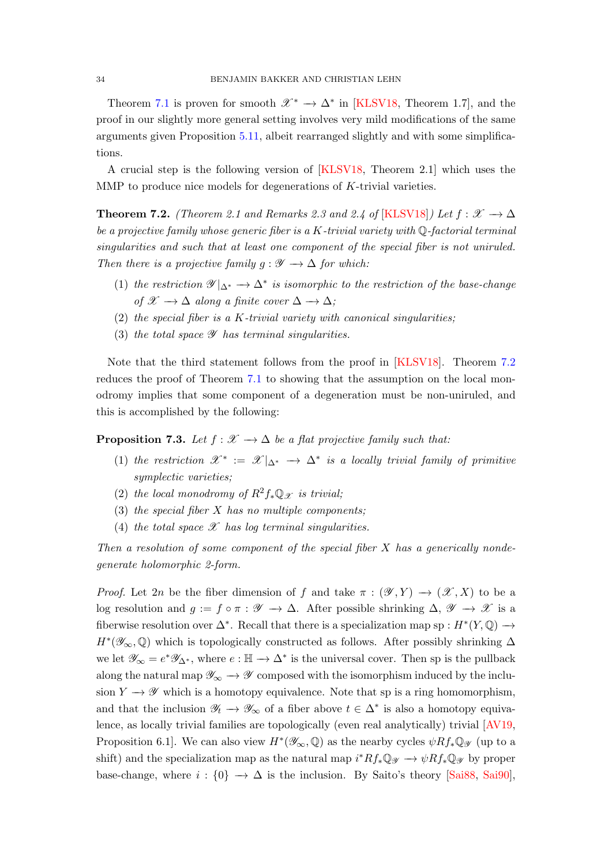<span id="page-33-2"></span>Theorem [7.1](#page-32-2) is proven for smooth  $\mathscr{X}^* \to \Delta^*$  in [\[KLSV18,](#page-45-0) Theorem 1.7], and the proof in our slightly more general setting involves very mild modifications of the same arguments given Proposition [5.11,](#page-21-1) albeit rearranged slightly and with some simplifications.

A crucial step is the following version of [\[KLSV18,](#page-45-0) Theorem 2.1] which uses the MMP to produce nice models for degenerations of K-trivial varieties.

<span id="page-33-0"></span>**Theorem 7.2.** (Theorem 2.1 and Remarks 2.3 and 2.4 of [\[KLSV18\]](#page-45-0)) Let  $f : \mathcal{X} \to \Delta$ be a projective family whose generic fiber is a  $K$ -trivial variety with  $\mathbb{Q}$ -factorial terminal singularities and such that at least one component of the special fiber is not uniruled. Then there is a projective family  $g : \mathscr{Y} \longrightarrow \Delta$  for which:

- (1) the restriction  $\mathscr{Y}|_{\Delta^*}\to \Delta^*$  is isomorphic to the restriction of the base-change of  $\mathscr{X} \longrightarrow \Delta$  along a finite cover  $\Delta \longrightarrow \Delta$ ;
- (2) the special fiber is a K-trivial variety with canonical singularities;
- (3) the total space  $\mathscr Y$  has terminal singularities.

Note that the third statement follows from the proof in [\[KLSV18\]](#page-45-0). Theorem [7.2](#page-33-0) reduces the proof of Theorem [7.1](#page-32-2) to showing that the assumption on the local monodromy implies that some component of a degeneration must be non-uniruled, and this is accomplished by the following:

<span id="page-33-1"></span>**Proposition 7.3.** Let  $f : \mathcal{X} \to \Delta$  be a flat projective family such that:

- (1) the restriction  $\mathscr{X}^* := \mathscr{X}|_{\Delta^*} \to \Delta^*$  is a locally trivial family of primitive symplectic varieties;
- (2) the local monodromy of  $R^2f_*\mathbb{Q}_{\mathscr{X}}$  is trivial;
- (3) the special fiber  $X$  has no multiple components;
- (4) the total space  $\mathscr X$  has log terminal singularities.

Then a resolution of some component of the special fiber  $X$  has a generically nondegenerate holomorphic 2-form.

*Proof.* Let 2n be the fiber dimension of f and take  $\pi : (\mathscr{Y}, Y) \to (\mathscr{X}, X)$  to be a log resolution and  $g := f \circ \pi : \mathscr{Y} \to \Delta$ . After possible shrinking  $\Delta, \mathscr{Y} \to \mathscr{X}$  is a fiberwise resolution over  $\Delta^*$ . Recall that there is a specialization map sp :  $H^*(Y, \mathbb{Q}) \to$  $H^*(\mathscr{Y}_{\infty},\mathbb{Q})$  which is topologically constructed as follows. After possibly shrinking  $\Delta$ we let  $\mathscr{Y}_{\infty} = e^* \mathscr{Y}_{\Delta^*}$ , where  $e : \mathbb{H} \to \Delta^*$  is the universal cover. Then sp is the pullback along the natural map  $\mathscr{Y}_{\infty} \to \mathscr{Y}$  composed with the isomorphism induced by the inclusion  $Y \to \mathscr{Y}$  which is a homotopy equivalence. Note that sp is a ring homomorphism, and that the inclusion  $\mathscr{Y}_t \to \mathscr{Y}_{\infty}$  of a fiber above  $t \in \Delta^*$  is also a homotopy equivalence, as locally trivial families are topologically (even real analytically) trivial [\[AV19,](#page-42-14) Proposition 6.1]. We can also view  $H^*(\mathscr{Y}_{\infty}, \mathbb{Q})$  as the nearby cycles  $\psi Rf_*\mathbb{Q}_{\mathscr{Y}}$  (up to a shift) and the specialization map as the natural map  $i^*Rf_*\mathbb{Q}_\mathscr{Y} \to \psi Rf_*\mathbb{Q}_\mathscr{Y}$  by proper base-change, where  $i : \{0\} \rightarrow \Delta$  is the inclusion. By Saito's theory [\[Sai88,](#page-46-12) [Sai90\]](#page-46-13),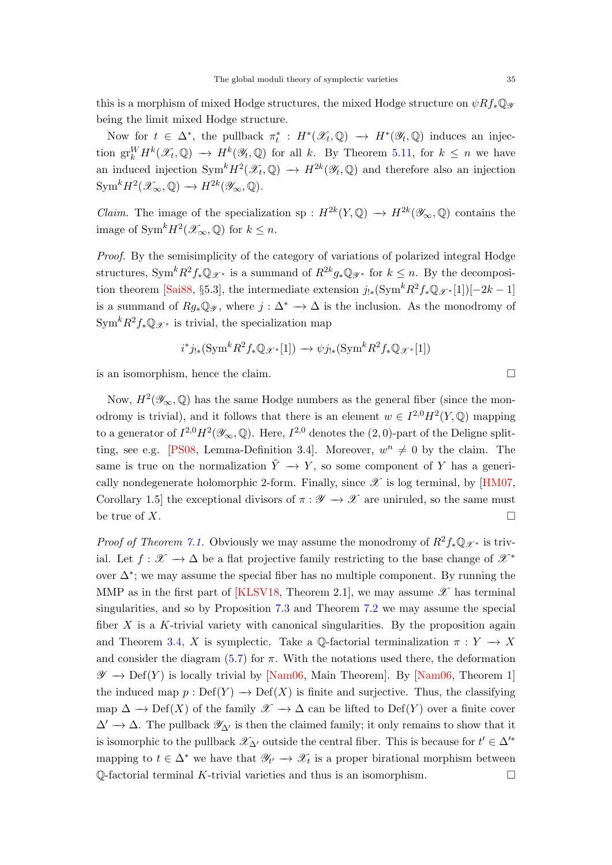<span id="page-34-0"></span>Now for  $t \in \Delta^*$ , the pullback  $\pi_t^* : H^*(\mathscr{X}_t, \mathbb{Q}) \to H^*(\mathscr{Y}_t, \mathbb{Q})$  induces an injection  $\operatorname{gr}^W_k H^k(\mathcal{X}_t, \mathbb{Q}) \to H^k(\mathcal{Y}_t, \mathbb{Q})$  for all k. By Theorem [5.11,](#page-21-1) for  $k \leq n$  we have an induced injection  $\text{Sym}^k H^2(\mathscr{X}_t, \mathbb{Q}) \to H^{2k}(\mathscr{Y}_t, \mathbb{Q})$  and therefore also an injection  $\text{Sym}^k H^2(\mathscr{X}_{\infty}, \mathbb{Q}) \to H^{2k}(\mathscr{Y}_{\infty}, \mathbb{Q}).$ 

*Claim.* The image of the specialization sp :  $H^{2k}(Y, \mathbb{Q}) \to H^{2k}(\mathscr{Y}_{\infty}, \mathbb{Q})$  contains the image of  $\text{Sym}^k H^2(\mathscr{X}_{\infty}, \mathbb{Q})$  for  $k \leq n$ .

Proof. By the semisimplicity of the category of variations of polarized integral Hodge structures, Sym<sup>k</sup> $R^2 f_* \mathbb{Q}_{\mathscr{X}^*}$  is a summand of  $R^{2k} g_* \mathbb{Q}_{\mathscr{Y}^*}$  for  $k \leq n$ . By the decomposi-tion theorem [\[Sai88,](#page-46-12) §5.3], the intermediate extension  $j_{!*}(\text{Sym}^k R^2 f_* \mathbb{Q}_{\mathscr{X}^*}[1])[-2k-1]$ is a summand of  $Rg_*\mathbb{Q}_{\mathscr{Y}}$ , where  $j:\Delta^* \to \Delta$  is the inclusion. As the monodromy of  $\text{Sym}^k R^2 f_* \mathbb{Q}_{\mathscr{X}^*}$  is trivial, the specialization map

$$
i^*j_{!*}(\text{Sym}^k R^2 f_* \mathbb{Q}_{\mathscr{X}^*}[1]) \longrightarrow \psi j_{!*}(\text{Sym}^k R^2 f_* \mathbb{Q}_{\mathscr{X}^*}[1])
$$

is an isomorphism, hence the claim.

Now,  $H^2(\mathscr{Y}_{\infty},\mathbb{Q})$  has the same Hodge numbers as the general fiber (since the monodromy is trivial), and it follows that there is an element  $w \in I^{2,0}H^2(Y, \mathbb{Q})$  mapping to a generator of  $I^{2,0}H^2(\mathscr{Y}_{\infty},\mathbb{Q})$ . Here,  $I^{2,0}$  denotes the  $(2,0)$ -part of the Deligne split-ting, see e.g. [\[PS08,](#page-46-4) Lemma-Definition 3.4]. Moreover,  $w^n \neq 0$  by the claim. The same is true on the normalization  $\tilde{Y} \to Y$ , so some component of Y has a generically nondegenerate holomorphic 2-form. Finally, since  $\mathscr X$  is log terminal, by [\[HM07,](#page-44-16) Corollary 1.5] the exceptional divisors of  $\pi : \mathscr{Y} \to \mathscr{X}$  are uniruled, so the same must be true of X.

*Proof of Theorem [7.1.](#page-32-2)* Obviously we may assume the monodromy of  $R^2f_*\mathbb{Q}_{\mathscr{X}^*}$  is trivial. Let  $f: \mathscr{X} \to \Delta$  be a flat projective family restricting to the base change of  $\mathscr{X}^*$ over  $\Delta^*$ ; we may assume the special fiber has no multiple component. By running the MMP as in the first part of [\[KLSV18,](#page-45-0) Theorem 2.1], we may assume  $\mathscr X$  has terminal singularities, and so by Proposition [7.3](#page-33-1) and Theorem [7.2](#page-33-0) we may assume the special fiber  $X$  is a K-trivial variety with canonical singularities. By the proposition again and Theorem [3.4,](#page-12-0) X is symplectic. Take a  $\mathbb{Q}$ -factorial terminalization  $\pi : Y \to X$ and consider the diagram  $(5.7)$  for  $\pi$ . With the notations used there, the deformation  $\mathscr{Y} \to \mathrm{Def}(Y)$  is locally trivial by [\[Nam06,](#page-45-7) Main Theorem]. By [Nam06, Theorem 1] the induced map  $p : Def(Y) \to Def(X)$  is finite and surjective. Thus, the classifying map  $\Delta \to \mathrm{Def}(X)$  of the family  $\mathscr{X} \to \Delta$  can be lifted to  $\mathrm{Def}(Y)$  over a finite cover  $\Delta' \rightarrow \Delta$ . The pullback  $\mathscr{Y}_{\Delta'}$  is then the claimed family; it only remains to show that it is isomorphic to the pullback  $\mathscr{X}_{\Delta}$  outside the central fiber. This is because for  $t' \in \Delta'^*$ mapping to  $t \in \Delta^*$  we have that  $\mathscr{Y}_{t'} \to \mathscr{X}_t$  is a proper birational morphism between  $\mathbb Q$ -factorial terminal K-trivial varieties and thus is an isomorphism.  $\Box$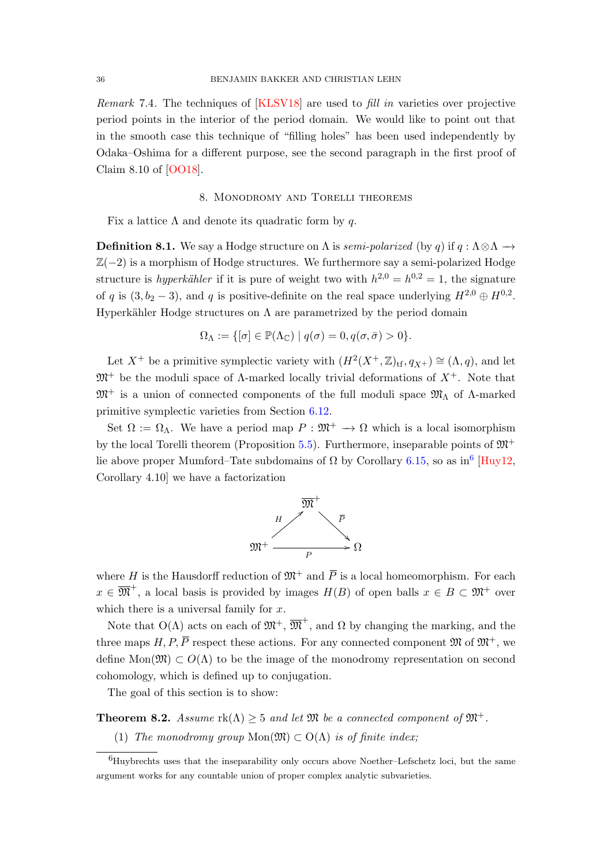<span id="page-35-3"></span>Remark 7.4. The techniques of [\[KLSV18\]](#page-45-0) are used to fill in varieties over projective period points in the interior of the period domain. We would like to point out that in the smooth case this technique of "filling holes" has been used independently by Odaka–Oshima for a different purpose, see the second paragraph in the first proof of Claim 8.10 of [\[OO18\]](#page-45-20).

# 8. Monodromy and Torelli theorems

<span id="page-35-0"></span>Fix a lattice  $\Lambda$  and denote its quadratic form by q.

**Definition 8.1.** We say a Hodge structure on  $\Lambda$  is *semi-polarized* (by q) if  $q : \Lambda \otimes \Lambda \rightarrow$  $\mathbb{Z}(-2)$  is a morphism of Hodge structures. We furthermore say a semi-polarized Hodge structure is *hyperkähler* if it is pure of weight two with  $h^{2,0} = h^{0,2} = 1$ , the signature of q is  $(3, b_2 - 3)$ , and q is positive-definite on the real space underlying  $H^{2,0} \oplus H^{0,2}$ . Hyperkähler Hodge structures on  $\Lambda$  are parametrized by the period domain

$$
\Omega_{\Lambda} := \{ [\sigma] \in \mathbb{P}(\Lambda_{\mathbb{C}}) \mid q(\sigma) = 0, q(\sigma, \bar{\sigma}) > 0 \}.
$$

Let  $X^+$  be a primitive symplectic variety with  $(H^2(X^+,\mathbb{Z})_{\text{tf}},q_{X^+})\cong(\Lambda,q)$ , and let  $\mathfrak{M}^+$  be the moduli space of  $\Lambda$ -marked locally trivial deformations of  $X^+$ . Note that  $\mathfrak{M}^+$  is a union of connected components of the full moduli space  $\mathfrak{M}_{\Lambda}$  of  $\Lambda$ -marked primitive symplectic varieties from Section [6.12.](#page-31-3)

Set  $\Omega := \Omega_{\Lambda}$ . We have a period map  $P : \mathfrak{M}^+ \to \Omega$  which is a local isomorphism by the local Torelli theorem (Proposition [5.5\)](#page-20-0). Furthermore, inseparable points of  $\mathfrak{M}^+$ lie above proper Mumford–Tate subdomains of  $\Omega$  by Corollary [6.15,](#page-31-4) so as in<sup>[6](#page-35-2)</sup> [\[Huy12,](#page-44-17) Corollary 4.10] we have a factorization



where H is the Hausdorff reduction of  $\mathfrak{M}^+$  and  $\overline{P}$  is a local homeomorphism. For each  $x \in \overline{\mathfrak{M}}^+$ , a local basis is provided by images  $H(B)$  of open balls  $x \in B \subset \mathfrak{M}^+$  over which there is a universal family for  $x$ .

Note that  $O(\Lambda)$  acts on each of  $\mathfrak{M}^+$ ,  $\overline{\mathfrak{M}}^+$ , and  $\Omega$  by changing the marking, and the three maps H, P,  $\overline{P}$  respect these actions. For any connected component  $\mathfrak{M}$  of  $\mathfrak{M}^+$ , we define Mon $(\mathfrak{M}) \subset O(\Lambda)$  to be the image of the monodromy representation on second cohomology, which is defined up to conjugation.

The goal of this section is to show:

<span id="page-35-1"></span>**Theorem 8.2.** Assume  $rk(\Lambda) \geq 5$  and let  $\mathfrak{M}$  be a connected component of  $\mathfrak{M}^+$ .

(1) The monodromy group  $Mon(\mathfrak{M}) \subset O(\Lambda)$  is of finite index;

<span id="page-35-2"></span><sup>6</sup>Huybrechts uses that the inseparability only occurs above Noether–Lefschetz loci, but the same argument works for any countable union of proper complex analytic subvarieties.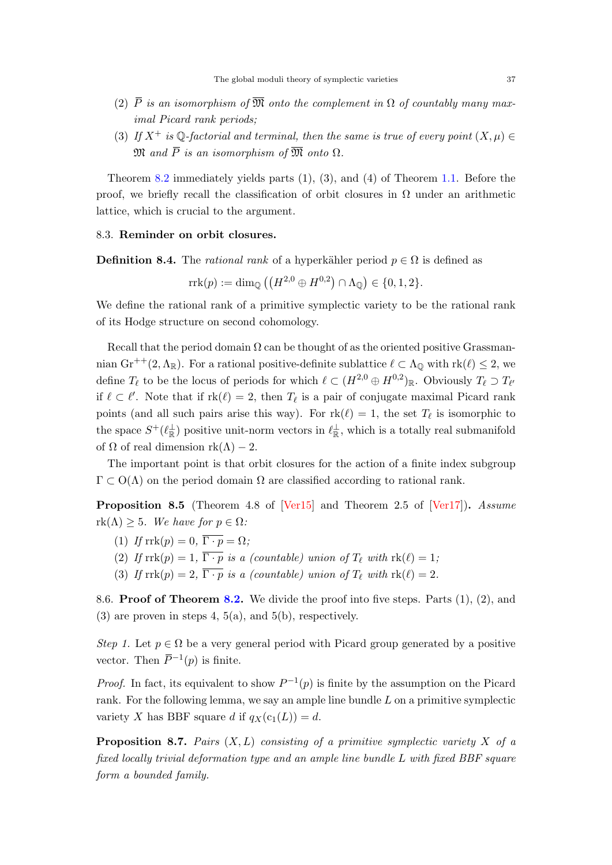- <span id="page-36-2"></span>(2)  $\bar{P}$  is an isomorphism of  $\bar{\mathfrak{M}}$  onto the complement in  $\Omega$  of countably many maximal Picard rank periods;
- (3) If  $X^+$  is  $\mathbb{Q}$ -factorial and terminal, then the same is true of every point  $(X,\mu) \in$  $\mathfrak{M}$  and  $\overline{P}$  is an isomorphism of  $\overline{\mathfrak{M}}$  onto  $\Omega$ .

Theorem [8.2](#page-35-1) immediately yields parts (1), (3), and (4) of Theorem [1.1.](#page-1-2) Before the proof, we briefly recall the classification of orbit closures in  $\Omega$  under an arithmetic lattice, which is crucial to the argument.

## <span id="page-36-0"></span>8.3. Reminder on orbit closures.

**Definition 8.4.** The *rational rank* of a hyperkähler period  $p \in \Omega$  is defined as

$$
\operatorname{rrk}(p) := \dim_{\mathbb{Q}} \left( \left( H^{2,0} \oplus H^{0,2} \right) \cap \Lambda_{\mathbb{Q}} \right) \in \{0,1,2\}.
$$

We define the rational rank of a primitive symplectic variety to be the rational rank of its Hodge structure on second cohomology.

Recall that the period domain  $\Omega$  can be thought of as the oriented positive Grassmannian Gr<sup>++</sup>(2,  $\Lambda_{\mathbb{R}}$ ). For a rational positive-definite sublattice  $\ell \subset \Lambda_{\mathbb{Q}}$  with  $rk(\ell) \leq 2$ , we define  $T_\ell$  to be the locus of periods for which  $\ell \subset (H^{2,0} \oplus H^{0,2})_{\mathbb{R}}$ . Obviously  $T_\ell \supset T_{\ell'}$ if  $\ell \subset \ell'$ . Note that if  $rk(\ell) = 2$ , then  $T_{\ell}$  is a pair of conjugate maximal Picard rank points (and all such pairs arise this way). For  $rk(\ell) = 1$ , the set  $T_{\ell}$  is isomorphic to the space  $S^+(\ell_{\mathbb{R}}^{\perp})$  positive unit-norm vectors in  $\ell_{\mathbb{R}}^{\perp}$ , which is a totally real submanifold of  $\Omega$  of real dimension rk( $\Lambda$ ) – 2.

The important point is that orbit closures for the action of a finite index subgroup  $\Gamma \subset O(\Lambda)$  on the period domain  $\Omega$  are classified according to rational rank.

<span id="page-36-1"></span>Proposition 8.5 (Theorem 4.8 of [\[Ver15\]](#page-46-1) and Theorem 2.5 of [\[Ver17\]](#page-46-2)). Assume  $rk(\Lambda) \geq 5$ . We have for  $p \in \Omega$ :

- (1) If  $\text{rrk}(p) = 0$ ,  $\overline{\Gamma \cdot p} = \Omega$ ;
- (2) If  $\text{rrk}(p) = 1$ ,  $\overline{\Gamma \cdot p}$  is a (countable) union of  $T_\ell$  with  $\text{rk}(\ell) = 1$ ;
- (3) If  $\text{rrk}(p) = 2$ ,  $\overline{\Gamma \cdot p}$  is a (countable) union of  $T_\ell$  with  $\text{rk}(\ell) = 2$ .

8.6. **Proof of Theorem [8.2.](#page-35-1)** We divide the proof into five steps. Parts  $(1)$ ,  $(2)$ , and  $(3)$  are proven in steps 4, 5(a), and 5(b), respectively.

Step 1. Let  $p \in \Omega$  be a very general period with Picard group generated by a positive vector. Then  $\bar{P}^{-1}(p)$  is finite.

*Proof.* In fact, its equivalent to show  $P^{-1}(p)$  is finite by the assumption on the Picard rank. For the following lemma, we say an ample line bundle  $L$  on a primitive symplectic variety X has BBF square d if  $q_X(c_1(L)) = d$ .

**Proposition 8.7.** Pairs  $(X, L)$  consisting of a primitive symplectic variety X of a fixed locally trivial deformation type and an ample line bundle L with fixed BBF square form a bounded family.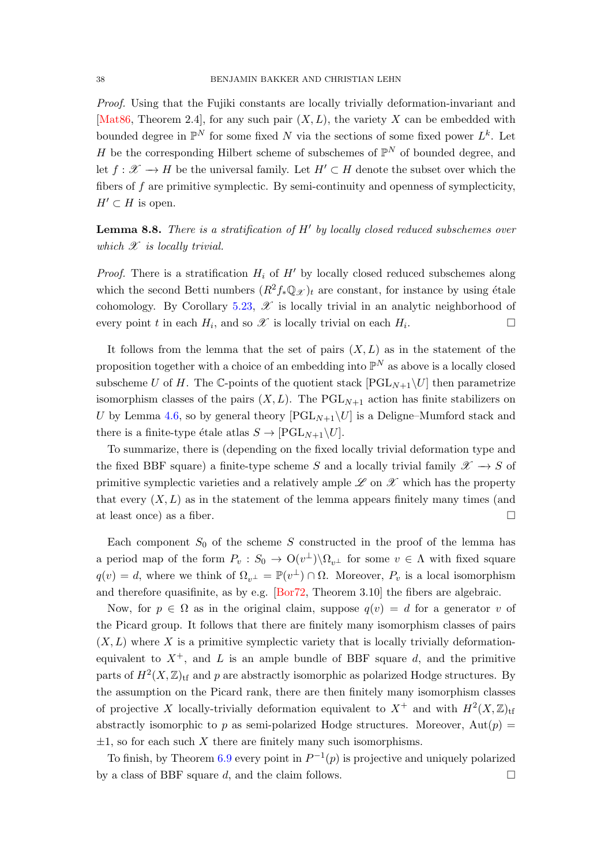<span id="page-37-0"></span>Proof. Using that the Fujiki constants are locally trivially deformation-invariant and [\[Mat86,](#page-45-21) Theorem 2.4], for any such pair  $(X, L)$ , the variety X can be embedded with bounded degree in  $\mathbb{P}^N$  for some fixed N via the sections of some fixed power  $L^k$ . Let H be the corresponding Hilbert scheme of subschemes of  $\mathbb{P}^N$  of bounded degree, and let  $f: \mathcal{X} \to H$  be the universal family. Let  $H' \subset H$  denote the subset over which the fibers of f are primitive symplectic. By semi-continuity and openness of symplecticity,  $H' \subset H$  is open.

**Lemma 8.8.** There is a stratification of  $H'$  by locally closed reduced subschemes over which  $\mathscr X$  is locally trivial.

*Proof.* There is a stratification  $H_i$  of  $H'$  by locally closed reduced subschemes along which the second Betti numbers  $(R^2f_*\mathbb{Q}_{\mathscr{X}})_t$  are constant, for instance by using étale cohomology. By Corollary [5.23,](#page-26-1)  $\mathscr X$  is locally trivial in an analytic neighborhood of every point t in each  $H_i$ , and so  $\mathscr X$  is locally trivial on each  $H_i$ .

It follows from the lemma that the set of pairs  $(X, L)$  as in the statement of the proposition together with a choice of an embedding into  $\mathbb{P}^N$  as above is a locally closed subscheme U of H. The C-points of the quotient stack  $[{\rm PGL}_{N+1}\setminus U]$  then parametrize isomorphism classes of the pairs  $(X, L)$ . The PGL<sub>N+1</sub> action has finite stabilizers on U by Lemma [4.6,](#page-15-2) so by general theory  $[{\rm PGL}_{N+1}\setminus U]$  is a Deligne–Mumford stack and there is a finite-type étale atlas  $S \to [PGL_{N+1}\backslash U].$ 

To summarize, there is (depending on the fixed locally trivial deformation type and the fixed BBF square) a finite-type scheme S and a locally trivial family  $\mathscr{X} \to S$  of primitive symplectic varieties and a relatively ample  $\mathscr L$  on  $\mathscr X$  which has the property that every  $(X, L)$  as in the statement of the lemma appears finitely many times (and at least once) as a fiber.

Each component  $S_0$  of the scheme S constructed in the proof of the lemma has a period map of the form  $P_v : S_0 \to O(v^{\perp}) \backslash \Omega_{v^{\perp}}$  for some  $v \in \Lambda$  with fixed square  $q(v) = d$ , where we think of  $\Omega_{v^{\perp}} = \mathbb{P}(v^{\perp}) \cap \Omega$ . Moreover,  $P_v$  is a local isomorphism and therefore quasifinite, as by e.g. [\[Bor72,](#page-42-15) Theorem 3.10] the fibers are algebraic.

Now, for  $p \in \Omega$  as in the original claim, suppose  $q(v) = d$  for a generator v of the Picard group. It follows that there are finitely many isomorphism classes of pairs  $(X, L)$  where X is a primitive symplectic variety that is locally trivially deformationequivalent to  $X^+$ , and L is an ample bundle of BBF square d, and the primitive parts of  $H^2(X,\mathbb{Z})_{\text{tf}}$  and p are abstractly isomorphic as polarized Hodge structures. By the assumption on the Picard rank, there are then finitely many isomorphism classes of projective X locally-trivially deformation equivalent to  $X^+$  and with  $H^2(X,\mathbb{Z})$ <sub>tf</sub> abstractly isomorphic to p as semi-polarized Hodge structures. Moreover,  $Aut(p)$  $\pm 1$ , so for each such X there are finitely many such isomorphisms.

To finish, by Theorem [6.9](#page-29-0) every point in  $P^{-1}(p)$  is projective and uniquely polarized by a class of BBF square d, and the claim follows.  $\square$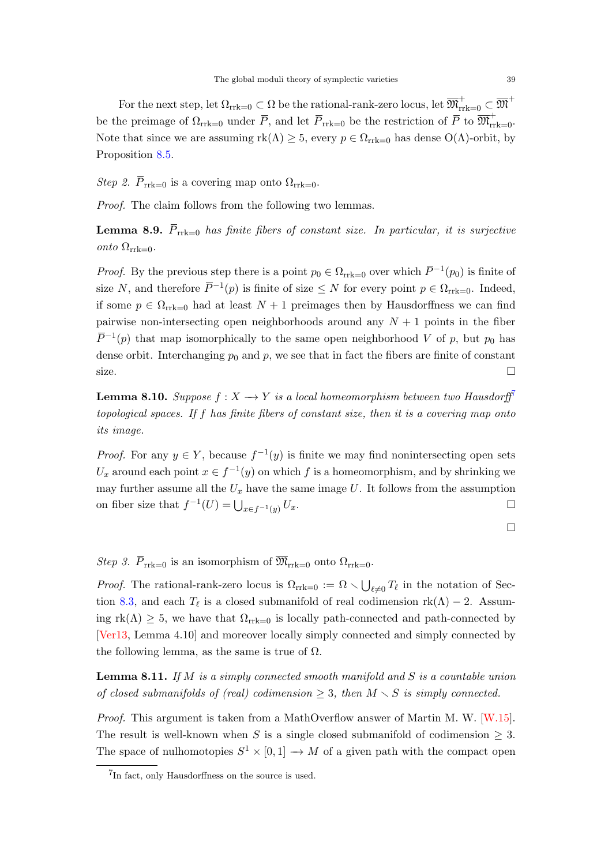<span id="page-38-1"></span>For the next step, let  $\Omega_{\rm{rrk=0}}\subset \Omega$  be the rational-rank-zero locus, let  $\overline{\mathfrak{M}}^+_{\rm{rrk=0}}\subset \overline{\mathfrak{M}}^+$ be the preimage of  $\Omega_{rrk=0}$  under  $\overline{P}$ , and let  $\overline{P}_{rrk=0}$  be the restriction of  $\overline{P}$  to  $\overline{\mathfrak{M}}_{rrk=0}^+$ . Note that since we are assuming  $rk(\Lambda) \geq 5$ , every  $p \in \Omega_{\text{rrk}=0}$  has dense  $O(\Lambda)$ -orbit, by Proposition [8.5.](#page-36-1)

Step 2.  $\overline{P}_{rrk=0}$  is a covering map onto  $\Omega_{rrk=0}$ .

Proof. The claim follows from the following two lemmas.

**Lemma 8.9.**  $\overline{P}_{rrk=0}$  has finite fibers of constant size. In particular, it is surjective onto  $\Omega_{\text{rrk}=0}$ .

*Proof.* By the previous step there is a point  $p_0 \in \Omega_{\text{rrk}=0}$  over which  $\overline{P}^{-1}(p_0)$  is finite of size N, and therefore  $\overline{P}^{-1}(p)$  is finite of size  $\leq N$  for every point  $p \in \Omega_{\text{rrk}=0}$ . Indeed, if some  $p \in \Omega_{\text{rrk}=0}$  had at least  $N+1$  preimages then by Hausdorffness we can find pairwise non-intersecting open neighborhoods around any  $N + 1$  points in the fiber  $\overline{P}^{-1}(p)$  that map isomorphically to the same open neighborhood V of p, but  $p_0$  has dense orbit. Interchanging  $p_0$  and p, we see that in fact the fibers are finite of constant size.

**Lemma 8.10.** Suppose  $f: X \to Y$  is a local homeomorphism between two Hausdorff<sup>[7](#page-38-0)</sup> topological spaces. If f has finite fibers of constant size, then it is a covering map onto its image.

*Proof.* For any  $y \in Y$ , because  $f^{-1}(y)$  is finite we may find nonintersecting open sets U<sub>x</sub> around each point  $x \in f^{-1}(y)$  on which f is a homeomorphism, and by shrinking we may further assume all the  $U_x$  have the same image U. It follows from the assumption on fiber size that  $f^{-1}(U) = \bigcup_{x \in f^{-1}(y)} U_x$ .

 $\Box$ 

Step 3.  $\overline{P}_{rrk=0}$  is an isomorphism of  $\overline{\mathfrak{M}}_{rrk=0}$  onto  $\Omega_{rrk=0}$ .

*Proof.* The rational-rank-zero locus is  $\Omega_{\text{rrk}=0} := \Omega \setminus \bigcup_{\ell \neq 0} T_{\ell}$  in the notation of Sec-tion [8.3,](#page-36-0) and each  $T_{\ell}$  is a closed submanifold of real codimension rk( $\Lambda$ ) − 2. Assuming  $rk(\Lambda) \geq 5$ , we have that  $\Omega_{rrk=0}$  is locally path-connected and path-connected by [\[Ver13,](#page-46-0) Lemma 4.10] and moreover locally simply connected and simply connected by the following lemma, as the same is true of  $\Omega$ .

**Lemma 8.11.** If M is a simply connected smooth manifold and S is a countable union of closed submanifolds of (real) codimension  $\geq$  3, then  $M \setminus S$  is simply connected.

Proof. This argument is taken from a MathOverflow answer of Martin M. W. [\[W.15\]](#page-46-14). The result is well-known when S is a single closed submanifold of codimension  $\geq 3$ . The space of nulhomotopies  $S^1 \times [0,1] \to M$  of a given path with the compact open

<span id="page-38-0"></span><sup>&</sup>lt;sup>7</sup>In fact, only Hausdorffness on the source is used.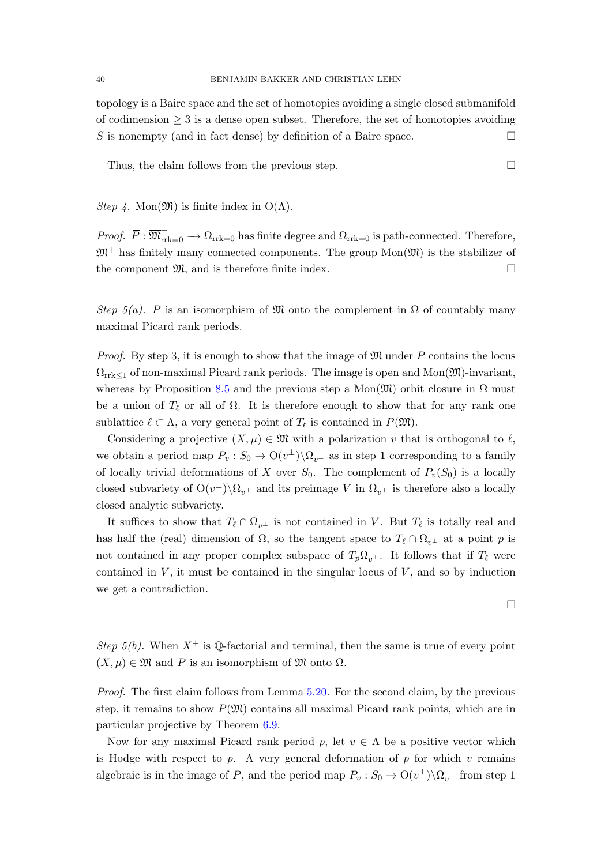topology is a Baire space and the set of homotopies avoiding a single closed submanifold of codimension  $\geq 3$  is a dense open subset. Therefore, the set of homotopies avoiding S is nonempty (and in fact dense) by definition of a Baire space.

Thus, the claim follows from the previous step.  $\Box$ 

*Step 4.* Mon $(\mathfrak{M})$  is finite index in  $O(\Lambda)$ .

*Proof.*  $\overline{P}: \overline{\mathfrak{M}}_{\mathrm{rrk}=0}^+ \to \Omega_{\mathrm{rrk}=0}$  has finite degree and  $\Omega_{\mathrm{rrk}=0}$  is path-connected. Therefore,  $\mathfrak{M}^+$  has finitely many connected components. The group  $Mon(\mathfrak{M})$  is the stabilizer of the component  $\mathfrak{M}$ , and is therefore finite index.

Step 5(a).  $\overline{P}$  is an isomorphism of  $\overline{\mathfrak{M}}$  onto the complement in  $\Omega$  of countably many maximal Picard rank periods.

*Proof.* By step 3, it is enough to show that the image of  $\mathfrak{M}$  under P contains the locus  $\Omega_{\text{rrk}\leq 1}$  of non-maximal Picard rank periods. The image is open and Mon $(\mathfrak{M})$ -invariant, whereas by Proposition [8.5](#page-36-1) and the previous step a Mon $(\mathfrak{M})$  orbit closure in  $\Omega$  must be a union of  $T_\ell$  or all of  $\Omega$ . It is therefore enough to show that for any rank one sublattice  $\ell \subset \Lambda$ , a very general point of  $T_{\ell}$  is contained in  $P(\mathfrak{M})$ .

Considering a projective  $(X, \mu) \in \mathfrak{M}$  with a polarization v that is orthogonal to  $\ell$ , we obtain a period map  $P_v : S_0 \to O(v^{\perp}) \backslash \Omega_{v^{\perp}}$  as in step 1 corresponding to a family of locally trivial deformations of X over  $S_0$ . The complement of  $P_v(S_0)$  is a locally closed subvariety of  $O(v^{\perp})\backslash\Omega_{v^{\perp}}$  and its preimage V in  $\Omega_{v^{\perp}}$  is therefore also a locally closed analytic subvariety.

It suffices to show that  $T_\ell \cap \Omega_{v^{\perp}}$  is not contained in V. But  $T_\ell$  is totally real and has half the (real) dimension of  $\Omega$ , so the tangent space to  $T_\ell \cap \Omega_{v^{\perp}}$  at a point p is not contained in any proper complex subspace of  $T_p\Omega_{v^{\perp}}$ . It follows that if  $T_{\ell}$  were contained in  $V$ , it must be contained in the singular locus of  $V$ , and so by induction we get a contradiction.

 $\Box$ 

Step 5(b). When  $X^+$  is  $\mathbb{Q}$ -factorial and terminal, then the same is true of every point  $(X, \mu) \in \mathfrak{M}$  and  $\overline{P}$  is an isomorphism of  $\overline{\mathfrak{M}}$  onto  $\Omega$ .

Proof. The first claim follows from Lemma [5.20.](#page-23-1) For the second claim, by the previous step, it remains to show  $P(\mathfrak{M})$  contains all maximal Picard rank points, which are in particular projective by Theorem [6.9.](#page-29-0)

Now for any maximal Picard rank period p, let  $v \in \Lambda$  be a positive vector which is Hodge with respect to p. A very general deformation of p for which  $v$  remains algebraic is in the image of P, and the period map  $P_v : S_0 \to O(v^{\perp}) \backslash \Omega_{v^{\perp}}$  from step 1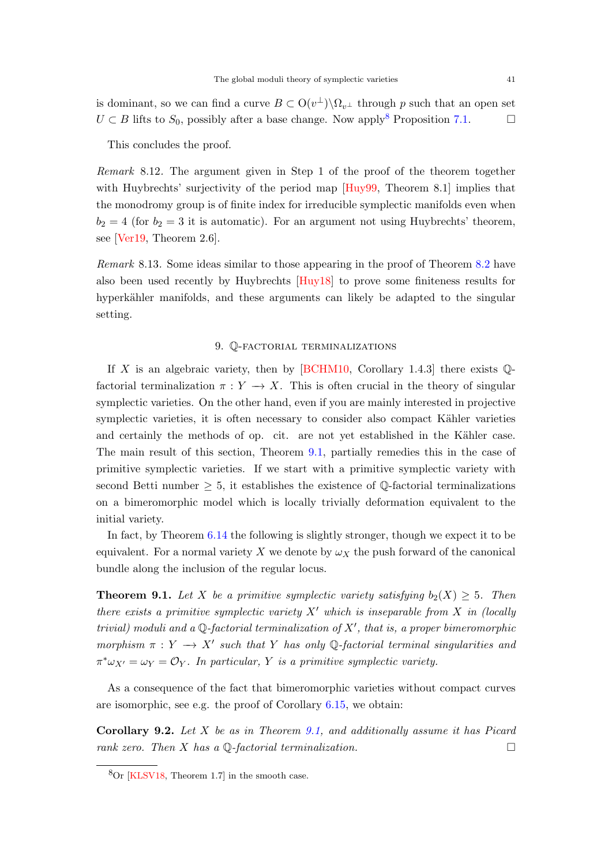<span id="page-40-3"></span>is dominant, so we can find a curve  $B \subset O(v^{\perp}) \backslash \Omega_{v^{\perp}}$  through p such that an open set  $U \subset B$  lifts to  $S_0$ , possibly after a base change. Now apply<sup>[8](#page-40-2)</sup> Proposition [7.1.](#page-32-2)

This concludes the proof.

Remark 8.12. The argument given in Step 1 of the proof of the theorem together with Huybrechts' surjectivity of the period map [\[Huy99,](#page-44-3) Theorem 8.1] implies that the monodromy group is of finite index for irreducible symplectic manifolds even when  $b_2 = 4$  (for  $b_2 = 3$  it is automatic). For an argument not using Huybrechts' theorem, see [\[Ver19,](#page-46-15) Theorem 2.6].

Remark 8.13. Some ideas similar to those appearing in the proof of Theorem [8.2](#page-35-1) have also been used recently by Huybrechts [\[Huy18\]](#page-44-18) to prove some finiteness results for hyperkähler manifolds, and these arguments can likely be adapted to the singular setting.

# 9. Q-factorial terminalizations

<span id="page-40-0"></span>If X is an algebraic variety, then by  $[{\rm BCHM10}, {\rm Corollary 1.4.3}]$  there exists  $\mathbb{Q}$ factorial terminalization  $\pi : Y \longrightarrow X$ . This is often crucial in the theory of singular symplectic varieties. On the other hand, even if you are mainly interested in projective symplectic varieties, it is often necessary to consider also compact Kähler varieties and certainly the methods of op. cit. are not yet established in the Kähler case. The main result of this section, Theorem [9.1,](#page-40-1) partially remedies this in the case of primitive symplectic varieties. If we start with a primitive symplectic variety with second Betti number  $\geq 5$ , it establishes the existence of Q-factorial terminalizations on a bimeromorphic model which is locally trivially deformation equivalent to the initial variety.

In fact, by Theorem [6.14](#page-31-1) the following is slightly stronger, though we expect it to be equivalent. For a normal variety X we denote by  $\omega_X$  the push forward of the canonical bundle along the inclusion of the regular locus.

<span id="page-40-1"></span>**Theorem 9.1.** Let X be a primitive symplectic variety satisfying  $b_2(X) \geq 5$ . Then there exists a primitive symplectic variety  $X'$  which is inseparable from X in (locally trivial) moduli and a  $\mathbb Q$ -factorial terminalization of  $X'$ , that is, a proper bimeromorphic morphism  $\pi : Y \longrightarrow X'$  such that Y has only Q-factorial terminal singularities and  $\pi^*\omega_{X'} = \omega_Y = \mathcal{O}_Y$ . In particular, Y is a primitive symplectic variety.

As a consequence of the fact that bimeromorphic varieties without compact curves are isomorphic, see e.g. the proof of Corollary [6.15,](#page-31-4) we obtain:

Corollary 9.2. Let X be as in Theorem [9.1,](#page-40-1) and additionally assume it has Picard rank zero. Then X has a  $\mathbb{Q}$ -factorial terminalization.

<span id="page-40-2"></span> ${}^{8}$ Or [\[KLSV18,](#page-45-0) Theorem 1.7] in the smooth case.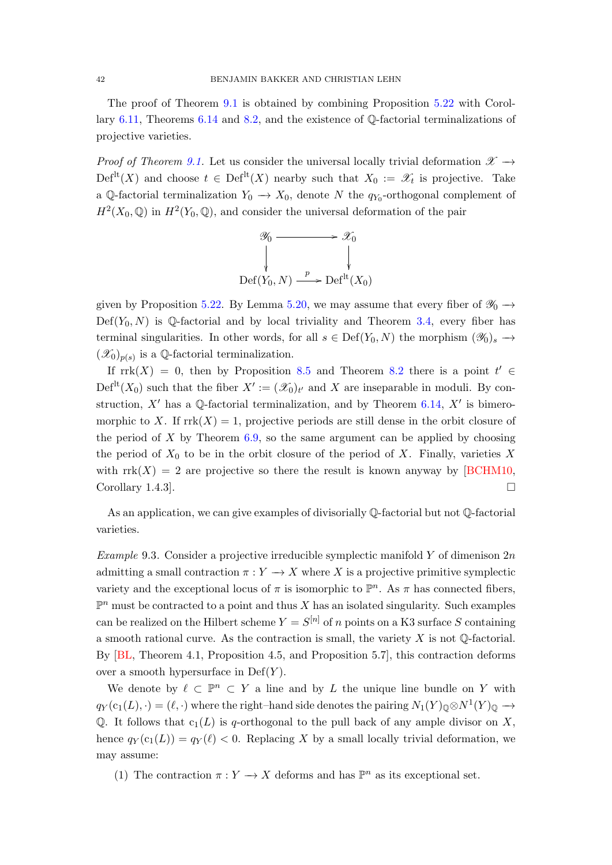<span id="page-41-1"></span>The proof of Theorem [9.1](#page-40-1) is obtained by combining Proposition [5.22](#page-25-0) with Corollary [6.11,](#page-30-0) Theorems [6.14](#page-31-1) and [8.2,](#page-35-1) and the existence of Q-factorial terminalizations of projective varieties.

Proof of Theorem [9.1.](#page-40-1) Let us consider the universal locally trivial deformation  $\mathscr{X} \rightarrow$  $Def<sup>lt</sup>(X)$  and choose  $t \in Def<sup>lt</sup>(X)$  nearby such that  $X_0 := \mathscr{X}_t$  is projective. Take a Q-factorial terminalization  $Y_0 \to X_0$ , denote N the  $q_{Y_0}$ -orthogonal complement of  $H^2(X_0, \mathbb{Q})$  in  $H^2(Y_0, \mathbb{Q})$ , and consider the universal deformation of the pair



given by Proposition [5.22.](#page-25-0) By Lemma [5.20,](#page-23-1) we may assume that every fiber of  $\mathcal{Y}_0 \rightarrow$  $Def(Y_0, N)$  is Q-factorial and by local triviality and Theorem [3.4,](#page-12-0) every fiber has terminal singularities. In other words, for all  $s \in \text{Def}(Y_0, N)$  the morphism  $(\mathscr{Y}_0)_s \to$  $(\mathscr{X}_0)_{p(s)}$  is a Q-factorial terminalization.

If  $rrk(X) = 0$ , then by Proposition [8.5](#page-36-1) and Theorem [8.2](#page-35-1) there is a point  $t' \in$  $\mathrm{Def}^{\mathrm{lt}}(X_0)$  such that the fiber  $X' := (\mathscr{X}_0)_{t'}$  and X are inseparable in moduli. By construction,  $X'$  has a Q-factorial terminalization, and by Theorem [6.14,](#page-31-1)  $X'$  is bimeromorphic to X. If  $\text{rrk}(X) = 1$ , projective periods are still dense in the orbit closure of the period of  $X$  by Theorem [6.9,](#page-29-0) so the same argument can be applied by choosing the period of  $X_0$  to be in the orbit closure of the period of X. Finally, varieties X with  $\text{rrk}(X) = 2$  are projective so there the result is known anyway by [\[BCHM10,](#page-42-4) Corollary 1.4.3.

As an application, we can give examples of divisorially Q-factorial but not Q-factorial varieties.

<span id="page-41-0"></span>Example 9.3. Consider a projective irreducible symplectic manifold Y of dimenison  $2n$ admitting a small contraction  $\pi: Y \to X$  where X is a projective primitive symplectic variety and the exceptional locus of  $\pi$  is isomorphic to  $\mathbb{P}^n$ . As  $\pi$  has connected fibers,  $\mathbb{P}^n$  must be contracted to a point and thus X has an isolated singularity. Such examples can be realized on the Hilbert scheme  $Y = S^{[n]}$  of n points on a K3 surface S containing a smooth rational curve. As the contraction is small, the variety  $X$  is not  $\mathbb Q$ -factorial. By [\[BL,](#page-42-3) Theorem 4.1, Proposition 4.5, and Proposition 5.7], this contraction deforms over a smooth hypersurface in  $Def(Y)$ .

We denote by  $\ell \subset \mathbb{P}^n \subset Y$  a line and by L the unique line bundle on Y with  $q_Y(c_1(L), \cdot) = (\ell, \cdot)$  where the right–hand side denotes the pairing  $N_1(Y)_{\mathbb{Q}} \otimes N^1(Y)_{\mathbb{Q}} \to$ Q. It follows that  $c_1(L)$  is q-orthogonal to the pull back of any ample divisor on X, hence  $q_Y(c_1(L)) = q_Y(\ell) < 0$ . Replacing X by a small locally trivial deformation, we may assume:

(1) The contraction  $\pi: Y \to X$  deforms and has  $\mathbb{P}^n$  as its exceptional set.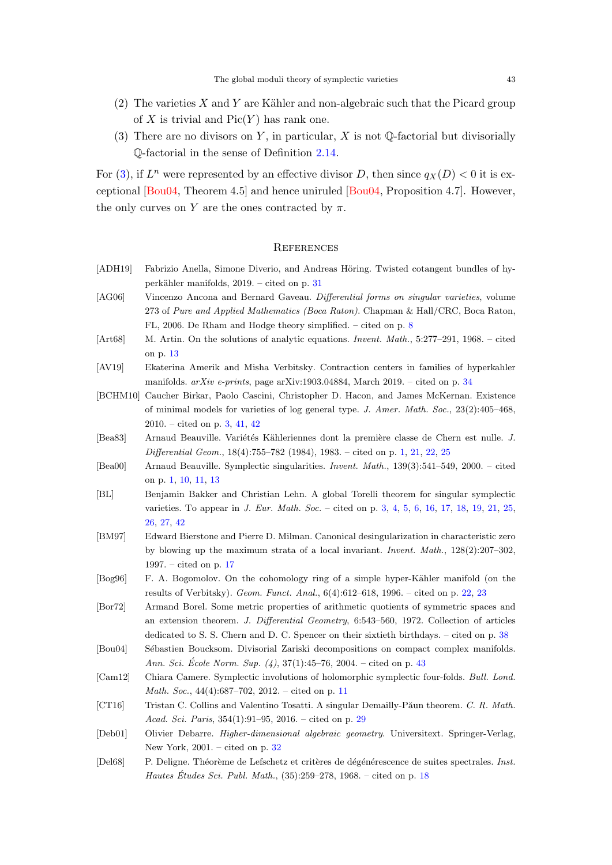- <span id="page-42-18"></span> $(2)$  The varieties X and Y are Kähler and non-algebraic such that the Picard group of X is trivial and  $Pic(Y)$  has rank one.
- <span id="page-42-16"></span>(3) There are no divisors on Y, in particular, X is not  $\mathbb Q$ -factorial but divisorially Q-factorial in the sense of Definition [2.14.](#page-8-4)

For [\(3\)](#page-42-16), if  $L^n$  were represented by an effective divisor D, then since  $q_X(D) < 0$  it is exceptional [\[Bou04,](#page-42-17) Theorem 4.5] and hence uniruled [\[Bou04,](#page-42-17) Proposition 4.7]. However, the only curves on Y are the ones contracted by  $\pi$ .

#### <span id="page-42-0"></span>**REFERENCES**

- <span id="page-42-12"></span>[ADH19] Fabrizio Anella, Simone Diverio, and Andreas Höring. Twisted cotangent bundles of hyperkähler manifolds,  $2019. -$  cited on p. [31](#page-30-1)
- <span id="page-42-5"></span>[AG06] Vincenzo Ancona and Bernard Gaveau. Differential forms on singular varieties, volume 273 of Pure and Applied Mathematics (Boca Raton). Chapman & Hall/CRC, Boca Raton, FL, 2006. De Rham and Hodge theory simplified. – cited on p. [8](#page-7-1)
- <span id="page-42-7"></span>[Art68] M. Artin. On the solutions of analytic equations. *Invent. Math.*, 5:277–291, 1968. – cited on p. [13](#page-12-2)
- <span id="page-42-14"></span>[AV19] Ekaterina Amerik and Misha Verbitsky. Contraction centers in families of hyperkahler manifolds.  $arXiv$  e-prints, page arXiv:1903.04884, March 2019. – cited on p. [34](#page-33-2)
- <span id="page-42-4"></span>[BCHM10] Caucher Birkar, Paolo Cascini, Christopher D. Hacon, and James McKernan. Existence of minimal models for varieties of log general type. J. Amer. Math. Soc., 23(2):405–468, 2010. – cited on p. [3,](#page-2-1) [41,](#page-40-3) [42](#page-41-1)
- <span id="page-42-2"></span>[Bea83] Arnaud Beauville. Variétés Kähleriennes dont la première classe de Chern est nulle. J. Differential Geom., 18(4):755–782 (1984), 1983. – cited on p. [1,](#page-0-1) [21,](#page-20-4) [22,](#page-21-2) [25](#page-24-4)
- <span id="page-42-1"></span>[Bea00] Arnaud Beauville. Symplectic singularities. Invent. Math., 139(3):541–549, 2000. – cited on p. [1,](#page-0-1) [10,](#page-9-7) [11,](#page-10-0) [13](#page-12-2)
- <span id="page-42-3"></span>[BL] Benjamin Bakker and Christian Lehn. A global Torelli theorem for singular symplectic varieties. To appear in J. Eur. Math. Soc. – cited on p. [3,](#page-2-1) [4,](#page-3-1) [5,](#page-4-2) [6,](#page-5-2) [16,](#page-15-3) [17,](#page-16-1) [18,](#page-17-1) [19,](#page-18-2) [21,](#page-20-4) [25,](#page-24-4) [26,](#page-25-2) [27,](#page-26-2) [42](#page-41-1)
- <span id="page-42-8"></span>[BM97] Edward Bierstone and Pierre D. Milman. Canonical desingularization in characteristic zero by blowing up the maximum strata of a local invariant. Invent. Math., 128(2):207–302, 1997. – cited on p. [17](#page-16-1)
- <span id="page-42-10"></span>[Bog96] F. A. Bogomolov. On the cohomology ring of a simple hyper-Kähler manifold (on the results of Verbitsky). Geom. Funct. Anal., 6(4):612–618, 1996. – cited on p. [22,](#page-21-2) [23](#page-22-3)
- <span id="page-42-15"></span>[Bor72] Armand Borel. Some metric properties of arithmetic quotients of symmetric spaces and an extension theorem. J. Differential Geometry, 6:543–560, 1972. Collection of articles dedicated to S. S. Chern and D. C. Spencer on their sixtieth birthdays. – cited on p. [38](#page-37-0)
- <span id="page-42-17"></span>[Bou04] Sébastien Boucksom. Divisorial Zariski decompositions on compact complex manifolds. Ann. Sci. École Norm. Sup.  $(4)$ , 37 $(1)$ :45–76, 2004. – cited on p. [43](#page-42-18)
- <span id="page-42-6"></span>[Cam12] Chiara Camere. Symplectic involutions of holomorphic symplectic four-folds. Bull. Lond. Math. Soc., 44(4):687–702, 2012. – cited on p. [11](#page-10-0)
- <span id="page-42-11"></span>[CT16] Tristan C. Collins and Valentino Tosatti. A singular Demailly-Păun theorem. C. R. Math. Acad. Sci. Paris, 354(1):91–95, 2016. – cited on p. [29](#page-28-1)
- <span id="page-42-13"></span>[Deb01] Olivier Debarre. Higher-dimensional algebraic geometry. Universitext. Springer-Verlag, New York, 2001. – cited on p. [32](#page-31-5)
- <span id="page-42-9"></span>[Del68] P. Deligne. Théorème de Lefschetz et critères de dégénérescence de suites spectrales. Inst. *Hautes Études Sci. Publ. Math.*,  $(35):259-278$ ,  $1968. -$  cited on p. [18](#page-17-1)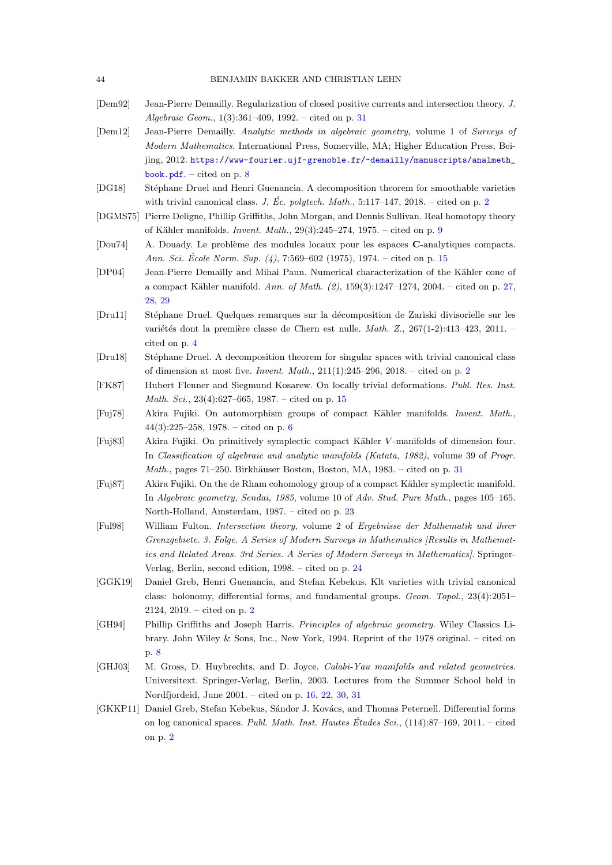- <span id="page-43-15"></span>[Dem92] Jean-Pierre Demailly. Regularization of closed positive currents and intersection theory. J. Algebraic Geom., 1(3):361–409, 1992. – cited on p. [31](#page-30-1)
- <span id="page-43-7"></span>[Dem12] Jean-Pierre Demailly. Analytic methods in algebraic geometry, volume 1 of Surveys of Modern Mathematics. International Press, Somerville, MA; Higher Education Press, Beijing, 2012. [https://www-fourier.ujf-grenoble.fr/~demailly/manuscripts/analmeth\\_](https://www-fourier.ujf-grenoble.fr/~demailly/manuscripts/analmeth_book.pdf) [book.pdf](https://www-fourier.ujf-grenoble.fr/~demailly/manuscripts/analmeth_book.pdf). – cited on p.  $8$
- <span id="page-43-1"></span>[DG18] Stéphane Druel and Henri Guenancia. A decomposition theorem for smoothable varieties with trivial canonical class. J. Éc. polytech. Math.,  $5:117-147$ , [2](#page-1-3)018. – cited on p. 2
- <span id="page-43-8"></span>[DGMS75] Pierre Deligne, Phillip Griffiths, John Morgan, and Dennis Sullivan. Real homotopy theory of Kähler manifolds. *Invent. Math.*,  $29(3):245-274$  $29(3):245-274$  $29(3):245-274$ ,  $1975.$  – cited on p. 9
- <span id="page-43-9"></span>[Dou74] A. Douady. Le problème des modules locaux pour les espaces C-analytiques compacts. Ann. Sci. École Norm. Sup.  $(4)$ , 7:569–602 (1975), 1974. – cited on p. [15](#page-14-2)
- <span id="page-43-14"></span>[DP04] Jean-Pierre Demailly and Mihai Paun. Numerical characterization of the Kähler cone of a compact Kähler manifold. Ann. of Math.  $(2)$ , 159 $(3)$ :1247-1274, 2004. – cited on p. [27,](#page-26-2) [28,](#page-27-1) [29](#page-28-1)
- <span id="page-43-4"></span>[Dru11] Stéphane Druel. Quelques remarques sur la décomposition de Zariski divisorielle sur les variétés dont la première classe de Chern est nulle. *Math. Z.*,  $267(1-2):413-423$ ,  $2011.$  – cited on p. [4](#page-3-1)
- <span id="page-43-2"></span>[Dru18] Stéphane Druel. A decomposition theorem for singular spaces with trivial canonical class of dimension at most five. *Invent. Math.*,  $211(1):245-296$  $211(1):245-296$ ,  $2018.$  – cited on p. 2
- <span id="page-43-10"></span>[FK87] Hubert Flenner and Siegmund Kosarew. On locally trivial deformations. Publ. Res. Inst. Math. Sci., 23(4):627–665, 1987. – cited on p. [15](#page-14-2)
- <span id="page-43-5"></span>[Fuj78] Akira Fujiki. On automorphism groups of compact Kähler manifolds. Invent. Math.,  $44(3):225-258$ , 1978. – cited on p. [6](#page-5-2)
- <span id="page-43-16"></span>[Fuj83] Akira Fujiki. On primitively symplectic compact K¨ahler V -manifolds of dimension four. In Classification of algebraic and analytic manifolds (Katata, 1982), volume 39 of Progr. Math., pages 71–250. Birkhäuser Boston, Boston, MA, 1983. – cited on p. [31](#page-30-1)
- <span id="page-43-12"></span>[Fuj87] Akira Fujiki. On the de Rham cohomology group of a compact K¨ahler symplectic manifold. In Algebraic geometry, Sendai, 1985, volume 10 of Adv. Stud. Pure Math., pages 105–165. North-Holland, Amsterdam, 1987. – cited on p. [23](#page-22-3)
- <span id="page-43-13"></span>[Ful98] William Fulton. Intersection theory, volume 2 of Ergebnisse der Mathematik und ihrer Grenzgebiete. 3. Folge. A Series of Modern Surveys in Mathematics [Results in Mathematics and Related Areas. 3rd Series. A Series of Modern Surveys in Mathematics]. Springer-Verlag, Berlin, second edition, 1998. – cited on p. [24](#page-23-2)
- <span id="page-43-3"></span>[GGK19] Daniel Greb, Henri Guenancia, and Stefan Kebekus. Klt varieties with trivial canonical class: holonomy, differential forms, and fundamental groups. Geom. Topol., 23(4):2051– 2124, 2019. – cited on p. [2](#page-1-3)
- <span id="page-43-6"></span>[GH94] Phillip Griffiths and Joseph Harris. Principles of algebraic geometry. Wiley Classics Library. John Wiley & Sons, Inc., New York, 1994. Reprint of the 1978 original. – cited on p. [8](#page-7-1)
- <span id="page-43-11"></span>[GHJ03] M. Gross, D. Huybrechts, and D. Joyce. *Calabi-Yau manifolds and related geometries*. Universitext. Springer-Verlag, Berlin, 2003. Lectures from the Summer School held in Nordfjordeid, June 2001. – cited on p. [16,](#page-15-3) [22,](#page-21-2) [30,](#page-29-2) [31](#page-30-1)
- <span id="page-43-0"></span>[GKKP11] Daniel Greb, Stefan Kebekus, Sándor J. Kovács, and Thomas Peternell. Differential forms on log canonical spaces. Publ. Math. Inst. Hautes Études Sci.,  $(114):87-169$ ,  $2011$ . – cited on p. [2](#page-1-3)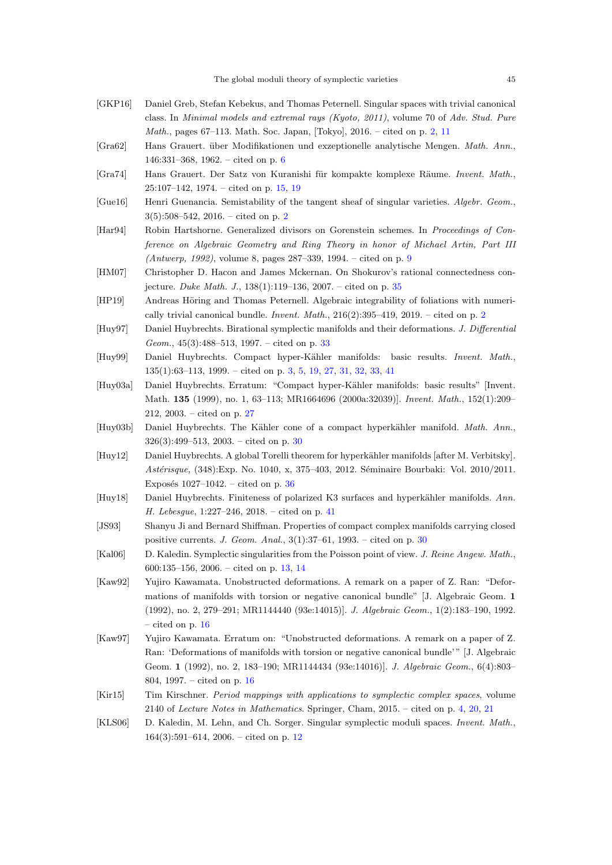- <span id="page-44-2"></span>[GKP16] Daniel Greb, Stefan Kebekus, and Thomas Peternell. Singular spaces with trivial canonical class. In Minimal models and extremal rays (Kyoto, 2011), volume 70 of Adv. Stud. Pure Math., pages 67–113. Math. Soc. Japan, [Tokyo], 2016. – cited on p. [2,](#page-1-3) [11](#page-10-0)
- <span id="page-44-5"></span>[Gra62] Hans Grauert. über Modifikationen und exzeptionelle analytische Mengen. Math. Ann., 146:331–368, 1962. – cited on p. [6](#page-5-2)
- <span id="page-44-9"></span>[Gra74] Hans Grauert. Der Satz von Kuranishi für kompakte komplexe Räume. Invent. Math., 25:107–142, 1974. – cited on p. [15,](#page-14-2) [19](#page-18-2)
- <span id="page-44-0"></span>[Gue16] Henri Guenancia. Semistability of the tangent sheaf of singular varieties. Algebr. Geom., 3(5):508–542, 2016. – cited on p. [2](#page-1-3)
- <span id="page-44-6"></span>[Har94] Robin Hartshorne. Generalized divisors on Gorenstein schemes. In Proceedings of Conference on Algebraic Geometry and Ring Theory in honor of Michael Artin, Part III (Antwerp, 1992), volume 8, pages 287–339, 1994. – cited on p. [9](#page-8-5)
- <span id="page-44-16"></span>[HM07] Christopher D. Hacon and James Mckernan. On Shokurov's rational connectedness conjecture. Duke Math. J., 138(1):119–136, 2007. – cited on p. [35](#page-34-0)
- <span id="page-44-1"></span>[HP19] Andreas Höring and Thomas Peternell. Algebraic integrability of foliations with numerically trivial canonical bundle. *Invent. Math.*,  $216(2):395-419$  $216(2):395-419$ ,  $2019$ . – cited on p. 2
- <span id="page-44-15"></span>[Huy97] Daniel Huybrechts. Birational symplectic manifolds and their deformations. J. Differential Geom.,  $45(3):488-513$ , 1997. – cited on p. [33](#page-32-3)
- <span id="page-44-3"></span>[Huy99] Daniel Huybrechts. Compact hyper-Kähler manifolds: basic results. Invent. Math., 135(1):63–113, 1999. – cited on p. [3,](#page-2-1) [5,](#page-4-2) [19,](#page-18-2) [27,](#page-26-2) [31,](#page-30-1) [32,](#page-31-5) [33,](#page-32-3) [41](#page-40-3)
- <span id="page-44-12"></span>[Huy03a] Daniel Huybrechts. Erratum: "Compact hyper-Kähler manifolds: basic results" [Invent. Math. 135 (1999), no. 1, 63–113; MR1664696 (2000a:32039)]. Invent. Math., 152(1):209– 212, 2003. – cited on p. [27](#page-26-2)
- <span id="page-44-13"></span>[Huy03b] Daniel Huybrechts. The Kähler cone of a compact hyperkähler manifold. Math. Ann., 326(3):499–513, 2003. – cited on p. [30](#page-29-2)
- <span id="page-44-17"></span>[Huy12] Daniel Huybrechts. A global Torelli theorem for hyperkähler manifolds [after M. Verbitsky]. Astérisque, (348):Exp. No. 1040, x, 375–403, 2012. Séminaire Bourbaki: Vol. 2010/2011. Exposés  $1027-1042$ . – cited on p. [36](#page-35-3)
- <span id="page-44-18"></span>[Huy18] Daniel Huybrechts. Finiteness of polarized K3 surfaces and hyperkähler manifolds. Ann. H. Lebesgue, 1:227–246, 2018. – cited on p. [41](#page-40-3)
- <span id="page-44-14"></span>[JS93] Shanyu Ji and Bernard Shiffman. Properties of compact complex manifolds carrying closed positive currents. J. Geom. Anal.,  $3(1):37-61$ , 1993. – cited on p.  $30$
- <span id="page-44-8"></span>[Kal06] D. Kaledin. Symplectic singularities from the Poisson point of view. J. Reine Angew. Math., 600:135–156, 2006. – cited on p. [13,](#page-12-2) [14](#page-13-2)
- <span id="page-44-10"></span>[Kaw92] Yujiro Kawamata. Unobstructed deformations. A remark on a paper of Z. Ran: "Deformations of manifolds with torsion or negative canonical bundle" [J. Algebraic Geom. 1 (1992), no. 2, 279–291; MR1144440 (93e:14015)]. J. Algebraic Geom., 1(2):183–190, 1992. – cited on p. [16](#page-15-3)
- <span id="page-44-11"></span>[Kaw97] Yujiro Kawamata. Erratum on: "Unobstructed deformations. A remark on a paper of Z. Ran: 'Deformations of manifolds with torsion or negative canonical bundle'" [J. Algebraic Geom. 1 (1992), no. 2, 183–190; MR1144434 (93e:14016)]. J. Algebraic Geom., 6(4):803– 804, 1997. – cited on p. [16](#page-15-3)
- <span id="page-44-4"></span>[Kir15] Tim Kirschner. Period mappings with applications to symplectic complex spaces, volume 2140 of Lecture Notes in Mathematics. Springer, Cham, 2015. – cited on p. [4,](#page-3-1) [20,](#page-19-4) [21](#page-20-4)
- <span id="page-44-7"></span>[KLS06] D. Kaledin, M. Lehn, and Ch. Sorger. Singular symplectic moduli spaces. Invent. Math.,  $164(3):591-614$ ,  $2006.$  – cited on p. [12](#page-11-1)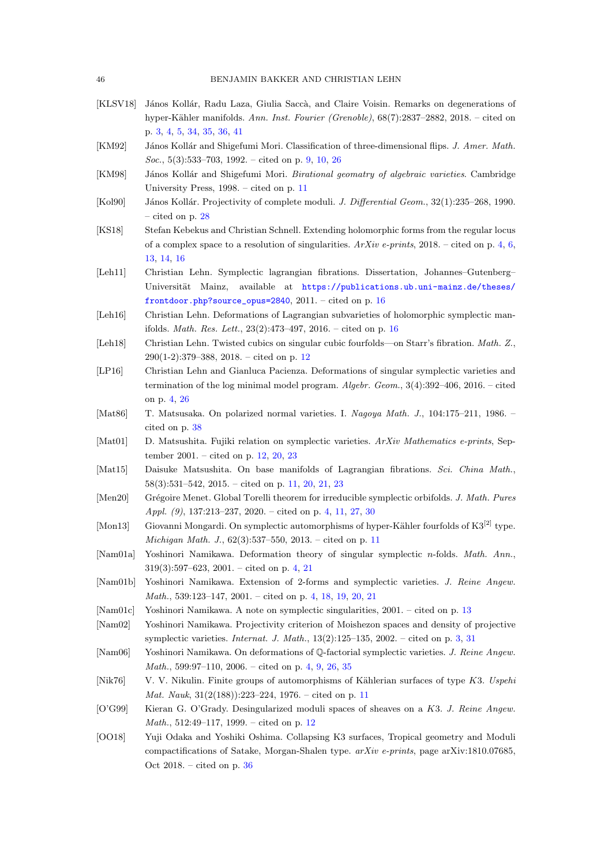- <span id="page-45-0"></span>[KLSV18] János Kollár, Radu Laza, Giulia Saccà, and Claire Voisin. Remarks on degenerations of hyper-Kähler manifolds. Ann. Inst. Fourier (Grenoble), 68(7):2837-2882, 2018. – cited on p. [3,](#page-2-1) [4,](#page-3-1) [5,](#page-4-2) [34,](#page-33-2) [35,](#page-34-0) [36,](#page-35-3) [41](#page-40-3)
- <span id="page-45-8"></span>[KM92] János Kollár and Shigefumi Mori. Classification of three-dimensional flips. J. Amer. Math. Soc., 5(3):533–703, 1992. – cited on p. [9,](#page-8-5) [10,](#page-9-7) [26](#page-25-2)
- <span id="page-45-11"></span>[KM98] János Kollár and Shigefumi Mori. Birational geomatry of algebraic varieties. Cambridge University Press, 1998. – cited on p. [11](#page-10-0)
- <span id="page-45-19"></span>[Kol90] János Kollár. Projectivity of complete moduli. J. Differential Geom., 32(1):235–268, 1990. – cited on p. [28](#page-27-1)
- <span id="page-45-3"></span>[KS18] Stefan Kebekus and Christian Schnell. Extending holomorphic forms from the regular locus of a complex space to a resolution of singularities.  $ArXiv$  e-prints, 2018. – cited on p. [4,](#page-3-1) [6,](#page-5-2) [13,](#page-12-2) [14,](#page-13-2) [16](#page-15-3)
- <span id="page-45-18"></span>[Leh11] Christian Lehn. Symplectic lagrangian fibrations. Dissertation, Johannes–Gutenberg– Universität Mainz, available at [https://publications.ub.uni-mainz.de/theses/](https://publications.ub.uni-mainz.de/theses/frontdoor.php?source_opus=2840) [frontdoor.php?source\\_opus=2840](https://publications.ub.uni-mainz.de/theses/frontdoor.php?source_opus=2840),  $2011. -$  cited on p. [16](#page-15-3)
- <span id="page-45-17"></span>[Leh16] Christian Lehn. Deformations of Lagrangian subvarieties of holomorphic symplectic manifolds. *Math. Res. Lett.*,  $23(2):473-497, 2016.$  $23(2):473-497, 2016.$  $23(2):473-497, 2016.$  – cited on p. 16
- <span id="page-45-14"></span>[Leh18] Christian Lehn. Twisted cubics on singular cubic fourfolds—on Starr's fibration. Math. Z., 290(1-2):379–388, 2018. – cited on p. [12](#page-11-1)
- <span id="page-45-2"></span>[LP16] Christian Lehn and Gianluca Pacienza. Deformations of singular symplectic varieties and termination of the log minimal model program. Algebr. Geom., 3(4):392–406, 2016. – cited on p. [4,](#page-3-1) [26](#page-25-2)
- <span id="page-45-21"></span>[Mat86] T. Matsusaka. On polarized normal varieties. I. Nagoya Math. J., 104:175–211, 1986. – cited on p. [38](#page-37-0)
- <span id="page-45-15"></span>[Mat01] D. Matsushita. Fujiki relation on symplectic varieties. ArXiv Mathematics e-prints, September 2001. – cited on p. [12,](#page-11-1) [20,](#page-19-4) [23](#page-22-3)
- <span id="page-45-9"></span>[Mat15] Daisuke Matsushita. On base manifolds of Lagrangian fibrations. Sci. China Math., 58(3):531–542, 2015. – cited on p. [11,](#page-10-0) [20,](#page-19-4) [21,](#page-20-4) [23](#page-22-3)
- <span id="page-45-4"></span>[Men20] Grégoire Menet. Global Torelli theorem for irreducible symplectic orbifolds. J. Math. Pures Appl. (9), 137:213–237, 2020. – cited on p. [4,](#page-3-1) [11,](#page-10-0) [27,](#page-26-2) [30](#page-29-2)
- <span id="page-45-12"></span>[Mon13] Giovanni Mongardi. On symplectic automorphisms of hyper-Kähler fourfolds of K $3^{[2]}$  type. Michigan Math. J., 62(3):537–550, 2013. – cited on p. [11](#page-10-0)
- <span id="page-45-5"></span>[Nam01a] Yoshinori Namikawa. Deformation theory of singular symplectic n-folds. Math. Ann., 319(3):597–623, 2001. – cited on p. [4,](#page-3-1) [21](#page-20-4)
- <span id="page-45-6"></span>[Nam01b] Yoshinori Namikawa. Extension of 2-forms and symplectic varieties. J. Reine Angew. Math., 539:123–147, 2001. – cited on p. [4,](#page-3-1) [18,](#page-17-1) [19,](#page-18-2) [20,](#page-19-4) [21](#page-20-4)
- <span id="page-45-16"></span><span id="page-45-1"></span>[Nam01c] Yoshinori Namikawa. A note on symplectic singularities, 2001. – cited on p. [13](#page-12-2)
- [Nam02] Yoshinori Namikawa. Projectivity criterion of Moishezon spaces and density of projective symplectic varieties. Internat. J. Math.,  $13(2):125-135$ ,  $2002.$  – cited on p. [3,](#page-2-1) [31](#page-30-1)
- <span id="page-45-7"></span>[Nam06] Yoshinori Namikawa. On deformations of Q-factorial symplectic varieties. J. Reine Angew. Math., 599:97–110, 2006. – cited on p. [4,](#page-3-1) [9,](#page-8-5) [26,](#page-25-2) [35](#page-34-0)
- <span id="page-45-10"></span>[Nik76] V. V. Nikulin. Finite groups of automorphisms of Kählerian surfaces of type K3. Uspehing Mat. Nauk, 31(2(188)):223–224, 1976. – cited on p. [11](#page-10-0)
- <span id="page-45-13"></span>[O'G99] Kieran G. O'Grady. Desingularized moduli spaces of sheaves on a K3. J. Reine Angew. Math., 512:49–117, 1999. – cited on p. [12](#page-11-1)
- <span id="page-45-20"></span>[OO18] Yuji Odaka and Yoshiki Oshima. Collapsing K3 surfaces, Tropical geometry and Moduli compactifications of Satake, Morgan-Shalen type.  $arXiv$  e-prints, page arXiv:1810.07685, Oct 2018. – cited on p. [36](#page-35-3)